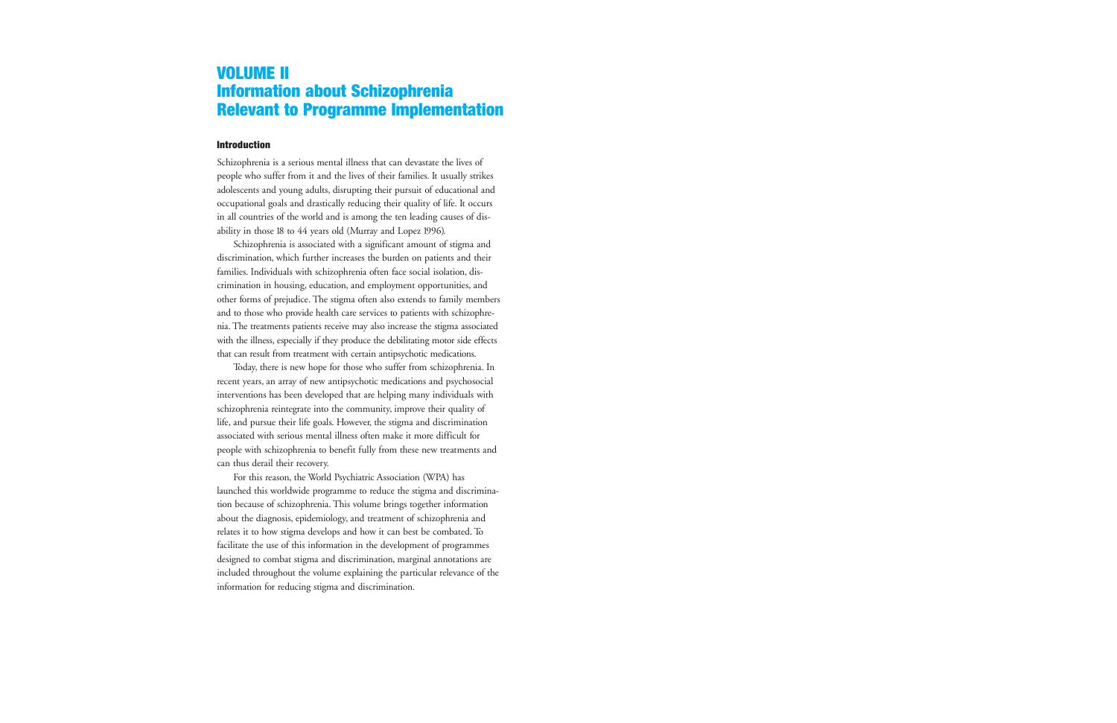### **Introduction**

Schizophrenia is a serious mental illness that can devastate the lives of people who suffer from it and the lives of their families. It usually strikes adolescents and young adults, disrupting their pursuit of educational and occupational goals and drastically reducing their quality of life. It occurs in all countries of the world and is among the ten leading causes of disability in those 18 to 44 years old (Murray and Lopez 1996).

Schizophrenia is associated with a significant amount of stigma and discrimination, which further increases the burden on patients and their families. Individuals with schizophrenia often face social isolation, discrimination in housing, education, and employment opportunities, and other forms of prejudice. The stigma often also extends to family members and to those who provide health care services to patients with schizophrenia. The treatments patients receive may also increase the stigma associated with the illness, especially if they produce the debilitating motor side effects that can result from treatment with certain antipsychotic medications.

Today, there is new hope for those who suffer from schizophrenia. In recent years, an array of new antipsychotic medications and psychosocial interventions has been developed that are helping many individuals with schizophrenia reintegrate into the community, improve their quality of life, and pursue their life goals. However, the stigma and discrimination associated with serious mental illness often make it more difficult for people with schizophrenia to benefit fully from these new treatments and can thus derail their recovery.

For this reason, the World Psychiatric Association (WPA) has launched this worldwide programme to reduce the stigma and discrimination because of schizophrenia. This volume brings together information about the diagnosis, epidemiology, and treatment of schizophrenia and relates it to how stigma develops and how it can best be combated. To facilitate the use of this information in the development of programmes designed to combat stigma and discrimination, marginal annotations are included throughout the volume explaining the particular relevance of the information for reducing stigma and discrimination.

# **VOLUME IIInformation about Schizophrenia Relevant to Programme Implementation**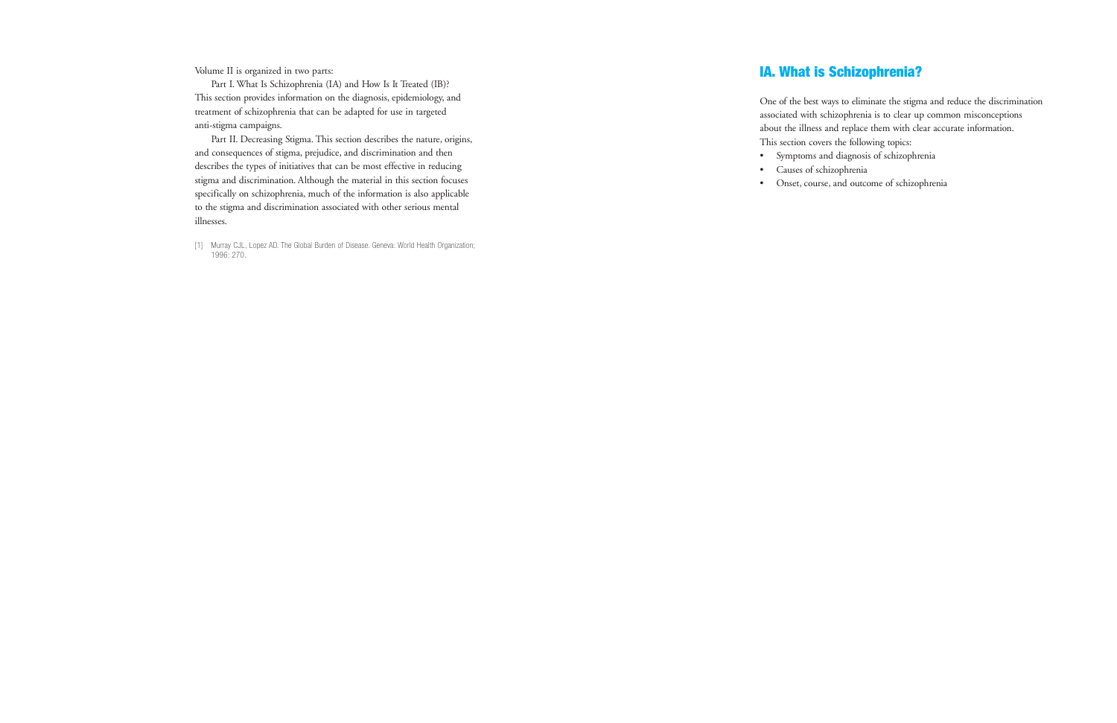# **IA. What is Schizophrenia?**

One of the best ways to eliminate the stigma and reduce the discrimination associated with schizophrenia is to clear up common misconceptions

- about the illness and replace them with clear accurate information.
- This section covers the following topics:
- Symptoms and diagnosis of schizophrenia
- Causes of schizophrenia
- 
- 
- Onset, course, and outcome of schizophrenia

Volume II is organized in two parts:

Part I. What Is Schizophrenia (IA) and How Is It Treated (IB)? This section provides information on the diagnosis, epidemiology, and treatment of schizophrenia that can be adapted for use in targeted anti-stigma campaigns.

Part II. Decreasing Stigma. This section describes the nature, origins, and consequences of stigma, prejudice, and discrimination and then describes the types of initiatives that can be most effective in reducing stigma and discrimination. Although the material in this section focuses specifically on schizophrenia, much of the information is also applicable to the stigma and discrimination associated with other serious mental illnesses.

[1] Murray CJL, Lopez AD. The Global Burden of Disease. Geneva: World Health Organization; 1996: 270.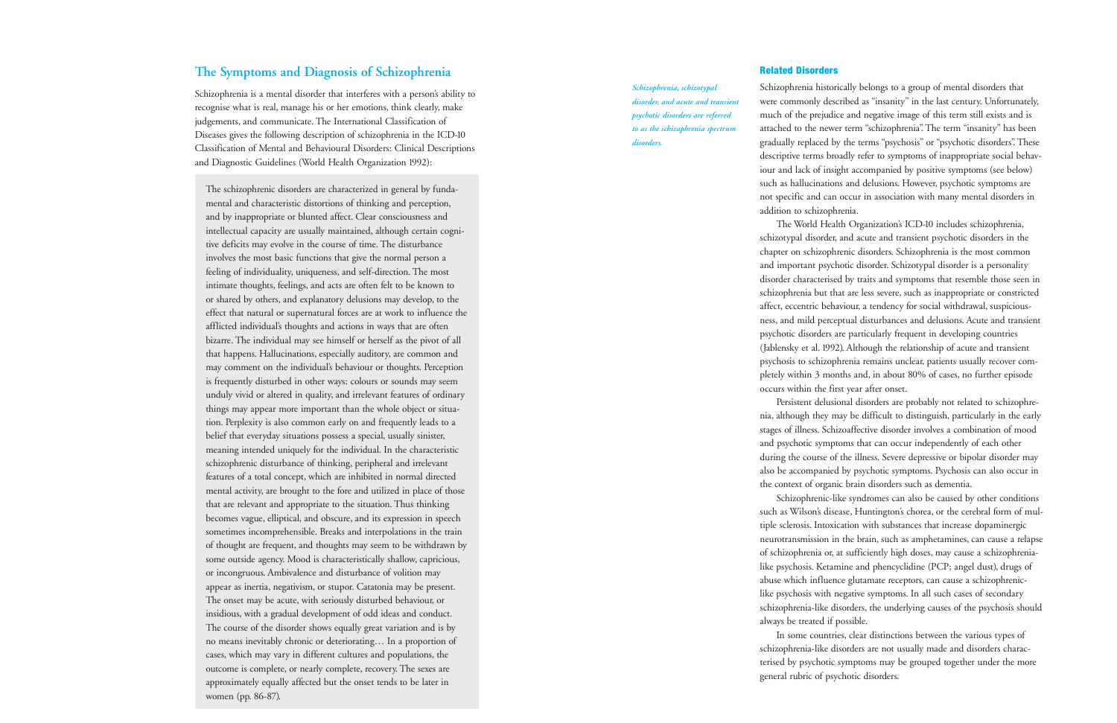## **Related Disorders**

Schizophrenia historically belongs to a group of mental disorders that were commonly described as "insanity" in the last century. Unfortunately, much of the prejudice and negative image of this term still exists and is attached to the newer term "schizophrenia". The term "insanity" has been gradually replaced by the terms "psychosis" or "psychotic disorders". These descriptive terms broadly refer to symptoms of inappropriate social behaviour and lack of insight accompanied by positive symptoms (see below) such as hallucinations and delusions. However, psychotic symptoms are not specific and can occur in association with many mental disorders in addition to schizophrenia.

The World Health Organization's ICD-10 includes schizophrenia, schizotypal disorder, and acute and transient psychotic disorders in the chapter on schizophrenic disorders. Schizophrenia is the most common and important psychotic disorder. Schizotypal disorder is a personality disorder characterised by traits and symptoms that resemble those seen in schizophrenia but that are less severe, such as inappropriate or constricted affect, eccentric behaviour, a tendency for social withdrawal, suspiciousness, and mild perceptual disturbances and delusions. Acute and transient psychotic disorders are particularly frequent in developing countries (Jablensky et al. 1992). Although the relationship of acute and transient psychosis to schizophrenia remains unclear, patients usually recover completely within 3 months and, in about 80% of cases, no further episode occurs within the first year after onset. Persistent delusional disorders are probably not related to schizophre-

nia, although they may be difficult to distinguish, particularly in the early stages of illness. Schizoaffective disorder involves a combination of mood and psychotic symptoms that can occur independently of each other during the course of the illness. Severe depressive or bipolar disorder may also be accompanied by psychotic symptoms. Psychosis can also occur in the context of organic brain disorders such as dementia.

Schizophrenic-like syndromes can also be caused by other conditions such as Wilson's disease, Huntington's chorea, or the cerebral form of multiple sclerosis. Intoxication with substances that increase dopaminergic neurotransmission in the brain, such as amphetamines, can cause a relapse of schizophrenia or, at sufficiently high doses, may cause a schizophrenialike psychosis. Ketamine and phencyclidine (PCP; angel dust), drugs of abuse which influence glutamate receptors, can cause a schizophreniclike psychosis with negative symptoms. In all such cases of secondary schizophrenia-like disorders, the underlying causes of the psychosis should always be treated if possible.

In some countries, clear distinctions between the various types of schizophrenia-like disorders are not usually made and disorders characterised by psychotic symptoms may be grouped together under the more general rubric of psychotic disorders.

# **The Symptoms and Diagnosis of Schizophrenia**

Schizophrenia is a mental disorder that interferes with a person's ability to recognise what is real, manage his or her emotions, think clearly, make judgements, and communicate. The International Classification of Diseases gives the following description of schizophrenia in the ICD-10 Classification of Mental and Behavioural Disorders: Clinical Descriptions and Diagnostic Guidelines (World Health Organization 1992):

The schizophrenic disorders are characterized in general by fundamental and characteristic distortions of thinking and perception, and by inappropriate or blunted affect. Clear consciousness and intellectual capacity are usually maintained, although certain cognitive deficits may evolve in the course of time. The disturbance involves the most basic functions that give the normal person a feeling of individuality, uniqueness, and self-direction. The most intimate thoughts, feelings, and acts are often felt to be known to or shared by others, and explanatory delusions may develop, to the effect that natural or supernatural forces are at work to influence the afflicted individual's thoughts and actions in ways that are often bizarre. The individual may see himself or herself as the pivot of all that happens. Hallucinations, especially auditory, are common and may comment on the individual's behaviour or thoughts. Perception is frequently disturbed in other ways: colours or sounds may seem unduly vivid or altered in quality, and irrelevant features of ordinary things may appear more important than the whole object or situation. Perplexity is also common early on and frequently leads to a belief that everyday situations possess a special, usually sinister, meaning intended uniquely for the individual. In the characteristic schizophrenic disturbance of thinking, peripheral and irrelevant features of a total concept, which are inhibited in normal directed mental activity, are brought to the fore and utilized in place of those that are relevant and appropriate to the situation. Thus thinking becomes vague, elliptical, and obscure, and its expression in speech sometimes incomprehensible. Breaks and interpolations in the train of thought are frequent, and thoughts may seem to be withdrawn by some outside agency. Mood is characteristically shallow, capricious, or incongruous. Ambivalence and disturbance of volition may appear as inertia, negativism, or stupor. Catatonia may be present. The onset may be acute, with seriously disturbed behaviour, or insidious, with a gradual development of odd ideas and conduct. The course of the disorder shows equally great variation and is by no means inevitably chronic or deteriorating… In a proportion of cases, which may vary in different cultures and populations, the outcome is complete, or nearly complete, recovery. The sexes are approximately equally affected but the onset tends to be later in women (pp. 86-87).

*Schizophrenia, schizotypal disorder, and acute and transient psychotic disorders are referred to as the schizophrenia spectrum disorders.*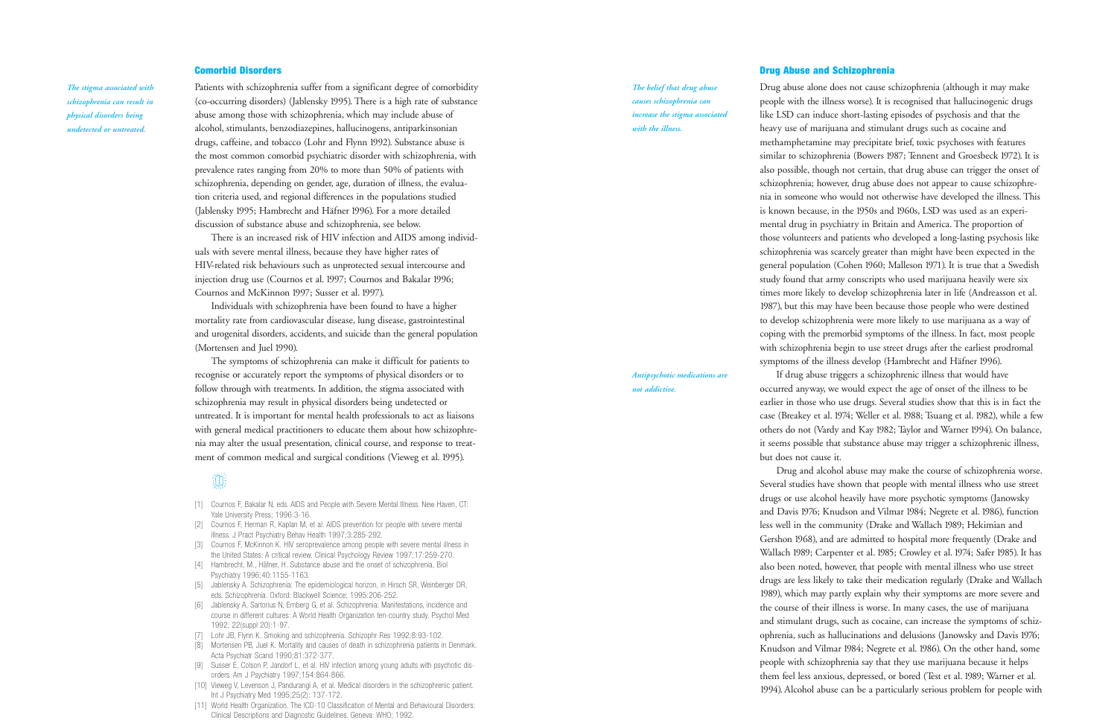### **Drug Abuse and Schizophrenia**

Drug abuse alone does not cause schizophrenia (although it may make people with the illness worse). It is recognised that hallucinogenic drugs like LSD can induce short-lasting episodes of psychosis and that the heavy use of marijuana and stimulant drugs such as cocaine and methamphetamine may precipitate brief, toxic psychoses with features similar to schizophrenia (Bowers 1987; Tennent and Groesbeck 1972). It is also possible, though not certain, that drug abuse can trigger the onset of schizophrenia; however, drug abuse does not appear to cause schizophrenia in someone who would not otherwise have developed the illness. This is known because, in the 1950s and 1960s, LSD was used as an experimental drug in psychiatry in Britain and America. The proportion of those volunteers and patients who developed a long-lasting psychosis like schizophrenia was scarcely greater than might have been expected in the general population (Cohen 1960; Malleson 1971). It is true that a Swedish study found that army conscripts who used marijuana heavily were six times more likely to develop schizophrenia later in life (Andreasson et al. 1987), but this may have been because those people who were destined to develop schizophrenia were more likely to use marijuana as a way of coping with the premorbid symptoms of the illness. In fact, most people with schizophrenia begin to use street drugs after the earliest prodromal symptoms of the illness develop (Hambrecht and Häfner 1996). If drug abuse triggers a schizophrenic illness that would have occurred anyway, we would expect the age of onset of the illness to be earlier in those who use drugs. Several studies show that this is in fact the case (Breakey et al. 1974; Weller et al. 1988; Tsuang et al. 1982), while a few

others do not (Vardy and Kay 1982; Taylor and Warner 1994). On balance, it seems possible that substance abuse may trigger a schizophrenic illness,

but does not cause it.

Drug and alcohol abuse may make the course of schizophrenia worse. Several studies have shown that people with mental illness who use street drugs or use alcohol heavily have more psychotic symptoms (Janowsky and Davis 1976; Knudson and Vilmar 1984; Negrete et al. 1986), function less well in the community (Drake and Wallach 1989; Hekimian and Gershon 1968), and are admitted to hospital more frequently (Drake and Wallach 1989; Carpenter et al. 1985; Crowley et al. 1974; Safer 1985). It has also been noted, however, that people with mental illness who use street drugs are less likely to take their medication regularly (Drake and Wallach 1989), which may partly explain why their symptoms are more severe and the course of their illness is worse. In many cases, the use of marijuana and stimulant drugs, such as cocaine, can increase the symptoms of schizophrenia, such as hallucinations and delusions (Janowsky and Davis 1976; Knudson and Vilmar 1984; Negrete et al. 1986). On the other hand, some people with schizophrenia say that they use marijuana because it helps them feel less anxious, depressed, or bored (Test et al. 1989; Warner et al. 1994). Alcohol abuse can be a particularly serious problem for people with

## **Comorbid Disorders**

- [1] Cournos F, Bakalar N, eds. AIDS and People with Severe Mental Illness. New Haven, CT: Yale University Press; 1996:3-16.
- [2] Cournos F, Herman R, Kaplan M, et al. AIDS prevention for people with severe mental illness. J Pract Psychiatry Behav Health 1997;3:285-292.
- [3] Cournos F, McKinnon K. HIV seroprevalence among people with severe mental illness in the United States: A critical review. Clinical Psychology Review 1997;17:259-270.
- [4] Hambrecht, M., Häfner, H. Substance abuse and the onset of schizophrenia, Biol Psychiatry 1996;40:1155-1163.
- [5] Jablensky A. Schizophrenia: The epidemiological horizon, in Hirsch SR, Weinberger DR, eds. Schizophrenia. Oxford: Blackwell Science; 1995:206-252.
- [6] Jablensky A, Sartorius N, Ernberg G, et al. Schizophrenia: Manifestations, incidence and course in different cultures: A World Health Organization ten-country study. Psychol Med 1992; 22(suppl 20):1-97.
- Lohr JB, Flynn K. Smoking and schizophrenia. Schizophr Res 1992;8:93-102.
- Mortensen PB, Juel K. Mortality and causes of death in schizophrenia patients in Denmark. Acta Psychiatr Scand 1990;81:372-377.
- [9] Susser E, Colson P, Jandorf L, et al. HIV infection among young adults with psychotic disorders. Am J Psychiatry 1997;154:864-866.
- [10] Vieweg V, Levenson J, Pandurangi A, et al. Medical disorders in the schizophrenic patient. Int J Psychiatry Med 1995;25(2): 137-172.
- [11] World Health Organization. The ICD-10 Classification of Mental and Behavioural Disorders: Clinical Descriptions and Diagnostic Guidelines. Geneva: WHO; 1992.

Patients with schizophrenia suffer from a significant degree of comorbidity (co-occurring disorders) (Jablensky 1995). There is a high rate of substance abuse among those with schizophrenia, which may include abuse of alcohol, stimulants, benzodiazepines, hallucinogens, antiparkinsonian drugs, caffeine, and tobacco (Lohr and Flynn 1992). Substance abuse is the most common comorbid psychiatric disorder with schizophrenia, with prevalence rates ranging from 20% to more than 50% of patients with schizophrenia, depending on gender, age, duration of illness, the evaluation criteria used, and regional differences in the populations studied (Jablensky 1995; Hambrecht and Häfner 1996). For a more detailed discussion of substance abuse and schizophrenia, see below.

There is an increased risk of HIV infection and AIDS among individuals with severe mental illness, because they have higher rates of HIV-related risk behaviours such as unprotected sexual intercourse and injection drug use (Cournos et al. 1997; Cournos and Bakalar 1996; Cournos and McKinnon 1997; Susser et al. 1997).

Individuals with schizophrenia have been found to have a higher mortality rate from cardiovascular disease, lung disease, gastrointestinal and urogenital disorders, accidents, and suicide than the general population (Mortensen and Juel 1990).

The symptoms of schizophrenia can make it difficult for patients to recognise or accurately report the symptoms of physical disorders or to follow through with treatments. In addition, the stigma associated with schizophrenia may result in physical disorders being undetected or untreated. It is important for mental health professionals to act as liaisons with general medical practitioners to educate them about how schizophrenia may alter the usual presentation, clinical course, and response to treatment of common medical and surgical conditions (Vieweg et al. 1995).

# 瓣

*The stigma associated with schizophrenia can result in physical disorders being undetected or untreated.*

*The belief that drug abuse causes schizophrenia can increase the stigma associated with the illness.*

*Antipsychotic medications are* 

*not addictive.*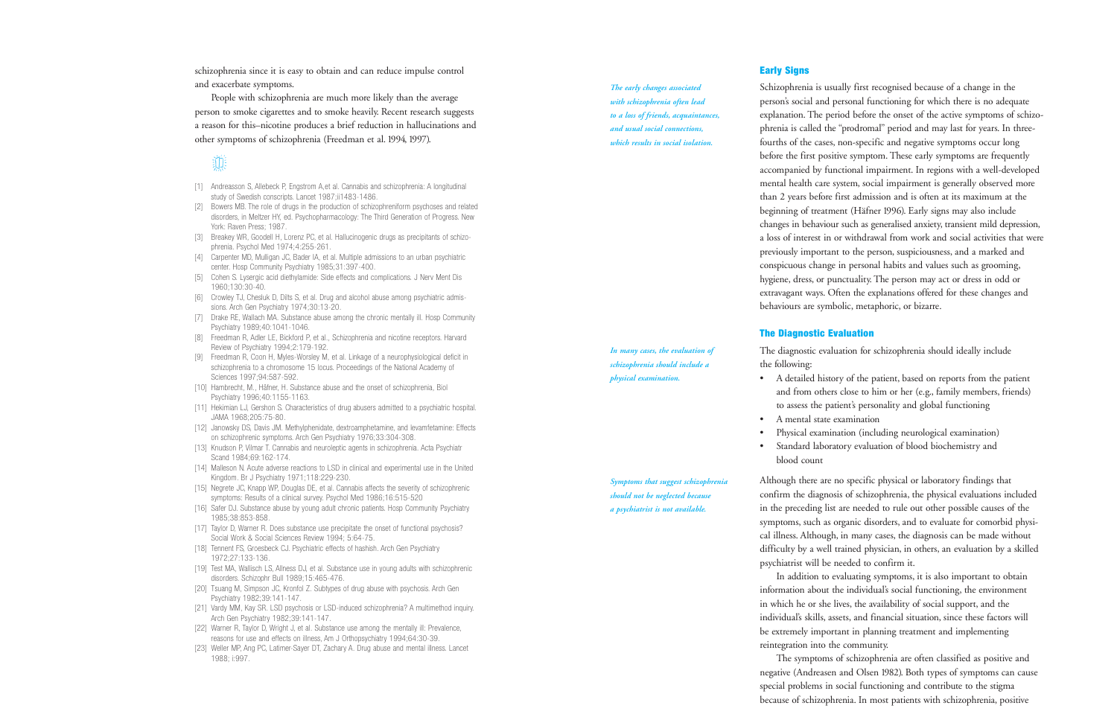# **Early Signs**

Schizophrenia is usually first recognised because of a change in the person's social and personal functioning for which there is no adequate explanation. The period before the onset of the active symptoms of schizophrenia is called the "prodromal" period and may last for years. In threefourths of the cases, non-specific and negative symptoms occur long before the first positive symptom. These early symptoms are frequently accompanied by functional impairment. In regions with a well-developed mental health care system, social impairment is generally observed more than 2 years before first admission and is often at its maximum at the beginning of treatment (Häfner 1996). Early signs may also include changes in behaviour such as generalised anxiety, transient mild depression, a loss of interest in or withdrawal from work and social activities that werepreviously important to the person, suspiciousness, and a marked and conspicuous change in personal habits and values such as grooming, hygiene, dress, or punctuality. The person may act or dress in odd or extravagant ways. Often the explanations offered for these changes and behaviours are symbolic, metaphoric, or bizarre.

# **The Diagnostic Evaluation**

The diagnostic evaluation for schizophrenia should ideally include

the following:

- <sup>A</sup> detailed history of the patient, based on reports from the patient and from others close to him or her (e.g., family members, friends) to assess the patient's personality and global functioning A mental state examination
- •
- • Physical examination (including neurological examination) • Standard laboratory evaluation of blood biochemistry and blood count

Although there are no specific physical or laboratory findings that confirm the diagnosis of schizophrenia, the physical evaluations included in the preceding list are needed to rule out other possible causes of the symptoms, such as organic disorders, and to evaluate for comorbid physical illness. Although, in many cases, the diagnosis can be made without difficulty by a well trained physician, in others, an evaluation by a skilled psychiatrist will be needed to confirm it.

In addition to evaluating symptoms, it is also important to obtain information about the individual's social functioning, the environment in which he or she lives, the availability of social support, and the individual's skills, assets, and financial situation, since these factors will be extremely important in planning treatment and implementing reintegration into the community.

The symptoms of schizophrenia are often classified as positive and negative (Andreasen and Olsen 1982). Both types of symptoms can cause special problems in social functioning and contribute to the stigma because of schizophrenia. In most patients with schizophrenia, positive

schizophrenia since it is easy to obtain and can reduce impulse control and exacerbate symptoms.

People with schizophrenia are much more likely than the average person to smoke cigarettes and to smoke heavily. Recent research suggests a reason for this–nicotine produces a brief reduction in hallucinations and other symptoms of schizophrenia (Freedman et al. 1994, 1997).

# 沠

- [1] Andreasson S, Allebeck P, Engstrom A,et al. Cannabis and schizophrenia: A longitudinal study of Swedish conscripts. Lancet 1987;ii1483-1486
- [2] Bowers MB. The role of drugs in the production of schizophreniform psychoses and related disorders, in Meltzer HY, ed. Psychopharmacology: The Third Generation of Progress. New York: Raven Press; 1987.
- [3] Breakey WR, Goodell H, Lorenz PC, et al. Hallucinogenic drugs as precipitants of schizophrenia. Psychol Med 1974;4:255-261.
- [4] Carpenter MD, Mulligan JC, Bader IA, et al. Multiple admissions to an urban psychiatric center. Hosp Community Psychiatry 1985;31:397-400.
- [5] Cohen S. Lysergic acid diethylamide: Side effects and complications. J Nerv Ment Dis 1960;130:30-40.
- [6] Crowley TJ, Chesluk D, Dilts S, et al. Drug and alcohol abuse among psychiatric admissions. Arch Gen Psychiatry 1974;30:13-20.
- [7] Drake RE, Wallach MA. Substance abuse among the chronic mentally ill. Hosp Community Psychiatry 1989;40:1041-1046.
- [8] Freedman R, Adler LE, Bickford P, et al., Schizophrenia and nicotine receptors. Harvard Review of Psychiatry 1994;2:179-192.
- [9] Freedman R, Coon H, Myles-Worsley M, et al. Linkage of a neurophysiological deficit in schizophrenia to a chromosome 15 locus. Proceedings of the National Academy of Sciences 1997;94:587-592.
- [10] Hambrecht, M., Häfner, H. Substance abuse and the onset of schizophrenia, Biol Psychiatry 1996;40:1155-1163.
- [11] Hekimian LJ, Gershon S. Characteristics of drug abusers admitted to a psychiatric hospital. JAMA 1968;205:75-80.
- [12] Janowsky DS, Davis JM. Methylphenidate, dextroamphetamine, and levamfetamine: Effects on schizophrenic symptoms. Arch Gen Psychiatry 1976;33:304-308.
- [13] Knudson P, Vilmar T. Cannabis and neuroleptic agents in schizophrenia. Acta Psychiatr Scand 1984;69:162-174.
- [14] Malleson N. Acute adverse reactions to LSD in clinical and experimental use in the United Kingdom. Br J Psychiatry 1971;118:229-230.
- [15] Negrete JC, Knapp WP, Douglas DE, et al. Cannabis affects the severity of schizophrenic symptoms: Results of a clinical survey. Psychol Med 1986;16:515-520
- [16] Safer DJ. Substance abuse by young adult chronic patients. Hosp Community Psychiatry 1985;38:853-858.
- [17] Taylor D, Warner R. Does substance use precipitate the onset of functional psychosis? Social Work & Social Sciences Review 1994; 5:64-75.
- [18] Tennent FS, Groesbeck CJ. Psychiatric effects of hashish. Arch Gen Psychiatry 1972;27:133-136.
- [19] Test MA, Wallisch LS, Allness DJ, et al. Substance use in young adults with schizophrenic disorders. Schizophr Bull 1989;15:465-476.
- [20] Tsuang M, Simpson JC, Kronfol Z. Subtypes of drug abuse with psychosis. Arch Gen Psychiatry 1982;39:141-147.
- [21] Vardy MM, Kay SR. LSD psychosis or LSD-induced schizophrenia? A multimethod inquiry. Arch Gen Psychiatry 1982;39:141-147.
- [22] Warner R, Taylor D, Wright J, et al. Substance use among the mentally ill: Prevalence, reasons for use and effects on illness, Am J Orthopsychiatry 1994;64:30-39.
- [23] Weller MP, Ang PC, Latimer-Sayer DT, Zachary A. Drug abuse and mental illness. Lancet 1988; i:997.

# *The early changes associated with schizophrenia often lead to a loss of friends, acquaintances, and usual social connections, which results in social isolation.*

# *In many cases, the evaluation of schizophrenia should include a physical examination.*

*Symptoms that suggest schizophrenia should not be neglected because a psychiatrist is not available.*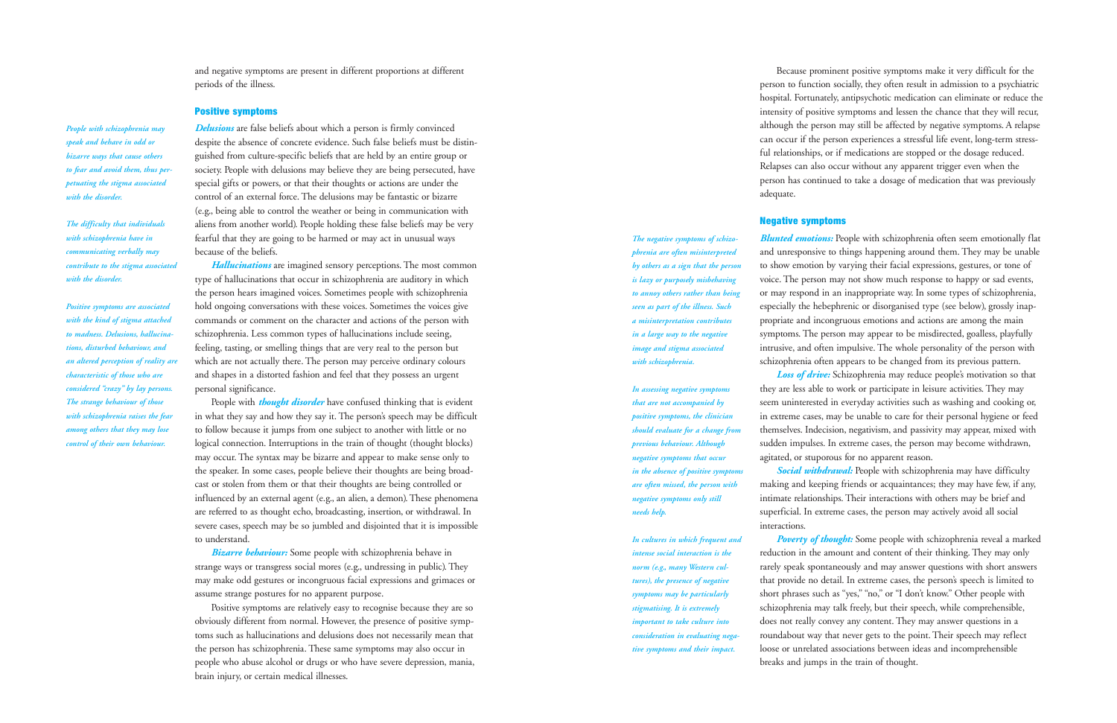Because prominent positive symptoms make it very difficult for the person to function socially, they often result in admission to a psychiatric hospital. Fortunately, antipsychotic medication can eliminate or reduce the intensity of positive symptoms and lessen the chance that they will recur, although the person may still be affected by negative symptoms. <sup>A</sup> relapse can occur if the person experiences a stressful life event, long-term stressful relationships, or if medications are stopped or the dosage reduced. Relapses can also occur without any apparent trigger even when the person has continued to take a dosage of medication that was previously adequate.

# **Negative symptoms**

*Blunted emotions:* People with schizophrenia often seem emotionally flat and unresponsive to things happening around them. They may be unable to show emotion by varying their facial expressions, gestures, or tone of voice. The person may not show much response to happy or sad events, or may respond in an inappropriate way. In some types of schizophrenia, especially the hebephrenic or disorganised type (see below), grossly inappropriate and incongruous emotions and actions are among the main symptoms. The person may appear to be misdirected, goalless, <sup>p</sup>layfully intrusive, and often impulsive. The whole personality of the person with schizophrenia often appears to be changed from its previous pattern. *Loss of drive:* Schizophrenia may reduce people's motivation so that they are less able to work or participate in leisure activities. They may seem uninterested in everyday activities such as washing and cooking or, in extreme cases, may be unable to care for their personal hygiene or feed themselves. Indecision, negativism, and passivity may appear, mixed with sudden impulses. In extreme cases, the person may become withdrawn, agitated, or stuporous for no apparent reason.

*Social withdrawal:* People with schizophrenia may have difficulty making and keeping friends or acquaintances; they may have few, if any, intimate relationships. Their interactions with others may be brief and superficial. In extreme cases, the person may actively avoid all social interactions.

*Poverty of thought:* Some people with schizophrenia reveal a marked reduction in the amount and content of their thinking. They may only rarely speak spontaneously and may answer questions with short answers that provide no detail. In extreme cases, the person's speech is limited to short phrases such as "yes," "no," or "I don't know." Other people with schizophrenia may talk freely, but their speech, while comprehensible, does not really convey any content. They may answer questions in a roundabout way that never gets to the point. Their speech may reflect loose or unrelated associations between ideas and incomprehensible breaks and jumps in the train of thought.

and negative symptoms are present in different proportions at different periods of the illness.

### **Positive symptoms**

*Delusions* are false beliefs about which a person is firmly convinced despite the absence of concrete evidence. Such false beliefs must be distinguished from culture-specific beliefs that are held by an entire group or society. People with delusions may believe they are being persecuted, have special gifts or powers, or that their thoughts or actions are under the control of an external force. The delusions may be fantastic or bizarre (e.g., being able to control the weather or being in communication with aliens from another world). People holding these false beliefs may be very fearful that they are going to be harmed or may act in unusual ways because of the beliefs.

*Hallucinations* are imagined sensory perceptions. The most common type of hallucinations that occur in schizophrenia are auditory in which the person hears imagined voices. Sometimes people with schizophrenia hold ongoing conversations with these voices. Sometimes the voices give commands or comment on the character and actions of the person with schizophrenia. Less common types of hallucinations include seeing, feeling, tasting, or smelling things that are very real to the person but which are not actually there. The person may perceive ordinary colours and shapes in a distorted fashion and feel that they possess an urgent personal significance.

People with *thought disorder* have confused thinking that is evident in what they say and how they say it. The person's speech may be difficult to follow because it jumps from one subject to another with little or no logical connection. Interruptions in the train of thought (thought blocks) may occur. The syntax may be bizarre and appear to make sense only to the speaker. In some cases, people believe their thoughts are being broadcast or stolen from them or that their thoughts are being controlled or influenced by an external agent (e.g., an alien, a demon). These phenomena are referred to as thought echo, broadcasting, insertion, or withdrawal. In severe cases, speech may be so jumbled and disjointed that it is impossible to understand.

*Bizarre behaviour:* Some people with schizophrenia behave in strange ways or transgress social mores (e.g., undressing in public). They may make odd gestures or incongruous facial expressions and grimaces or assume strange postures for no apparent purpose.

Positive symptoms are relatively easy to recognise because they are so obviously different from normal. However, the presence of positive symptoms such as hallucinations and delusions does not necessarily mean that the person has schizophrenia. These same symptoms may also occur in people who abuse alcohol or drugs or who have severe depression, mania, brain injury, or certain medical illnesses.

*The negative symptoms of schizophrenia are often misinterpreted by others as a sign that the person is lazy or purposely misbehaving to annoy others rather than being seen as part of the illness. Such a misinterpretation contributes in a large way to the negative image and stigma associated with schizophrenia.*

*In assessing negative symptoms that are not accompanied by positive symptoms, the clinician should evaluate for a change from previous behaviour. Although negative symptoms that occur in the absence of positive symptoms are often missed, the person with negative symptoms only still needs help.*

*In cultures in which frequent and intense social interaction is the norm (e.g., many Western cultures), the presence of negative symptoms may be particularly stigmatising. It is extremely important to take culture into consideration in evaluating negative symptoms and their impact.*

*People with schizophrenia may speak and behave in odd or bizarre ways that cause others to fear and avoid them, thus perpetuating the stigma associated with the disorder.*

*The difficulty that individuals with schizophrenia have in communicating verbally may contribute to the stigma associated with the disorder.*

*Positive symptoms are associated with the kind of stigma attached to madness. Delusions, hallucinations, disturbed behaviour, and an altered perception of reality are characteristic of those who are considered "crazy" by lay persons. The strange behaviour of those with schizophrenia raises the fear among others that they may lose control of their own behaviour.*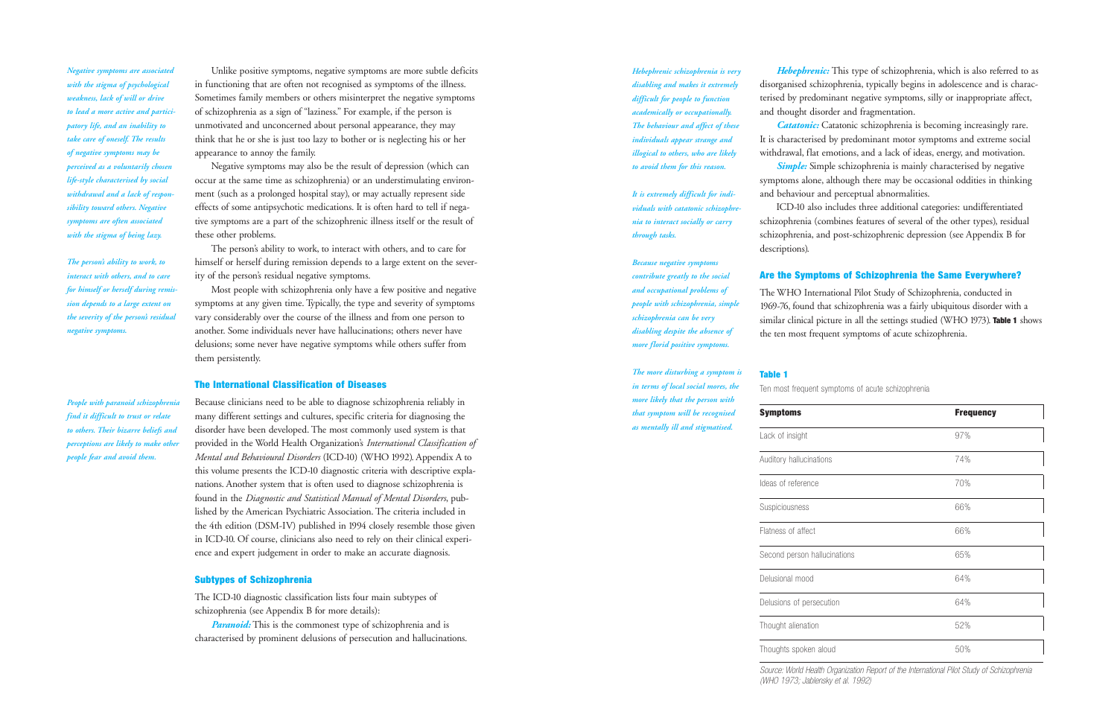*Hebephrenic:* This type of schizophrenia, which is also referred to as disorganised schizophrenia, typically begins in adolescence and is characterised by predominant negative symptoms, silly or inappropriate affect, and thought disorder and fragmentation.

*Catatonic:* Catatonic schizophrenia is becoming increasingly rare. It is characterised by predominant motor symptoms and extreme social withdrawal, flat emotions, and a lack of ideas, energy, and motivation. **Simple:** Simple schizophrenia is mainly characterised by negative symptoms alone, although there may be occasional oddities in thinking and behaviour and perceptual abnormalities.

ICD-10 also includes three additional categories: undifferentiated schizophrenia (combines features of several of the other types), residual schizophrenia, and post-schizophrenic depression (see Appendix B for

descriptions).

#### **Symptoms**

Lack of insight Auditory hallucination Ideas of reference Suspiciousness Flatness of affect Second person hall Delusional mood Delusions of persed

Thought alienation

Thoughts spoken al

# **Are the Symptoms of Schizophrenia the Same Everywhere?**

The WHO International Pilot Study of Schizophrenia, conducted in 1969-76, found that schizophrenia was a fairly ubiquitous disorder with a similar clinical picture in all the settings studied (WHO 1973). **Table 1** shows the ten most frequent symptoms of acute schizophrenia.

|             | <b>Frequency</b> |
|-------------|------------------|
|             | 97%              |
| ons         | 74%              |
|             | 70%              |
|             | 66%              |
|             | 66%              |
| lucinations | 65%              |
|             | 64%              |
| cution      | 64%              |
|             | 52%              |
| loud        | 50%              |

# **Table 1**

Ten most frequent symptoms of acute schizophrenia

Source: World Health Organization Report of the International Pilot Study of Schizophrenia

(WHO 1973; Jablensky et al. 1992)

Unlike positive symptoms, negative symptoms are more subtle deficits in functioning that are often not recognised as symptoms of the illness. Sometimes family members or others misinterpret the negative symptoms of schizophrenia as a sign of "laziness." For example, if the person is unmotivated and unconcerned about personal appearance, they may think that he or she is just too lazy to bother or is neglecting his or her appearance to annoy the family.

Negative symptoms may also be the result of depression (which can occur at the same time as schizophrenia) or an understimulating environment (such as a prolonged hospital stay), or may actually represent side effects of some antipsychotic medications. It is often hard to tell if negative symptoms are a part of the schizophrenic illness itself or the result of these other problems.

The person's ability to work, to interact with others, and to care for himself or herself during remission depends to a large extent on the severity of the person's residual negative symptoms.

Most people with schizophrenia only have a few positive and negative symptoms at any given time. Typically, the type and severity of symptoms vary considerably over the course of the illness and from one person to another. Some individuals never have hallucinations; others never have delusions; some never have negative symptoms while others suffer from them persistently.

### **The International Classification of Diseases**

Because clinicians need to be able to diagnose schizophrenia reliably in many different settings and cultures, specific criteria for diagnosing the disorder have been developed. The most commonly used system is that provided in the World Health Organization's *International Classification of Mental and Behavioural Disorders* (ICD-10) (WHO 1992). Appendix A to this volume presents the ICD-10 diagnostic criteria with descriptive explanations. Another system that is often used to diagnose schizophrenia is found in the *Diagnostic and Statistical Manual of Mental Disorders*, published by the American Psychiatric Association. The criteria included in the 4th edition (DSM-IV) published in 1994 closely resemble those given in ICD-10. Of course, clinicians also need to rely on their clinical experience and expert judgement in order to make an accurate diagnosis.

#### **Subtypes of Schizophrenia**

The ICD-10 diagnostic classification lists four main subtypes of schizophrenia (see Appendix B for more details):

*Paranoid:* This is the commonest type of schizophrenia and is characterised by prominent delusions of persecution and hallucinations. *Hebephrenic schizophrenia is very disabling and makes it extremely difficult for people to function academically or occupationally. The behaviour and affect of these individuals appear strange and illogical to others, who are likely to avoid them for this reason.*

*It is extremely difficult for individuals with catatonic schizophrenia to interact socially or carry through tasks.*

*Because negative symptoms contribute greatly to the social and occupational problems of people with schizophrenia, simple schizophrenia can be very disabling despite the absence of more florid positive symptoms.*

*The more disturbing a symptom is in terms of local social mores, the more likely that the person with that symptom will be recognised as mentally ill and stigmatised.*

*Negative symptoms are associated with the stigma of psychological weakness, lack of will or drive to lead a more active and participatory life, and an inability to take care of oneself. The results of negative symptoms may be perceived as a voluntarily chosen life-style characterised by social withdrawal and a lack of responsibility toward others. Negative symptoms are often associated with the stigma of being lazy.*

*The person's ability to work, to interact with others, and to care for himself or herself during remission depends to a large extent on the severity of the person's residual negative symptoms.*

*People with paranoid schizophrenia find it difficult to trust or relate to others. Their bizarre beliefs and perceptions are likely to make other people fear and avoid them.*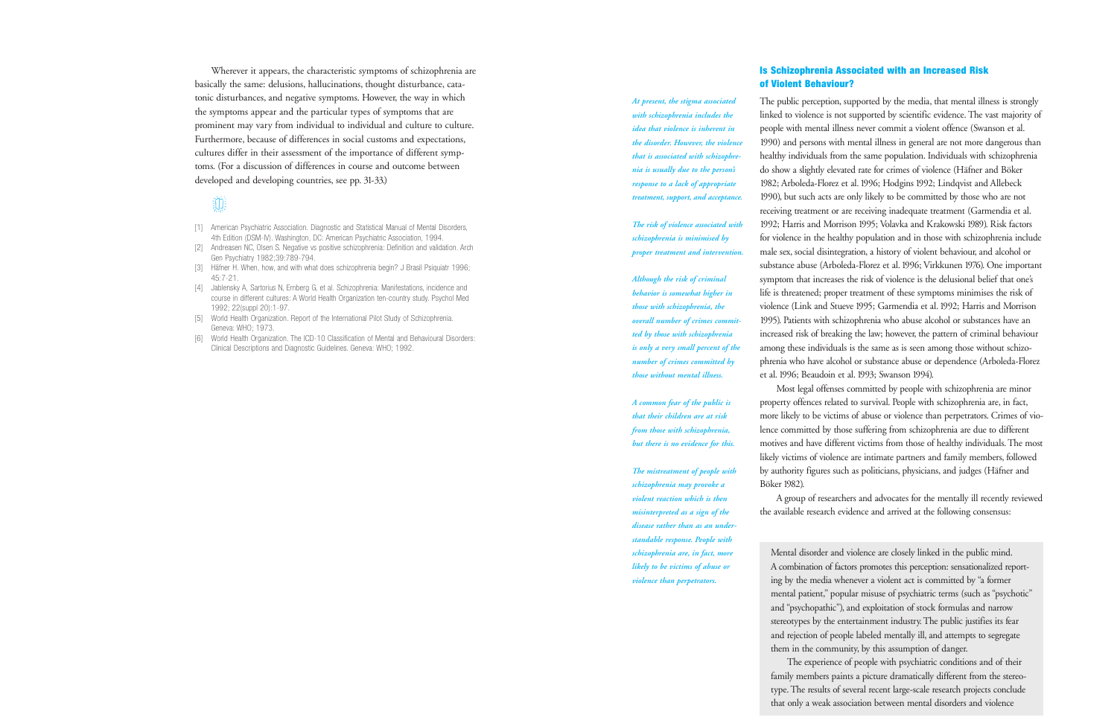# **Is Schizophrenia Associated with an Increased Risk of Violent Behaviour?**

The public perception, supported by the media, that mental illness is strongly linked to violence is not supported by scientific evidence. The vast majority of people with mental illness never commit a violent offence (Swanson et al. 1990) and persons with mental illness in general are not more dangerous than healthy individuals from the same population. Individuals with schizophrenia do show a slightly elevated rate for crimes of violence (Häfner and Böker 1982; Arboleda-Florez et al.1996; Hodgins 1992; Lindqvist and Allebeck 1990), but such acts are only likely to be committed by those who are not receiving treatment or are receiving inadequate treatment (Garmendia et al. 1992; Harris and Morrison 1995; Volavka and Krakowski 1989). Risk factors for violence in the healthy population and in those with schizophrenia include male sex, social disintegration, a history of violent behaviour, and alcohol or substance abuse (Arboleda-Florez et al.1996; Virkkunen 1976). One important symptom that increases the risk of violence is the delusional belief that one's life is threatened; proper treatment of these symptoms minimises the risk of violence (Link and Stueve 1995; Garmendia et al.1992; Harris and Morrison 1995). Patients with schizophrenia who abuse alcohol or substances have an increased risk of breaking the law; however, the pattern of criminal behaviour among these individuals is the same as is seen among those without schizophrenia who have alcohol or substance abuse or dependence (Arboleda-Florez et al.1996; Beaudoin et al.1993; Swanson 1994). Most legal offenses committed by people with schizophrenia are minor property offences related to survival. People with schizophrenia are, in fact, more likely to be victims of abuse or violence than perpetrators. Crimes of violence committed by those suffering from schizophrenia are due to different motives and have different victims from those of healthy individuals. The most likely victims of violence are intimate partners and family members, followed by authority figures such as politicians, <sup>p</sup>hysicians, and judges (Häfner and Böker 1982). <sup>A</sup> group of researchers and advocates for the mentally ill recently reviewed

the available research evidence and arrived at the following consensus:

Mental disorder and violence are closely linked in the public mind. <sup>A</sup> combination of factors promotes this perception: sensationalized reporting by the media whenever a violent act is committed by "a former mental patient," popular misuse of psychiatric terms (such as "psychotic" and "psychopathic"), and exploitation of stock formulas and narrow stereotypes by the entertainment industry. The public justifies its fear and rejection of people labeled mentally ill, and attempts to segregate them in the community, by this assumption of danger.

- [1] American Psychiatric Association. Diagnostic and Statistical Manual of Mental Disorders, 4th Edition (DSM-IV). Washington, DC: American Psychiatric Association, 1994.
- [2] Andreasen NC, Olsen S. Negative vs positive schizophrenia: Definition and validation. Arch Gen Psychiatry 1982;39:789-794.
- [3] Häfner H. When, how, and with what does schizophrenia begin? J Brasil Psiquiatr 1996; 45:7-21.
- [4] Jablensky A, Sartorius N, Ernberg G, et al. Schizophrenia: Manifestations, incidence and course in different cultures: A World Health Organization ten-country study. Psychol Med 1992; 22(suppl 20):1-97.
- [5] World Health Organization. Report of the International Pilot Study of Schizophrenia. Geneva: WHO; 1973.
- [6] World Health Organization. The ICD-10 Classification of Mental and Behavioural Disorders: Clinical Descriptions and Diagnostic Guidelines. Geneva: WHO; 1992.

The experience of people with psychiatric conditions and of their family members paints a picture dramatically different from the stereotype. The results of several recent large-scale research projects conclude that only a weak association between mental disorders and violence

*At present, the stigma associated with schizophrenia includes the idea that violence is inherent inthe disorder. However, the violence that is associated with schizophrenia is usually due to the person's response to a lack of appropriate treatment, support, and acceptance.*

*The risk of violence associated with schizophrenia is minimised by proper treatment and intervention.*

*Although the risk of criminal behavior is somewhat higher in those with schizophrenia, the overall number of crimes committed by those with schizophrenia is only a very small percent of the number of crimes committed by those without mental illness.*

*<sup>A</sup> common fear of the public is that their children are at riskfrom those with schizophrenia, but there is no evidence for this.*

*The mistreatment of people with schizophrenia may provoke a violent reaction which is then misinterpreted as a sign of the disease rather than as an understandable response. People with schizophrenia are, in fact, more likely to be victims of abuse or violence than perpetrators.*

Wherever it appears, the characteristic symptoms of schizophrenia are basically the same: delusions, hallucinations, thought disturbance, catatonic disturbances, and negative symptoms. However, the way in which the symptoms appear and the particular types of symptoms that are prominent may vary from individual to individual and culture to culture. Furthermore, because of differences in social customs and expectations, cultures differ in their assessment of the importance of different symptoms. (For a discussion of differences in course and outcome between developed and developing countries, see pp. 31-33.)

# 道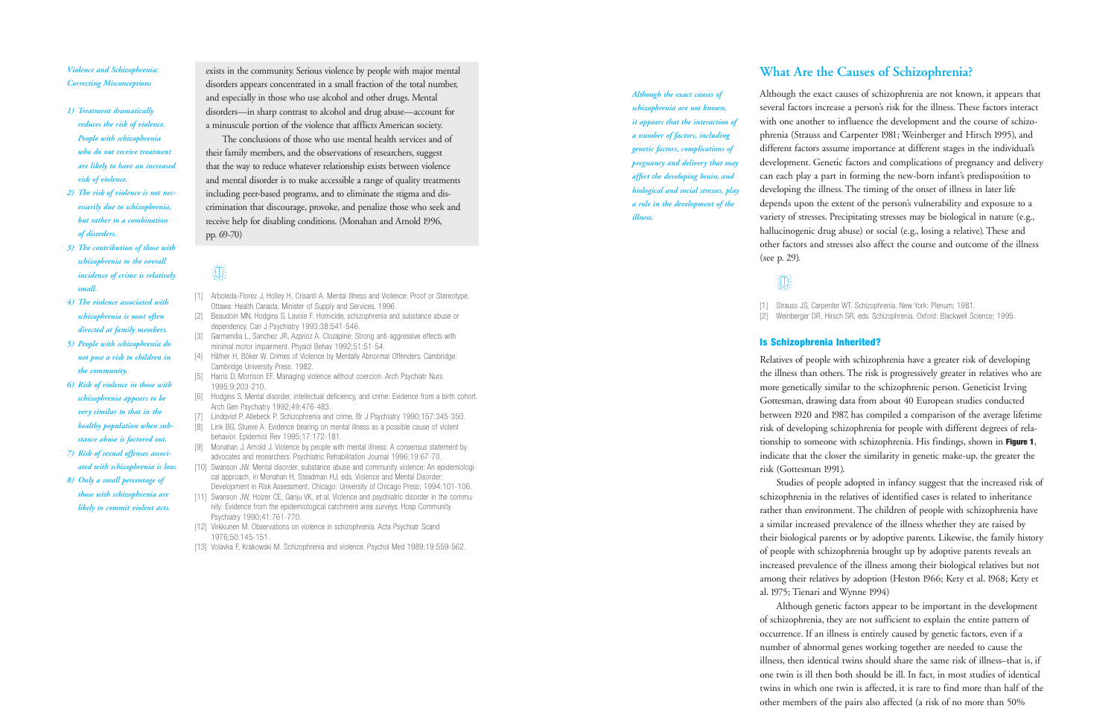# **What Are the Causes of Schizophrenia?**

Although the exact causes of schizophrenia are not known, it appears that several factors increase a person's risk for the illness. These factors interact with one another to influence the development and the course of schizo<sup>p</sup>hrenia (Strauss and Carpenter 1981; Weinberger and Hirsch 1995), and different factors assume importance at different stages in the individual's development. Genetic factors and complications of pregnancy and delivery can each play a part in forming the new-born infant's predisposition to developing the illness. The timing of the onset of illness in later life depends upon the extent of the person's vulnerability and exposure to a variety of stresses. Precipitating stresses may be biological in nature (e.g., hallucinogenic drug abuse) or social (e.g., losing a relative). These and other factors and stresses also affect the course and outcome of the illness (see p. 29).

瀄

[1] Strauss JS, Carpenter WT. Schizophrenia. New York: Plenum; 1981. [2] Weinberger DR, Hirsch SR, eds. Schizophrenia. Oxford: Blackwell Science; 1995.

# **Is Schizophrenia Inherited?**

Relatives of people with schizophrenia have a greater risk of developing the illness than others. The risk is progressively greater in relatives who are more genetically similar to the schizophrenic person. Geneticist Irving Gottesman, drawing data from about 40 European studies conducted between 1920 and 1987, has compiled a comparison of the average lifetime risk of developing schizophrenia for people with different degrees of relationship to someone with schizophrenia. His findings, shown in **Figure 1**, indicate that the closer the similarity in genetic make-up, the greater the risk (Gottesman 1991).

Studies of people adopted in infancy suggest that the increased risk of schizophrenia in the relatives of identified cases is related to inheritance rather than environment. The children of people with schizophrenia have a similar increased prevalence of the illness whether they are raised by their biological parents or by adoptive parents. Likewise, the family history of people with schizophrenia brought up by adoptive parents reveals an increased prevalence of the illness among their biological relatives but not among their relatives by adoption (Heston 1966; Kety et al. 1968; Kety et al. 1975; Tienari and Wynne 1994)

Although genetic factors appear to be important in the development of schizophrenia, they are not sufficient to explain the entire pattern of occurrence. If an illness is entirely caused by genetic factors, even if a number of abnormal genes working together are needed to cause the illness, then identical twins should share the same risk of illness–that is, if one twin is ill then both should be ill. In fact, in most studies of identical twins in which one twin is affected, it is rare to find more than half of the other members of the pairs also affected (a risk of no more than 50%

exists in the community. Serious violence by people with major mental disorders appears concentrated in a small fraction of the total number, and especially in those who use alcohol and other drugs. Mental disorders—in sharp contrast to alcohol and drug abuse—account for a minuscule portion of the violence that afflicts American society.

The conclusions of those who use mental health services and of their family members, and the observations of researchers, suggest that the way to reduce whatever relationship exists between violence and mental disorder is to make accessible a range of quality treatments including peer-based programs, and to eliminate the stigma and discrimination that discourage, provoke, and penalize those who seek and receive help for disabling conditions. (Monahan and Arnold 1996, pp. 69-70)

# 道

- [1] Arboleda-Florez J, Holley H, Crisanti A. Mental Illness and Violence: Proof or Stereotype. Ottawa: Health Canada, Minister of Supply and Services, 1996.
- [2] Beaudoin MN, Hodgins S, Lavoie F. Homicide, schizophrenia and substance abuse or dependency. Can J Psychiatry 1993;38:541-546.
- [3] Garmendia L, Sanchez JR, Azprioz A. Clozapine: Strong anti-aggressive effects with minimal motor impairment. Physiol Behav 1992;51:51-54.
- [4] Häfner H, Böker W. Crimes of Violence by Mentally Abnormal Offenders. Cambridge: Cambridge University Press; 1982.
- [5] Harris D, Morrison EF. Managing violence without coercion. Arch Psychiatr Nurs 1995;9:203-210.
- [6] Hodgins S. Mental disorder, intellectual deficiency, and crime: Evidence from a birth cohort. Arch Gen Psychiatry 1992;49:476-483.
- [7] Lindqvist P, Allebeck P. Schizophrenia and crime. Br J Psychiatry 1990;157:345-350.
- [8] Link BG, Stueve A. Evidence bearing on mental illness as a possible cause of violent behavior. Epidemiol Rev 1995;17:172-181.
- [9] Monahan J, Arnold J. Violence by people with mental illness: A consensus statement by advocates and researchers. Psychiatric Rehabilitation Journal 1996;19:67-70.
- [10] Swanson JW. Mental disorder, substance abuse and community violence: An epidemiological approach, in Monahan H, Steadman HJ, eds. Violence and Mental Disorder: Development in Risk Assessment. Chicago: University of Chicago Press; 1994:101-106.
- [11] Swanson JW, Holzer CE, Ganju VK, et al. Violence and psychiatric disorder in the community: Evidence from the epidemiological catchment area surveys. Hosp Community Psychiatry 1990;41:761-770.
- [12] Virkkunen M. Observations on violence in schizophrenia. Acta Psychiatr Scand 1976;50:145-151.
- [13] Volavka F, Krakowski M. Schizophrenia and violence. Psychol Med 1989;19:559-562.

*Although the exact causes of schizophrenia are not known, it appears that the interaction of a number of factors, including genetic factors, complications of pregnancy and delivery that may affect the developing brain, and biological and social stresses, play a role in the development of the illness.*

# *Violence and Schizophrenia: Correcting Misconceptions*

- *1) Treatment dramatically reduces the risk of violence. People with schizophrenia who do not receive treatment are likely to have an increased risk of violence.*
- *2) The risk of violence is not necessarily due to schizophrenia, but rather to a combination of disorders.*
- *3) The contribution of those with schizophrenia to the overall incidence of crime is relatively small.*
- *4) The violence associated with schizophrenia is most often directed at family members.*
- *5) People with schizophrenia do not pose a risk to children in the community.*
- *6) Risk of violence in those with schizophrenia appears to be very similar to that in the healthy population when substance abuse is factored out.*
- *7) Risk of sexual offenses associated with schizophrenia is low.*
- *8) Only a small percentage of those with schizophrenia are likely to commit violent acts.*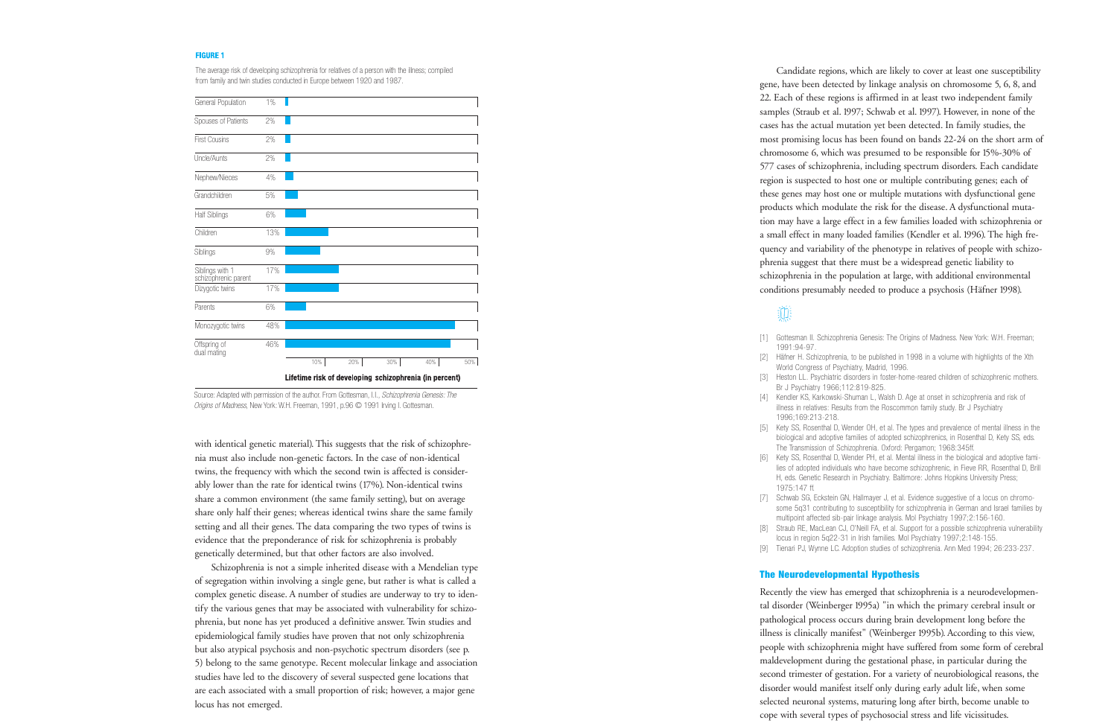Candidate regions, which are likely to cover at least one susceptibility gene, have been detected by linkage analysis on chromosome 5, 6, 8, and 22. Each of these regions is affirmed in at least two independent family samples (Straub et al. 1997; Schwab et al. 1997). However, in none of the cases has the actual mutation yet been detected. In family studies, the most promising locus has been found on bands 22-24 on the short arm of chromosome 6, which was presumed to be responsible for 15%-30% of 577 cases of schizophrenia, including spectrum disorders. Each candidate region is suspected to host one or multiple contributing genes; each of these genes may host one or multiple mutations with dysfunctional gene products which modulate the risk for the disease. <sup>A</sup> dysfunctional mutation may have a large effect in a few families loaded with schizophrenia or a small effect in many loaded families (Kendler et al. 1996). The high frequency and variability of the phenotype in relatives of people with schizo<sup>p</sup>hrenia suggest that there must be a widespread genetic liability to schizophrenia in the population at large, with additional environmental conditions presumably needed to produce a psychosis (Häfner 1998).

# 洫

[2] Häfner H. Schizophrenia, to be published in 1998 in a volume with highlights of the Xth World Congress of Psychiatry, Madrid, 1996.

[3] Heston LL. Psychiatric disorders in foster-home-reared children of schizophrenic mothers. Br J Psychiatry 1966;112:819-825.

[4] Kendler KS, Karkowski-Shuman L, Walsh D. Age at onset in schizophrenia and risk of illness in relatives: Results from the Roscommon family study. Br J Psychiatry

[7] Schwab SG, Eckstein GN, Hallmayer J, et al. Evidence suggestive of a locus on chromosome 5q31 contributing to susceptibility for schizophrenia in German and Israel families by multipoint affected sib-pair linkage analysis. Mol Psychiatry 1997;2:156-160.

[8] Straub RE, MacLean CJ, O'Neill FA, et al. Support for a possible schizophrenia vulnerability locus in region 5q22-31 in Irish families. Mol Psychiatry 1997;2:148-155.

- 1991:94-97.
- 
- 
- 1996;169:213-218.
- 1975:147 ff.
- 
- 
- 
- 

[5] Kety SS, Rosenthal D, Wender OH, et al. The types and prevalence of mental illness in the biological and adoptive families of adopted schizophrenics, in Rosenthal D, Kety SS, eds. The Transmission of Schizophrenia. Oxford: Pergamon; 1968:345ff.

[6] Kety SS, Rosenthal D, Wender PH, et al. Mental illness in the biological and adoptive families of adopted individuals who have become schizophrenic, in Fieve RR, Rosenthal D, Brill H, eds. Genetic Research in Psychiatry. Baltimore: Johns Hopkins University Press;

[9] Tienari PJ, Wynne LC. Adoption studies of schizophrenia. Ann Med 1994; 26:233-237.

## **The Neurodevelopmental Hypothesis**

Recently the view has emerged that schizophrenia is a neurodevelopmental disorder (Weinberger 1995a) "in which the primary cerebral insult or pathological process occurs during brain development long before the illness is clinically manifest" (Weinberger 1995b). According to this view, people with schizophrenia might have suffered from some form of cerebral maldevelopment during the gestational phase, in particular during the second trimester of gestation. For a variety of neurobiological reasons, the disorder would manifest itself only during early adult life, when some selected neuronal systems, maturing long after birth, become unable to cope with several types of psychosocial stress and life vicissitudes.

[1] Gottesman II. Schizophrenia Genesis: The Origins of Madness. New York: W.H. Freeman;

with identical genetic material). This suggests that the risk of schizophrenia must also include non-genetic factors. In the case of non-identical twins, the frequency with which the second twin is affected is considerably lower than the rate for identical twins (17%). Non-identical twins share a common environment (the same family setting), but on average share only half their genes; whereas identical twins share the same family setting and all their genes. The data comparing the two types of twins is evidence that the preponderance of risk for schizophrenia is probably genetically determined, but that other factors are also involved.

Schizophrenia is not a simple inherited disease with a Mendelian type of segregation within involving a single gene, but rather is what is called a complex genetic disease. <sup>A</sup> number of studies are underway to try to identify the various genes that may be associated with vulnerability for schizophrenia, but none has yet produced a definitive answer. Twin studies and epidemiological family studies have proven that not only schizophrenia but also atypical psychosis and non-psychotic spectrum disorders (see p. 5) belong to the same genotype. Recent molecular linkage and association studies have led to the discovery of several suspected gene locations that are each associated with a small proportion of risk; however, a major gene locus has not emerged.

#### **FIGURE 1**

The average risk of developing schizophrenia for relatives of a person with the illness; compiled from family and twin studies conducted in Europe between 1920 and 1987.



Source: Adapted with permission of the author. From Gottesman, I.I., Schizophrenia Genesis: The Origins of Madness, New York: W.H. Freeman, 1991, p.96 @ 1991 Irving I. Gottesman.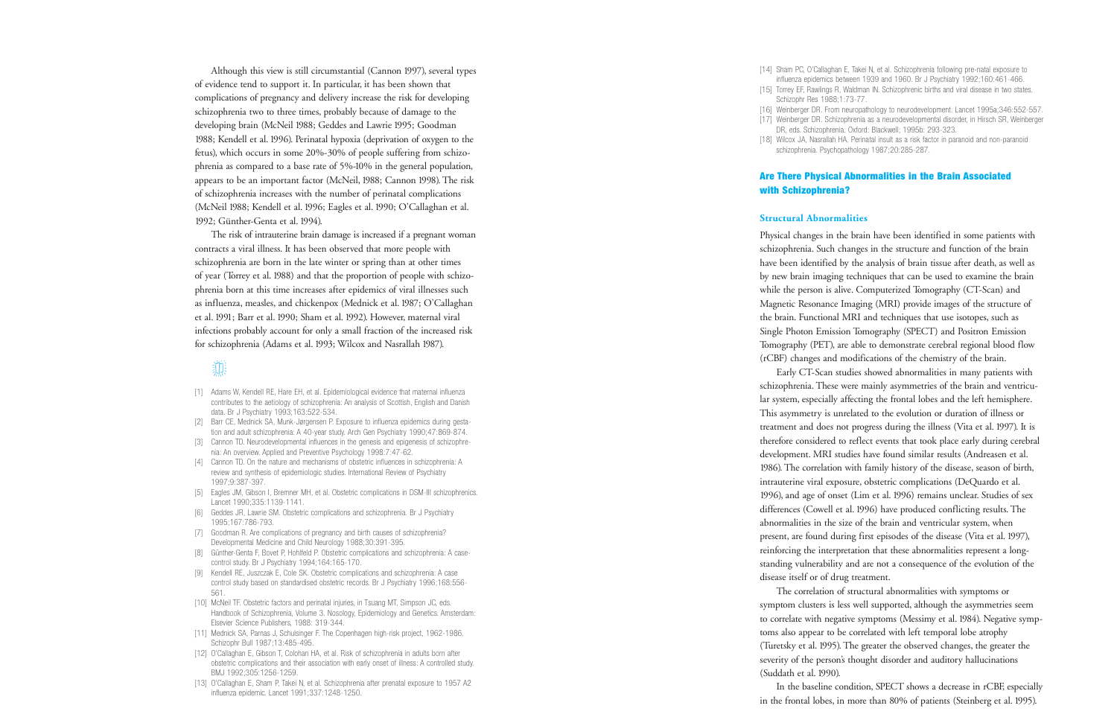[14] Sham PC, O'Callaghan E, Takei N, et al. Schizophrenia following pre-natal exposure to influenza epidemics between 1939 and 1960. Br J Psychiatry 1992;160:461-466. [15] Torrey EF, Rawlings R, Waldman IN. Schizophrenic births and viral disease in two states. Schizophr Res 1988;1:73-77.

[16] Weinberger DR. From neuropathology to neurodevelopment. Lancet 1995a;346:552-557. [17] Weinberger DR. Schizophrenia as a neurodevelopmental disorder, in Hirsch SR, Weinberger DR, eds. Schizophrenia. Oxford: Blackwell; 1995b: 293-323.

[18] Wilcox JA, Nasrallah HA. Perinatal insult as a risk factor in paranoid and non-paranoid schizophrenia. Psychopathology 1987;20:285-287.

# **Are There Physical Abnormalities in the Brain Associated with Schizophrenia?**

## **Structural Abnormalities**

Physical changes in the brain have been identified in some patients with schizophrenia. Such changes in the structure and function of the brain have been identified by the analysis of brain tissue after death, as well as by new brain imaging techniques that can be used to examine the brain while the person is alive. Computerized Tomography (CT-Scan) and Magnetic Resonance Imaging (MRI) provide images of the structure of the brain. Functional MRI and techniques that use isotopes, such as Single Photon Emission Tomography (SPECT) and Positron Emission Tomography (PET), are able to demonstrate cerebral regional blood flow (rCBF) changes and modifications of the chemistry of the brain. Early CT-Scan studies showed abnormalities in many patients with schizophrenia. These were mainly asymmetries of the brain and ventricular system, especially affecting the frontal lobes and the left hemisphere. This asymmetry is unrelated to the evolution or duration of illness or treatment and does not progress during the illness (Vita et al. 1997). It is therefore considered to reflect events that took place early during cerebral development. MRI studies have found similar results (Andreasen et al. 1986). The correlation with family history of the disease, season of birth, intrauterine viral exposure, obstetric complications (DeQuardo et al. 1996), and age of onset (Lim et al. 1996) remains unclear. Studies of sex differences (Cowell et al. 1996) have produced conflicting results. The abnormalities in the size of the brain and ventricular system, when present, are found during first episodes of the disease (Vita et al. 1997), reinforcing the interpretation that these abnormalities represent a longstanding vulnerability and are not a consequence of the evolution of the disease itself or of drug treatment.

The correlation of structural abnormalities with symptoms or symptom clusters is less well supported, although the asymmetries seem to correlate with negative symptoms (Messimy et al. 1984). Negative symptoms also appear to be correlated with left temporal lobe atrophy (Turetsky et al. 1995). The greater the observed changes, the greater the severity of the person's thought disorder and auditory hallucinations (Suddath et al. 1990).

In the baseline condition, SPECT shows a decrease in rCBF, especially in the frontal lobes, in more than 80% of patients (Steinberg et al. 1995).

Although this view is still circumstantial (Cannon 1997), several types of evidence tend to support it. In particular, it has been shown that complications of pregnancy and delivery increase the risk for developing schizophrenia two to three times, probably because of damage to the developing brain (McNeil 1988; Geddes and Lawrie 1995; Goodman 1988; Kendell et al. 1996). Perinatal hypoxia (deprivation of oxygen to the fetus), which occurs in some 20%-30% of people suffering from schizo<sup>p</sup>hrenia as compared to a base rate of 5%-10% in the general population, appears to be an important factor (McNeil, 1988; Cannon 1998). The risk of schizophrenia increases with the number of perinatal complications (McNeil 1988; Kendell et al. 1996; Eagles et al. 1990; O'Callaghan et al. 1992; Günther-Genta et al. 1994).

The risk of intrauterine brain damage is increased if a pregnant woman contracts a viral illness. It has been observed that more people with schizophrenia are born in the late winter or spring than at other times of year (Torrey et al. 1988) and that the proportion of people with schizophrenia born at this time increases after epidemics of viral illnesses such as influenza, measles, and chickenpox (Mednick et al. 1987; O'Callaghan et al. 1991; Barr et al. 1990; Sham et al. 1992). However, maternal viral infections probably account for only a small fraction of the increased risk for schizophrenia (Adams et al. 1993; Wilcox and Nasrallah 1987).

# 瀧

- [1] Adams W, Kendell RE, Hare EH, et al. Epidemiological evidence that maternal influenza contributes to the aetiology of schizophrenia: An analysis of Scottish, English and Danish data. Br J Psychiatry 1993;163:522-534.
- [2] Barr CE, Mednick SA, Munk-Jørgensen P. Exposure to influenza epidemics during gestation and adult schizophrenia: A 40-year study. Arch Gen Psychiatry 1990;47:869-874.
- [3] Cannon TD. Neurodevelopmental influences in the genesis and epigenesis of schizophrenia: An overview. Applied and Preventive Psychology 1998:7:47-62.
- [4] Cannon TD. On the nature and mechanisms of obstetric influences in schizophrenia: A review and synthesis of epidemiologic studies. International Review of Psychiatry 1997;9:387-397.
- [5] Eagles JM, Gibson I, Bremner MH, et al. Obstetric complications in DSM-III schizophrenics. Lancet 1990;335:1139-1141.
- [6] Geddes JR, Lawrie SM. Obstetric complications and schizophrenia. Br J Psychiatry 1995;167:786-793.
- [7] Goodman R. Are complications of pregnancy and birth causes of schizophrenia? Developmental Medicine and Child Neurology 1988;30:391-395.
- [8] Günther-Genta F, Bovet P, Hohlfeld P. Obstetric complications and schizophrenia: A casecontrol study. Br J Psychiatry 1994;164:165-170.
- [9] Kendell RE, Juszczak E, Cole SK. Obstetric complications and schizophrenia: A case control study based on standardised obstetric records. Br J Psychiatry 1996;168:556- 561.
- [10] McNeil TF. Obstetric factors and perinatal injuries, in Tsuang MT, Simpson JC, eds. Handbook of Schizophrenia, Volume 3. Nosology, Epidemiology and Genetics. Amsterdam: Elsevier Science Publishers, 1988: 319-344.
- [11] Mednick SA, Parnas J, Schulsinger F. The Copenhagen high-risk project, 1962-1986 Schizophr Bull 1987;13:485-495.
- [12] O'Callaghan E, Gibson T, Colohan HA, et al. Risk of schizophrenia in adults born after obstetric complications and their association with early onset of illness: A controlled study. BMJ 1992;305:1256-1259.
- [13] O'Callaghan E, Sham P, Takei N, et al. Schizophrenia after prenatal exposure to 1957 A2 influenza epidemic. Lancet 1991;337:1248-1250.
- 
- 
- 
- 
- 
- 
-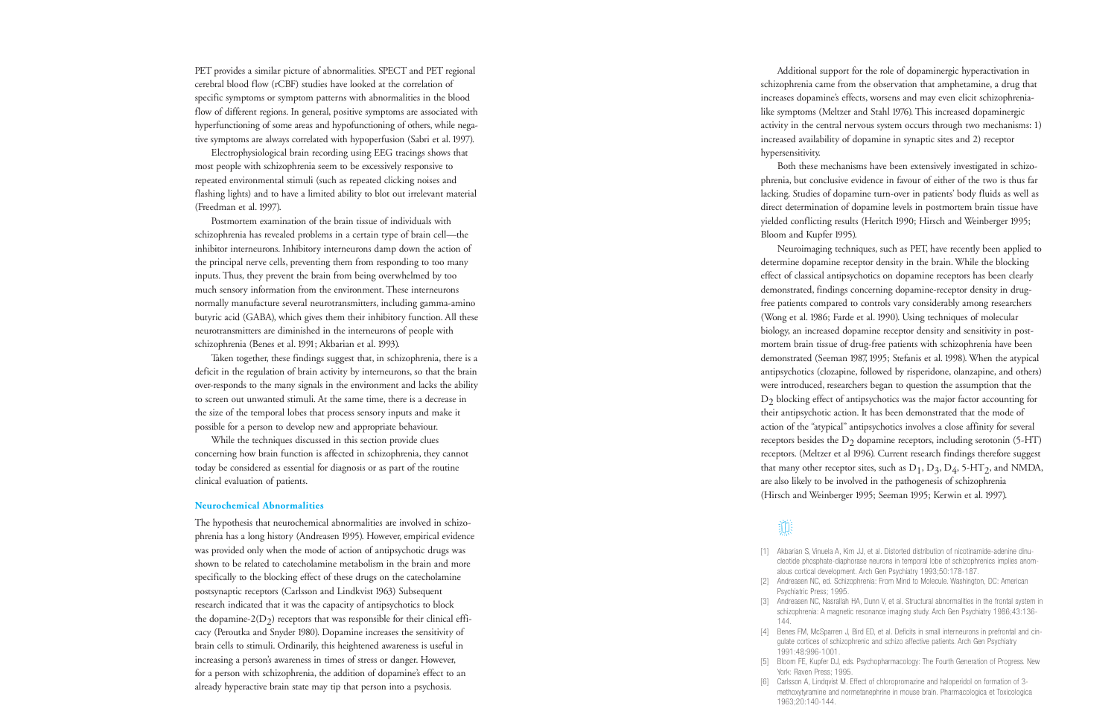PET provides a similar picture of abnormalities. SPECT and PET regional cerebral blood flow (rCBF) studies have looked at the correlation of specific symptoms or symptom patterns with abnormalities in the blood flow of different regions. In general, positive symptoms are associated with hyperfunctioning of some areas and hypofunctioning of others, while negative symptoms are always correlated with hypoperfusion (Sabri et al. 1997).

Electrophysiological brain recording using EEG tracings shows that most people with schizophrenia seem to be excessively responsive to repeated environmental stimuli (such as repeated clicking noises and flashing lights) and to have a limited ability to blot out irrelevant material (Freedman et al. 1997).

Postmortem examination of the brain tissue of individuals with schizophrenia has revealed problems in a certain type of brain cell—the inhibitor interneurons. Inhibitory interneurons damp down the action of the principal nerve cells, preventing them from responding to too many inputs. Thus, they prevent the brain from being overwhelmed by too much sensory information from the environment. These interneurons normally manufacture several neurotransmitters, including gamma-amino butyric acid (GABA), which gives them their inhibitory function. All these neurotransmitters are diminished in the interneurons of people with schizophrenia (Benes et al. 1991; Akbarian et al. 1993).

Taken together, these findings suggest that, in schizophrenia, there is a deficit in the regulation of brain activity by interneurons, so that the brain over-responds to the many signals in the environment and lacks the ability to screen out unwanted stimuli. At the same time, there is a decrease in the size of the temporal lobes that process sensory inputs and make it possible for a person to develop new and appropriate behaviour.

While the techniques discussed in this section provide clues concerning how brain function is affected in schizophrenia, they cannot today be considered as essential for diagnosis or as part of the routine clinical evaluation of patients.

#### **Neurochemical Abnormalities**

The hypothesis that neurochemical abnormalities are involved in schizo<sup>p</sup>hrenia has a long history (Andreasen 1995). However, empirical evidence was provided only when the mode of action of antipsychotic drugs was shown to be related to catecholamine metabolism in the brain and more specifically to the blocking effect of these drugs on the catecholamine postsynaptic receptors (Carlsson and Lindkvist 1963) Subsequent research indicated that it was the capacity of antipsychotics to block the dopamine-2(D<sub>2</sub>) receptors that was responsible for their clinical efficacy (Peroutka and Snyder 1980). Dopamine increases the sensitivity of brain cells to stimuli. Ordinarily, this heightened awareness is useful in increasing a person's awareness in times of stress or danger. However, for a person with schizophrenia, the addition of dopamine's effect to an already hyperactive brain state may tip that person into a psychosis.

[1] Akbarian S, Vinuela A, Kim JJ, et al. Distorted distribution of nicotinamide-adenine dinucleotide phosphate-diaphorase neurons in temporal lobe of schizophrenics implies anomalous cortical development. Arch Gen Psychiatry 1993;50:178-187.

[3] Andreasen NC, Nasrallah HA, Dunn V, et al. Structural abnormalities in the frontal system in schizophrenia: A magnetic resonance imaging study. Arch Gen Psychiatry 1986;43:136-

[4] Benes FM, McSparren J, Bird ED, et al. Deficits in small interneurons in prefrontal and cingulate cortices of schizophrenic and schizo affective patients. Arch Gen Psychiatry

Carlsson A, Lindqvist M. Effect of chloropromazine and haloperidol on formation of 3methoxytyramine and normetanephrine in mouse brain. Pharmacologica et Toxicologica

Additional support for the role of dopaminergic hyperactivation in schizophrenia came from the observation that amphetamine, a drug that increases dopamine's effects, worsens and may even elicit schizophrenialike symptoms (Meltzer and Stahl 1976). This increased dopaminergic activity in the central nervous system occurs through two mechanisms: 1) increased availability of dopamine in synaptic sites and 2) receptor hypersensitivity.

Both these mechanisms have been extensively investigated in schizophrenia, but conclusive evidence in favour of either of the two is thus far lacking. Studies of dopamine turn-over in patients' body fluids as well as direct determination of dopamine levels in postmortem brain tissue have yielded conflicting results (Heritch 1990; Hirsch and Weinberger 1995; Bloom and Kupfer 1995).

Neuroimaging techniques, such as PET, have recently been applied to determine dopamine receptor density in the brain. While the blocking effect of classical antipsychotics on dopamine receptors has been clearly demonstrated, findings concerning dopamine-receptor density in drugfree patients compared to controls vary considerably among researchers (Wong et al. 1986; Farde et al. 1990). Using techniques of molecular biology, an increased dopamine receptor density and sensitivity in postmortem brain tissue of drug-free patients with schizophrenia have been demonstrated (Seeman 1987, 1995; Stefanis et al. 1998). When the atypical antipsychotics (clozapine, followed by risperidone, olanzapine, and others) were introduced, researchers began to question the assumption that the D 2 blocking effect of antipsychotics was the major factor accounting for their antipsychotic action. It has been demonstrated that the mode of action of the "atypical" antipsychotics involves a close affinity for several receptors besides the  $\mathrm{D}_2$  dopamine receptors, including serotonin (5-HT) receptors. (Meltzer et al 1996). Current research findings therefore suggest that many other receptor sites, such as  $\mathrm{D}_1, \mathrm{D}_3, \mathrm{D}_4,$  5-HT $_2$ , and NMDA, are also likely to be involved in the pathogenesis of schizophrenia (Hirsch and Weinberger 1995; Seeman 1995; Kerwin et al. 1997).

# 扣

[2] Andreasen NC, ed. Schizophrenia: From Mind to Molecule. Washington, DC: American

- 
- Psychiatric Press; 1995.
- 144.
- 1991:48:996-1001.
- 
- 
- 1963;20:140-144.

[5] Bloom FE, Kupfer DJ, eds. Psychopharmacology: The Fourth Generation of Progress. New York: Raven Press; 1995.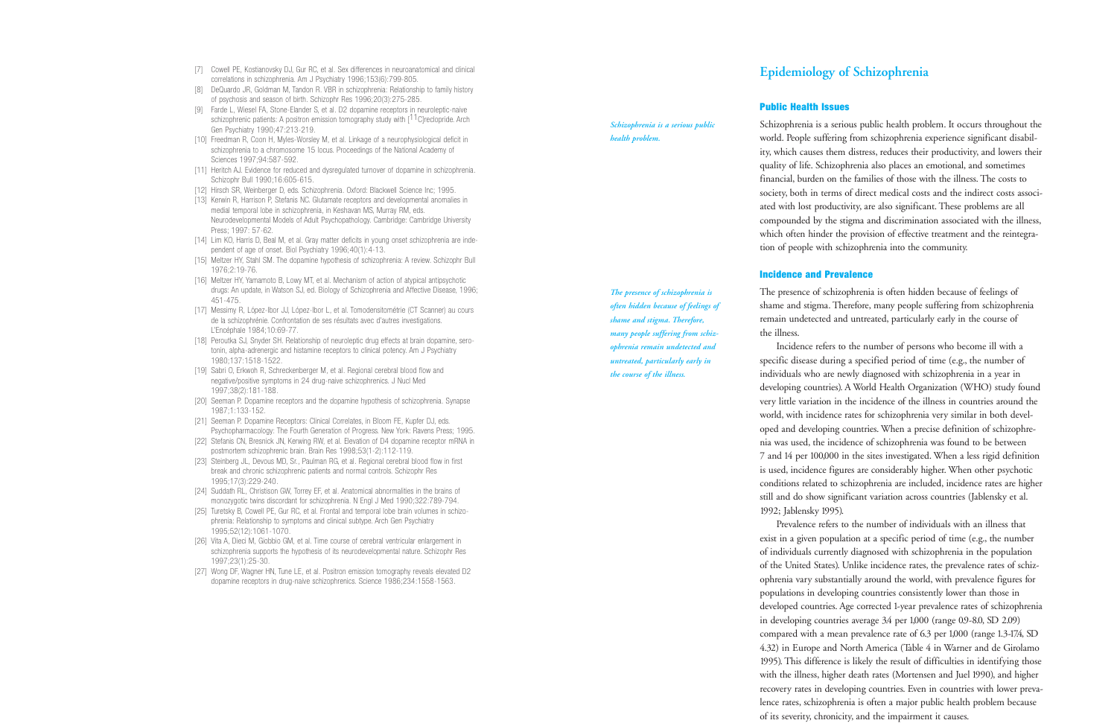# **Epidemiology of Schizophrenia**

### **Public Health Issues**

Schizophrenia is a serious public health problem. It occurs throughout the world. People suffering from schizophrenia experience significant disability, which causes them distress, reduces their productivity, and lowers their quality of life. Schizophrenia also places an emotional, and sometimes financial, burden on the families of those with the illness. The costs to society, both in terms of direct medical costs and the indirect costs associated with lost productivity, are also significant. These problems are all compounded by the stigma and discrimination associated with the illness, which often hinder the provision of effective treatment and the reintegration of people with schizophrenia into the community.

### **Incidence and Prevalence**

The presence of schizophrenia is often hidden because of feelings of shame and stigma. Therefore, many people suffering from schizophrenia remain undetected and untreated, particularly early in the course of

the illness.

Incidence refers to the number of persons who become ill with a specific disease during a specified period of time (e.g., the number of individuals who are newly diagnosed with schizophrenia in a year in developing countries). <sup>A</sup> World Health Organization (WHO) study found very little variation in the incidence of the illness in countries around the world, with incidence rates for schizophrenia very similar in both developed and developing countries. When a precise definition of schizophrenia was used, the incidence of schizophrenia was found to be between 7 and 14 per 100,000 in the sites investigated. When a less rigid definition is used, incidence figures are considerably higher. When other psychotic conditions related to schizophrenia are included, incidence rates are higher still and do show significant variation across countries (Jablensky et al. 1992; Jablensky 1995). Prevalence refers to the number of individuals with an illness that

exist in a given population at a specific period of time (e.g., the number of individuals currently diagnosed with schizophrenia in the population of the United States). Unlike incidence rates, the prevalence rates of schizophrenia vary substantially around the world, with prevalence figures for populations in developing countries consistently lower than those in developed countries. Age corrected 1-year prevalence rates of schizophrenia in developing countries average 3.4 per 1,000 (range 0.9-8.0, SD 2.09) compared with a mean prevalence rate of 6.3 per 1,000 (range 1.3-17.4, SD 4.32) in Europe and North America (Table 4 in Warner and de Girolamo 1995). This difference is likely the result of difficulties in identifying those with the illness, higher death rates (Mortensen and Juel 1990), and higher recovery rates in developing countries. Even in countries with lower prevalence rates, schizophrenia is often a major public health problem because of its severity, chronicity, and the impairment it causes.

- [7] Cowell PE, Kostianovsky DJ, Gur RC, et al. Sex differences in neuroanatomical and clinical correlations in schizophrenia. Am J Psychiatry 1996;153(6):799-805.
- [8] DeQuardo JR, Goldman M, Tandon R. VBR in schizophrenia: Relationship to family history of psychosis and season of birth. Schizophr Res 1996;20(3):275-285.
- [9] Farde L, Wiesel FA, Stone-Elander S, et al. D2 dopamine receptors in neuroleptic-naive schizophrenic patients: A positron emission tomography study with  $[11C]$ reclopride. Arch Gen Psychiatry 1990;47:213-219.
- [10] Freedman R, Coon H, Myles-Worsley M, et al. Linkage of a neurophysiological deficit in schizophrenia to a chromosome 15 locus. Proceedings of the National Academy of Sciences 1997;94:587-592.
- [11] Heritch AJ. Evidence for reduced and dysregulated turnover of dopamine in schizophrenia. Schizophr Bull 1990;16:605-615.
- [12] Hirsch SR, Weinberger D, eds. Schizophrenia. Oxford: Blackwell Science Inc; 1995.
- [13] Kerwin R, Harrison P, Stefanis NC. Glutamate receptors and developmental anomalies in medial temporal lobe in schizophrenia, in Keshavan MS, Murray RM, eds. Neurodevelopmental Models of Adult Psychopathology. Cambridge: Cambridge University Press; 1997: 57-62.
- [14] Lim KO, Harris D, Beal M, et al. Gray matter deficits in young onset schizophrenia are independent of age of onset. Biol Psychiatry 1996;40(1):4-13.
- [15] Meltzer HY, Stahl SM. The dopamine hypothesis of schizophrenia: A review. Schizophr Bull 1976;2:19-76.
- [16] Meltzer HY, Yamamoto B, Lowy MT, et al. Mechanism of action of atypical antipsychotic drugs: An update, in Watson SJ, ed. Biology of Schizophrenia and Affective Disease, 1996; 451-475.
- [17] Messimy R, López-Ibor JJ, López-Ibor L, et al. Tomodensitométrie (CT Scanner) au cours de la schizophrénie. Confrontation de ses résultats avec d'autres investigations. L'Encéphale 1984;10:69-77.
- [18] Peroutka SJ, Snyder SH. Relationship of neuroleptic drug effects at brain dopamine, serotonin, alpha-adrenergic and histamine receptors to clinical potency. Am J Psychiatry 1980;137:1518-1522.
- [19] Sabri O, Erkwoh R, Schreckenberger M, et al. Regional cerebral blood flow and negative/positive symptoms in 24 drug-naive schizophrenics. J Nucl Med 1997;38(2):181-188.
- [20] Seeman P. Dopamine receptors and the dopamine hypothesis of schizophrenia. Synapse 1987;1:133-152.
- [21] Seeman P. Dopamine Receptors: Clinical Correlates, in Bloom FE, Kupfer DJ, eds. Psychopharmacology: The Fourth Generation of Progress. New York: Ravens Press; 1995.
- [22] Stefanis CN, Bresnick JN, Kerwing RW, et al. Elevation of D4 dopamine receptor mRNA in postmortem schizophrenic brain. Brain Res 1998;53(1-2):112-119.
- [23] Steinberg JL, Devous MD, Sr., Paulman RG, et al. Regional cerebral blood flow in first break and chronic schizophrenic patients and normal controls. Schizophr Res 1995;17(3):229-240.
- [24] Suddath RL, Christison GW, Torrey EF, et al. Anatomical abnormalities in the brains of monozygotic twins discordant for schizophrenia. N Engl J Med 1990;322:789-794.
- [25] Turetsky B, Cowell PE, Gur RC, et al. Frontal and temporal lobe brain volumes in schizophrenia: Relationship to symptoms and clinical subtype. Arch Gen Psychiatry 1995;52(12):1061-1070.
- [26] Vita A, Dieci M, Giobbio GM, et al. Time course of cerebral ventricular enlargement in schizophrenia supports the hypothesis of its neurodevelopmental nature. Schizophr Res 1997;23(1):25-30.
- [27] Wong DF, Wagner HN, Tune LE, et al. Positron emission tomography reveals elevated D2 dopamine receptors in drug-naive schizophrenics. Science 1986;234:1558-1563.

*Schizophrenia is a serious public health problem.*

*The presence of schizophrenia is often hidden because of feelings of shame and stigma. Therefore, many people suffering from schizophrenia remain undetected and untreated, particularly early in the course of the illness.*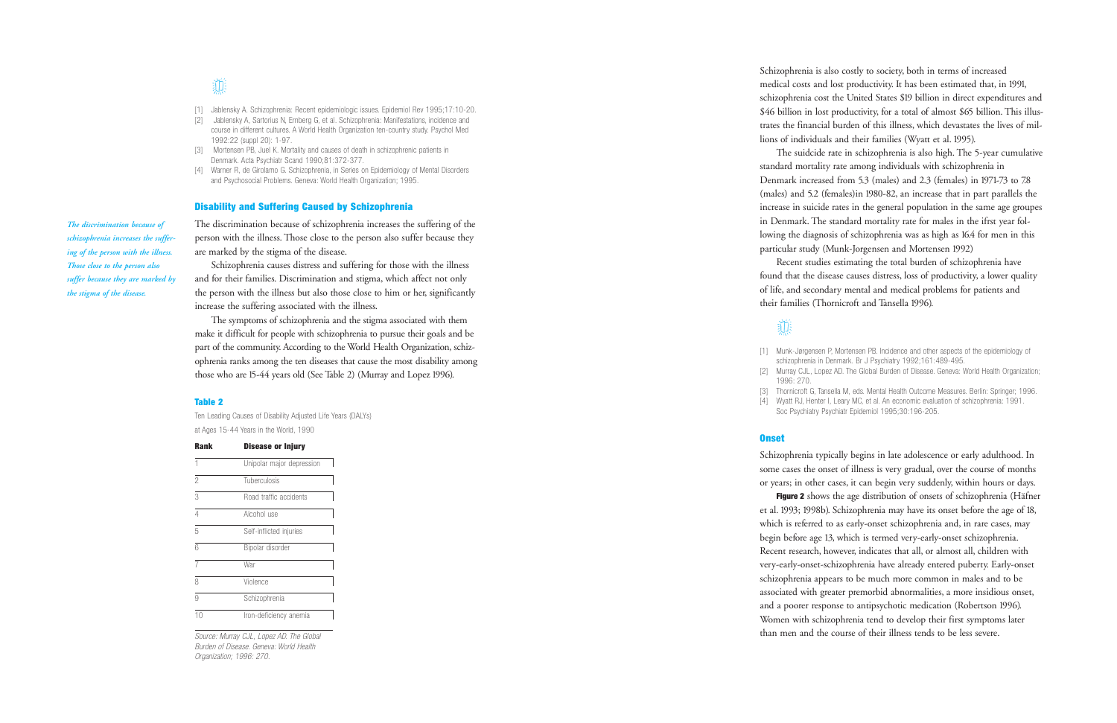# 洫

- [1] Jablensky A. Schizophrenia: Recent epidemiologic issues. Epidemiol Rev 1995;17:10-20.
- Jablensky A, Sartorius N, Ernberg G, et al. Schizophrenia: Manifestations, incidence and course in different cultures. A World Health Organization ten-country study. Psychol Med 1992:22 (suppl 20): 1-97.
- [3] Mortensen PB, Juel K. Mortality and causes of death in schizophrenic patients in Denmark. Acta Psychiatr Scand 1990;81:372-377.
- [4] Warner R, de Girolamo G. Schizophrenia, in Series on Epidemiology of Mental Disorders and Psychosocial Problems. Geneva: World Health Organization; 1995.

### **Disability and Suffering Caused by Schizophrenia**

The discrimination because of schizophrenia increases the suffering of the person with the illness. Those close to the person also suffer because they are marked by the stigma of the disease.

Schizophrenia causes distress and suffering for those with the illness and for their families. Discrimination and stigma, which affect not only the person with the illness but also those close to him or her, significantly increase the suffering associated with the illness.

The symptoms of schizophrenia and the stigma associated with them make it difficult for people with schizophrenia to pursue their goals and be part of the community. According to the World Health Organization, schizophrenia ranks among the ten diseases that cause the most disability among those who are 15-44 years old (See Table 2) (Murray and Lopez 1996).

### **Table 2**

Ten Leading Causes of Disability Adjusted Life Years (DALYs) at Ages 15-44 Years in the World, 1990

[1] Munk-Jørgensen P, Mortensen PB. Incidence and other aspects of the epidemiology of schizophrenia in Denmark. Br J Psychiatry 1992;161:489-495. [2] Murray CJL, Lopez AD. The Global Burden of Disease. Geneva: World Health Organization;

| <b>Rank</b>              | <b>Disease or Injury</b>  |  |  |
|--------------------------|---------------------------|--|--|
| 1                        | Unipolar major depression |  |  |
| $\overline{\phantom{a}}$ | Tuberculosis              |  |  |
| 3                        | Road traffic accidents    |  |  |
| $\overline{4}$           | Alcohol use               |  |  |
| 5                        | Self-inflicted injuries   |  |  |
| 6                        | Bipolar disorder          |  |  |
| 7                        | War                       |  |  |
| 8                        | Violence                  |  |  |
| 9                        | Schizophrenia             |  |  |
| 10                       | Iron-deficiency anemia    |  |  |

Source: Murray CJL, Lopez AD. The Global Burden of Disease. Geneva: World Health Organization; 1996: 270.

Schizophrenia is also costly to society, both in terms of increased medical costs and lost productivity. It has been estimated that, in 1991, schizophrenia cost the United States \$19 billion in direct expenditures and \$46 billion in lost productivity, for a total of almost \$65 billion. This illustrates the financial burden of this illness, which devastates the lives of millions of individuals and their families (Wyatt et al. 1995).

The suidcide rate in schizophrenia is also high. The 5-year cumulative standard mortality rate among individuals with schizophrenia in Denmark increased from 5.3 (males) and 2.3 (females) in 1971-73 to 7.8 (males) and 5.2 (females)in 1980-82, an increase that in part parallels the increase in suicide rates in the general population in the same age groupes in Denmark. The standard mortality rate for males in the ifrst year following the diagnosis of schizophrenia was as high as 16.4 for men in this particular study (Munk-Jorgensen and Mortensen 1992)

Recent studies estimating the total burden of schizophrenia have found that the disease causes distress, loss of productivity, a lower quality of life, and secondary mental and medical problems for patients and their families (Thornicroft and Tansella 1996).

# 瓣

- 
- 1996: 270.
- 
- 

[3] Thornicroft G, Tansella M, eds. Mental Health Outcome Measures. Berlin: Springer; 1996. [4] Wyatt RJ, Henter I, Leary MC, et al. An economic evaluation of schizophrenia: 1991. Soc Psychiatry Psychiatr Epidemiol 1995;30:196-205.

### **Onset**

Schizophrenia typically begins in late adolescence or early adulthood. In some cases the onset of illness is very gradual, over the course of months or years; in other cases, it can begin very suddenly, within hours or days. **Figure 2** shows the age distribution of onsets of schizophrenia (Häfner et al. 1993; 1998b). Schizophrenia may have its onset before the age of 18, which is referred to as early-onset schizophrenia and, in rare cases, may begin before age 13, which is termed very-early-onset schizophrenia. Recent research, however, indicates that all, or almost all, children with very-early-onset-schizophrenia have already entered puberty. Early-onset schizophrenia appears to be much more common in males and to be associated with greater premorbid abnormalities, a more insidious onset, and a poorer response to antipsychotic medication (Robertson 1996). Women with schizophrenia tend to develop their first symptoms later than men and the course of their illness tends to be less severe.

*The discrimination because of schizophrenia increases the suffering of the person with the illness. Those close to the person also suffer because they are marked by the stigma of the disease.*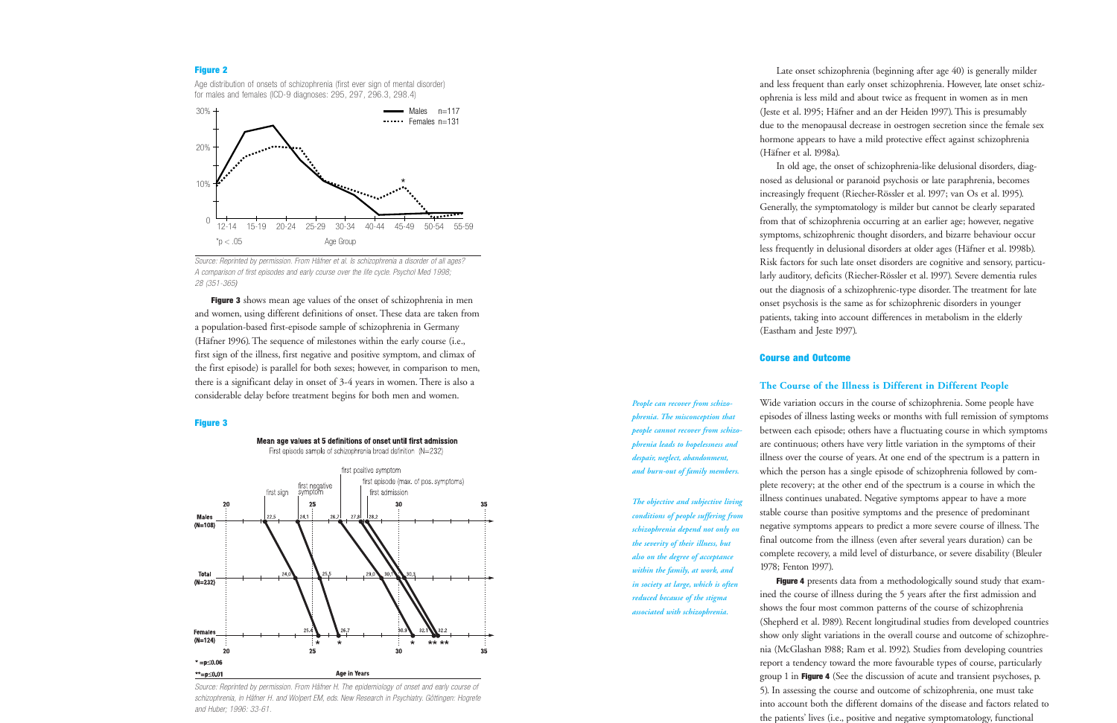### **Figure 2**

Age distribution of onsets of schizophrenia (first ever sign of mental disorder) for males and females (ICD-9 diagnoses: 295, 297, 296.3, 298.4)

**Figure 3** shows mean age values of the onset of schizophrenia in men and women, using different definitions of onset. These data are taken from a population-based first-episode sample of schizophrenia in Germany (Häfner 1996). The sequence of milestones within the early course (i.e., first sign of the illness, first negative and positive symptom, and climax of the first episode) is parallel for both sexes; however, in comparison to men, there is a significant delay in onset of 3-4 years in women. There is also a considerable delay before treatment begins for both men and women.



Source: Reprinted by permission. From Häfner et al. Is schizophrenia a disorder of all ages? A comparison of first episodes and early course over the life cycle. Psychol Med 1998; 28 (351-365)

#### **Figure 3**

Mean age values at 5 definitions of onset until first admission First episode sample of schizophrenia broad definition (N=232)



Source: Reprinted by permission. From Häfner H. The epidemiology of onset and early course of schizophrenia, in Häfner H. and Wolpert EM, eds. New Research in Psychiatry. Göttingen: Hogrefe and Huber; 1996: 33-61.

Late onset schizophrenia (beginning after age 40) is generally milder and less frequent than early onset schizophrenia. However, late onset schizophrenia is less mild and about twice as frequent in women as in men (Jeste et al. 1995; Häfner and an der Heiden 1997). This is presumably due to the menopausal decrease in oestrogen secretion since the female sex hormone appears to have a mild protective effect against schizophrenia (Häfner et al. 1998a).

In old age, the onset of schizophrenia-like delusional disorders, diagnosed as delusional or paranoid psychosis or late paraphrenia, becomes increasingly frequent (Riecher-Rössler et al. 1997; van Os et al. 1995). Generally, the symptomatology is milder but cannot be clearly separated from that of schizophrenia occurring at an earlier age; however, negative symptoms, schizophrenic thought disorders, and bizarre behaviour occur less frequently in delusional disorders at older ages (Häfner et al. 1998b). Risk factors for such late onset disorders are cognitive and sensory, particularly auditory, deficits (Riecher-Rössler et al. 1997). Severe dementia rules out the diagnosis of a schizophrenic-type disorder. The treatment for late onset psychosis is the same as for schizophrenic disorders in younger patients, taking into account differences in metabolism in the elderly (Eastham and Jeste 1997).

## **Course and Outcome**

# **The Course of the Illness is Different in Different People**

Wide variation occurs in the course of schizophrenia. Some people have episodes of illness lasting weeks or months with full remission of symptoms between each episode; others have a fluctuating course in which symptoms are continuous; others have very little variation in the symptoms of their illness over the course of years. At one end of the spectrum is a pattern in which the person has a single episode of schizophrenia followed by complete recovery; at the other end of the spectrum is a course in which the illness continues unabated. Negative symptoms appear to have a more stable course than positive symptoms and the presence of predominant negative symptoms appears to predict a more severe course of illness. The final outcome from the illness (even after several years duration) can be complete recovery, a mild level of disturbance, or severe disability (Bleuler 1978; Fenton 1997).

**Figure 4** presents data from a methodologically sound study that examined the course of illness during the 5 years after the first admission and shows the four most common patterns of the course of schizophrenia (Shepherd et al. 1989). Recent longitudinal studies from developed countries show only slight variations in the overall course and outcome of schizophrenia (McGlashan 1988; Ram et al. 1992). Studies from developing countries report a tendency toward the more favourable types of course, particularly group <sup>1</sup> in **Figure 4** (See the discussion of acute and transient psychoses, p. 5). In assessing the course and outcome of schizophrenia, one must take into account both the different domains of the disease and factors related tothe patients' lives (i.e., positive and negative symptomatology, functional

*People can recover from schizophrenia. The misconception that people cannot recover from schizophrenia leads to hopelessness and despair, neglect, abandonment, and burn-out of family members.*

*The objective and subjective living conditions of people suffering from schizophrenia depend not only on the severity of their illness, but also on the degree of acceptance within the family, at work, and in society at large, which is often reduced because of the stigma associated with schizophrenia.*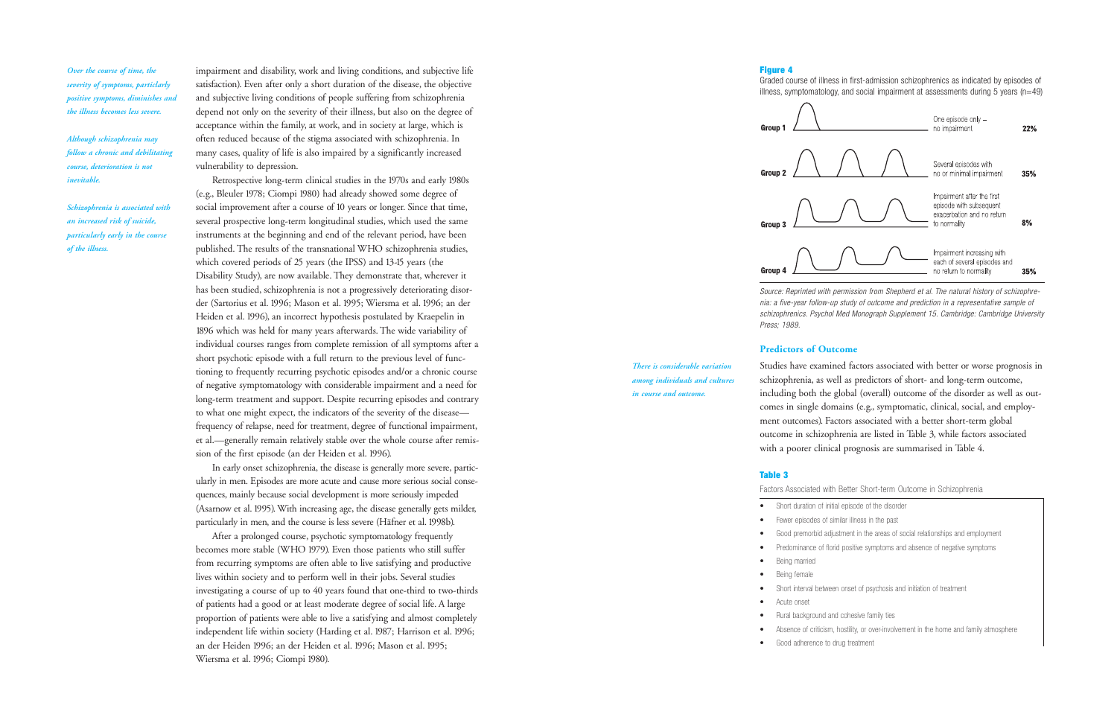impairment and disability, work and living conditions, and subjective life satisfaction). Even after only a short duration of the disease, the objective and subjective living conditions of people suffering from schizophrenia depend not only on the severity of their illness, but also on the degree of acceptance within the family, at work, and in society at large, which is often reduced because of the stigma associated with schizophrenia. In many cases, quality of life is also impaired by a significantly increased vulnerability to depression.

Retrospective long-term clinical studies in the 1970s and early 1980s (e.g., Bleuler 1978; Ciompi 1980) had already showed some degree of social improvement after a course of 10 years or longer. Since that time, several prospective long-term longitudinal studies, which used the same instruments at the beginning and end of the relevant period, have been published. The results of the transnational WHO schizophrenia studies, which covered periods of 25 years (the IPSS) and 13-15 years (the Disability Study), are now available. They demonstrate that, wherever it has been studied, schizophrenia is not a progressively deteriorating disorder (Sartorius et al. 1996; Mason et al. 1995; Wiersma et al. 1996; an der Heiden et al. 1996), an incorrect hypothesis postulated by Kraepelin in 1896 which was held for many years afterwards. The wide variability of individual courses ranges from complete remission of all symptoms after a short psychotic episode with a full return to the previous level of functioning to frequently recurring psychotic episodes and/or a chronic course of negative symptomatology with considerable impairment and a need for long-term treatment and support. Despite recurring episodes and contrary to what one might expect, the indicators of the severity of the disease frequency of relapse, need for treatment, degree of functional impairment, et al.—generally remain relatively stable over the whole course after remission of the first episode (an der Heiden et al. 1996).

Graded course of illness in first-admission schizophrenics as indicated by episodes of illness, symptomatology, and social impairment at assessments during 5 years (n=49)



In early onset schizophrenia, the disease is generally more severe, particularly in men. Episodes are more acute and cause more serious social consequences, mainly because social development is more seriously impeded (Asarnow et al. 1995). With increasing age, the disease generally gets milder, particularly in men, and the course is less severe (Häfner et al. 1998b).

After a prolonged course, psychotic symptomatology frequently becomes more stable (WHO 1979). Even those patients who still suffer from recurring symptoms are often able to live satisfying and productive lives within society and to perform well in their jobs. Several studies investigating a course of up to 40 years found that one-third to two-thirds of patients had a good or at least moderate degree of social life. <sup>A</sup> large proportion of patients were able to live a satisfying and almost completely independent life within society (Harding et al. 1987; Harrison et al. 1996; an der Heiden 1996; an der Heiden et al. 1996; Mason et al. 1995; Wiersma et al. 1996; Ciompi 1980).

#### **Figure 4**



Groun



Source: Reprinted with permission from Shepherd et al. The natural history of schizophrenia: a five-year follow-up study of outcome and prediction in a representative sample of schizophrenics. Psychol Med Monograph Supplement 15. Cambridge: Cambridge University

Press; 1989.

### **Predictors of Outcome**

Studies have examined factors associated with better or worse prognosis in schizophrenia, as well as predictors of short- and long-term outcome, including both the global (overall) outcome of the disorder as well as outcomes in single domains (e.g., symptomatic, clinical, social, and employment outcomes). Factors associated with a better short-term global outcome in schizophrenia are listed in Table 3, while factors associated with a poorer clinical prognosis are summarised in Table 4.

#### **Table 3**

Factors Associated with Better Short-term Outcome in Schizophrenia

Short duration of initial episode of the disorder

- •
- •
- •

Fewer episodes of similar illness in the past

Good premorbid adjustment in the areas of social relationships and employment

Predominance of florid positive symptoms and absence of negative symptoms

•

Short interval between onset of psychosis and initiation of treatment

- •
- Being married
- •Being female
- •
- •Acute onset
- •
- •
- •

Rural background and cohesive family ties

Absence of criticism, hostility, or over-involvement in the home and family atmosphere

Good adherence to drug treatment

*Over the course of time, the severity of symptoms, particlarly positive symptoms, diminishes and the illness becomes less severe.*

*Although schizophrenia may follow a chronic and debilitating course, deterioration is not inevitable.*

*Schizophrenia is associated with an increased risk of suicide, particularly early in the course of the illness.*

> *There is considerable variationamong individuals and cultures*

*in course and outcome.*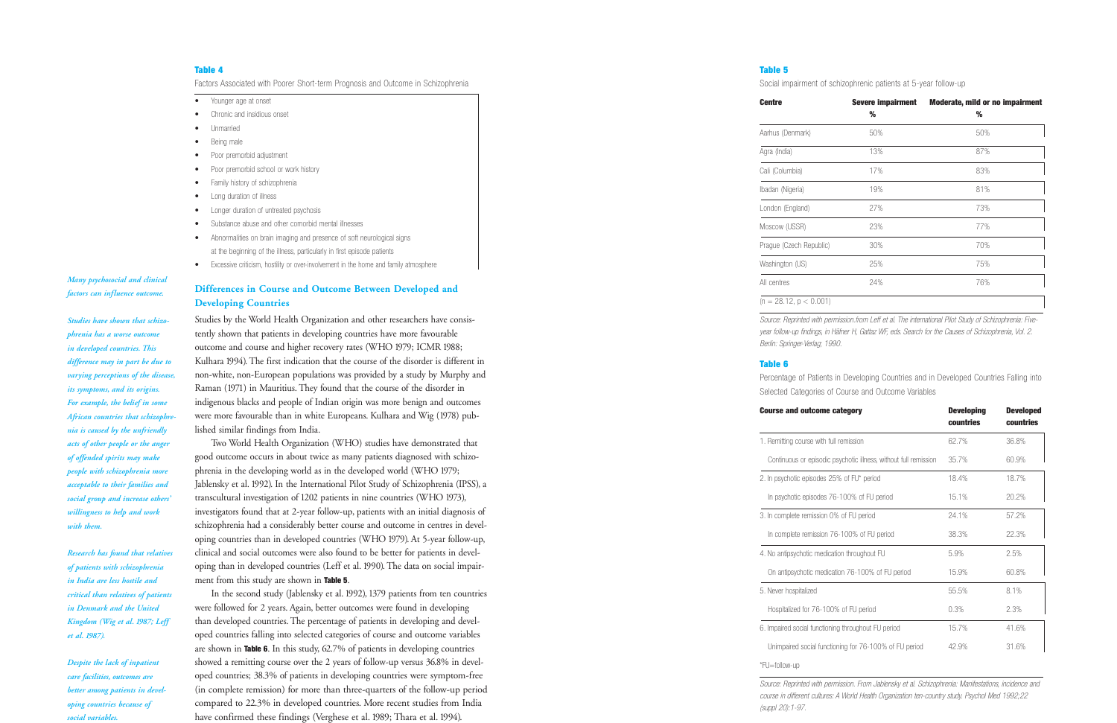#### **Table 5**

Aarhus (Denmark)

Social impairment of schizophrenic patients at 5-year follow-up

| Centre                   | <b>Severe impairment</b><br>℅ | <b>Moderate, mild or no impairment</b><br>℅ |
|--------------------------|-------------------------------|---------------------------------------------|
| Aarhus (Denmark)         | 50%                           | 50%                                         |
| Agra (India)             | 13%                           | 87%                                         |
| Cali (Columbia)          | 17%                           | 83%                                         |
| Ibadan (Nigeria)         | 19%                           | 81%                                         |
| London (England)         | 27%                           | 73%                                         |
| Moscow (USSR)            | 23%                           | 77%                                         |
| Prague (Czech Republic)  | 30%                           | 70%                                         |
| Washington (US)          | 25%                           | 75%                                         |
| All centres              | 24%                           | 76%                                         |
| $(n = 28.12, p < 0.001)$ |                               |                                             |

Source: Reprinted with permission.from Leff et al. The international Pilot Study of Schizophrenia: Fiveyear follow-up findings, in Häfner H, Gattaz WF, eds. Search for the Causes of Schizophrenia, Vol. 2.

Berlin: Springer-Verlag; 1990.

### **Table 6**

Percentage of Patients in Developing Countries and in Developed Countries Falling into Selected Categories of Course and Outcome Variables

# **Course and outcor**

1. Remitting course with

Continuous or episo

2. In psychotic episode

In psychotic episod

3. In complete remissi

In complete remissi

4. No antipsychotic me

On antipsychotic me

5. Never hospitalized

Hospitalized for 76

6. Impaired social fund

Unimpaired social f

| ne category                                    | <b>Developing</b><br><b>countries</b> | <b>Developed</b><br>countries |
|------------------------------------------------|---------------------------------------|-------------------------------|
| th full remission                              | 62.7%                                 | 36.8%                         |
| odic psychotic illness, without full remission | 35.7%                                 | 60.9%                         |
| es 25% of FU* period                           | 18.4%                                 | 18.7%                         |
| es 76-100% of FU period                        | 15.1%                                 | 20.2%                         |
| on 0% of FU period                             | 24.1%                                 | 57.2%                         |
| on 76-100% of FU period                        | 38.3%                                 | 22.3%                         |
| edication throughout FU                        | 5.9%                                  | 2.5%                          |
| edication 76-100% of FU period                 | 15.9%                                 | 60.8%                         |
|                                                | 55.5%                                 | 8.1%                          |
| 100% of FU period                              | 0.3%                                  | 2.3%                          |
| tioning throughout FU period                   | 15.7%                                 | 41.6%                         |
| unctioning for 76-100% of FU period            | 42.9%                                 | 31.6%                         |

\*FU=follow-up

Source: Reprinted with permission. From Jablensky et al. Schizophrenia: Manifestations, incidence and course in different cultures: A World Health Organization ten-country study. Psychol Med 1992;22

(suppl 20):1-97.

### **Table 4**

Factors Associated with Poorer Short-term Prognosis and Outcome in Schizophrenia

- Younger age at onset
- •Chronic and insidious onset
- •Unmarried
- •Being male
- •Poor premorbid adjustment
- •Poor premorbid school or work history
- •Family history of schizophrenia
- •Long duration of illness
- •Longer duration of untreated psychosis
- •Substance abuse and other comorbid mental illnesses
- • Abnormalities on brain imaging and presence of soft neurological signs at the beginning of the illness, particularly in first episode patients
- Excessive criticism, hostility or over-involvement in the home and family atmosphere

# **Differences in Course and Outcome Between Developed and Developing Countries**

Studies by the World Health Organization and other researchers have consistently shown that patients in developing countries have more favourable outcome and course and higher recovery rates (WHO 1979; ICMR 1988; Kulhara 1994). The first indication that the course of the disorder is different in non-white, non-European populations was provided by a study by Murphy and Raman (1971) in Mauritius. They found that the course of the disorder in indigenous blacks and people of Indian origin was more benign and outcomes were more favourable than in white Europeans. Kulhara and Wig (1978) published similar findings from India.

Two World Health Organization (WHO) studies have demonstrated that good outcome occurs in about twice as many patients diagnosed with schizo<sup>p</sup>hrenia in the developing world as in the developed world (WHO 1979; Jablensky et al. 1992). In the International Pilot Study of Schizophrenia (IPSS), <sup>a</sup> transcultural investigation of 1202 patients in nine countries (WHO 1973), investigators found that at 2-year follow-up, patients with an initial diagnosis of schizophrenia had a considerably better course and outcome in centres in developing countries than in developed countries (WHO 1979). At 5-year follow-up, clinical and social outcomes were also found to be better for patients in developing than in developed countries (Leff et al. 1990). The data on social impairment from this study are shown in **Table 5**.

In the second study (Jablensky et al. 1992), 1379 patients from ten countries were followed for 2 years. Again, better outcomes were found in developing than developed countries. The percentage of patients in developing and developed countries falling into selected categories of course and outcome variables are shown in **Table 6**. In this study, 62.7% of patients in developing countries showed a remitting course over the 2 years of follow-up versus 36.8% in developed countries; 38.3% of patients in developing countries were symptom-free (in complete remission) for more than three-quarters of the follow-up period compared to 22.3% in developed countries. More recent studies from India have confirmed these findings (Verghese et al. 1989; Thara et al. 1994).

## *Many psychosocial and clinical factors can influence outcome.*

*Studies have shown that schizophrenia has a worse outcome in developed countries. This difference may in part be due to varying perceptions of the disease, its symptoms, and its origins. For example, the belief in some African countries that schizophrenia is caused by the unfriendly acts of other people or the anger of offended spirits may make people with schizophrenia more acceptable to their families and social group and increase others' willingness to help and work with them.*

*Research has found that relatives of patients with schizophrenia in India are less hostile and critical than relatives of patients in Denmark and the United Kingdom (Wig et al. 1987; Leff et al. 1987).*

*Despite the lack of inpatient care facilities, outcomes are better among patients in developing countries because of social variables.*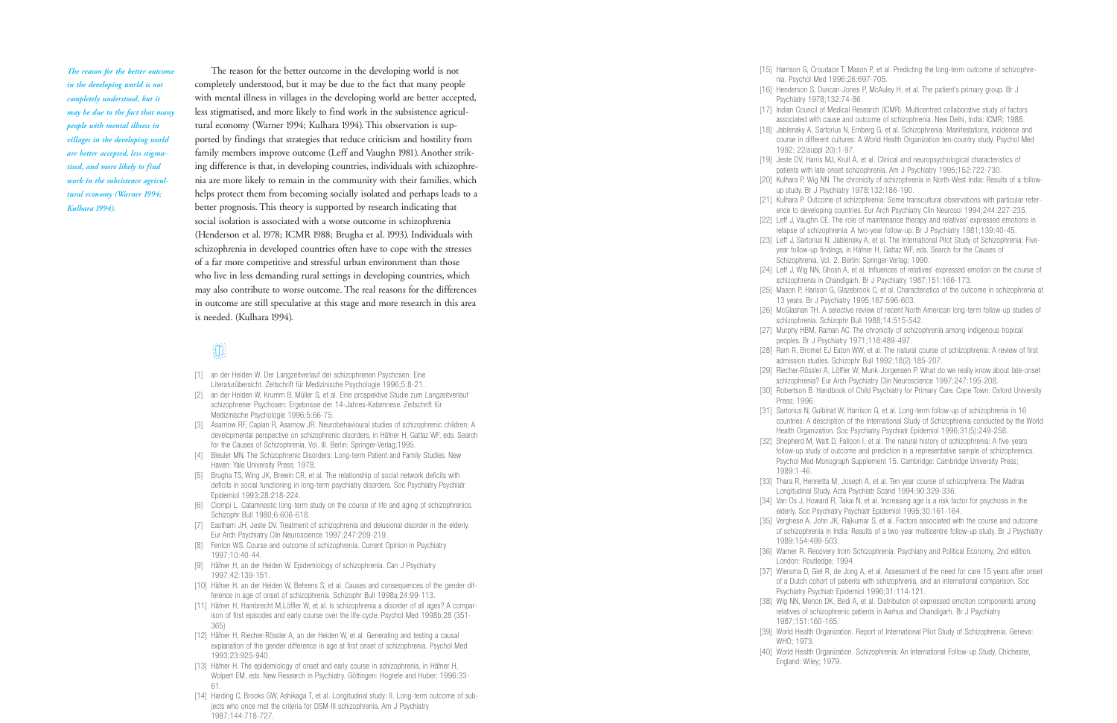[15] Harrison G, Croudace T, Mason P, et al. Predicting the long-term outcome of schizophrenia. Psychol Med 1996;26:697-705.

[16] Henderson S, Duncan-Jones P, McAuley H, et al. The patient's primary group. Br J

[17] Indian Council of Medical Research (ICMR). Multicentred collaborative study of factors associated with cause and outcome of schizophrenia. New Delhi, India: ICMR; 1988. [18] Jablensky A, Sartorius N, Ernberg G, et al. Schizophrenia: Manifestations, incidence and course in different cultures: A World Health Organization ten-country study. Psychol Med

[20] Kulhara P, Wig NN. The chronicity of schizophrenia in North-West India: Results of a followup study. Br J Psychiatry 1978;132:186-190.

[21] Kulhara P. Outcome of schizophrenia: Some transcultural observations with particular reference to developing countries. Eur Arch Psychiatry Clin Neurosci 1994;244:227-235.

[22] Leff J, Vaughn CE. The role of maintenance therapy and relatives' expressed emotions in relapse of schizophrenia: A two-year follow-up. Br J Psychiatry 1981;139:40-45.

[19] Jeste DV, Harris MJ, Krull A, et al. Clinical and neuropsychological characteristics of patients with late onset schizophrenia. Am J Psychiatry 1995;152:722-730.

[23] Leff J, Sartorius N, Jablensky A, et al. The International Pilot Study of Schizophrenia: Fiveyear follow-up findings, in Häfner H, Gattaz WF, eds. Search for the Causes of Schizophrenia, Vol. 2. Berlin: Springer-Verlag; 1990.

[24] Leff J, Wig NN, Ghosh A, et al. Influences of relatives' expressed emotion on the course of schizophrenia in Chandigarh. Br J Psychiatry 1987;151:166-173.

[25] Mason P, Harison G, Glazebrook C, et al. Characteristics of the outcome in schizophrenia at 13 years. Br J Psychiatry 1995;167:596-603.

[26] McGlashan TH. A selective review of recent North American long-term follow-up studies of schizophrenia. Schizophr Bull 1988;14:515-542.

[27] Murphy HBM, Raman AC. The chronicity of schizophrenia among indigenous tropical peoples. Br J Psychiatry 1971;118:489-497.

[28] Ram R, Bromet EJ Eaton WW, et al. The natural course of schizophrenia: A review of first admission studies. Schizophr Bull 1992;18(2):185-207.

[29] Riecher-Rössler A, Löffler W, Munk-Jorgensen P. What do we really know about late-onset schizophrenia? Eur Arch Psychiatry Clin Neuroscience 1997;247:195-208.

[30] Robertson B. Handbook of Child Psychiatry for Primary Care. Cape Town: Oxford University

[32] Shepherd M, Watt D, Falloon I, et al. The natural history of schizophrenia: A five-years follow-up study of outcome and prediction in a representative sample of schizophrenics. Psychol Med Monograph Supplement 15. Cambridge: Cambridge University Press;

[33] Thara R, Henreitta M, Joseph A, et al. Ten year course of schizophrenia: The Madras Longitudinal Study. Acta Psychiatr Scand 1994;90:329-336.

[34] Van Os J, Howard R, Takai N, et al. Increasing age is a risk factor for psychosis in the elderly. Soc Psychiatry Psychiatr Epidemiol 1995;30:161-164.

[35] Verghese A, John JK, Rajkumar S, et al. Factors associated with the course and outcome of schizophrenia in India: Results of a two-year multicentre follow-up study. Br J Psychiatry

[36] Warner R. Recovery from Schizophrenia: Psychiatry and Political Economy, 2nd edition.

[37] Wiersma D, Giel R, de Jong A, et al. Assessment of the need for care 15 years after onset of a Dutch cohort of patients with schizophrenia, and an international comparison. Soc Psychiatry Psychiatr Epidemiol 1996;31:114-121.

[38] Wig NN, Menon DK, Bedi A, et al. Distribution of expressed emotion components among relatives of schizophrenic patients in Aarhus and Chandigarh. Br J Psychiatry

[39] World Health Organization. Report of International Pilot Study of Schizophrenia. Geneva:

[40] World Health Organization. Schizophrenia: An International Follow-up Study, Chichester,

- 
- 
- Psychiatry 1978;132:74-86.
- 
- 1992; 22(suppl 20):1-97.
- 
- 
- 
- 
- 
- 
- 
- 
- 
- 
- Press; 1996.
- 
- 1989:1-46.
- 
- 
- 1989;154:499-503.
- London: Routledge; 1994.
- 
- 1987;151:160-165.
- WHO; 1973.
- - England: Wiley; 1979.

[31] Sartorius N, Gulbinat W, Harrison G, et al. Long-term follow-up of schizophrenia in 16 countries: A description of the International Study of Schizophrenia conducted by the World Health Organization. Soc Psychiatry Psychiatr Epidemiol 1996;31(5):249-258.

- [1] an der Heiden W. Der Langzeitverlauf der schizophrenen Psychosen: Eine Literaturübersicht. Zeitschrift für Medizinische Psychologie 1996;5:8-21.
- [2] an der Heiden W, Krumm B, Müller S, et al. Eine prospektive Studie zum Langzeitverlauf schizophrener Psychosen: Ergebnisse der 14-Jahres-Katamnese. Zeitschrift für Medizinische Psychologie 1996;5:66-75.
- [3] Asarnow RF, Caplan R, Asarnow JR. Neurobehavioural studies of schizophrenic children: A developmental perspective on schizophrenic disorders, in Häfner H, Gattaz WF, eds. Search for the Causes of Schizophrenia, Vol. III. Berlin: Springer-Verlag;1995.
- [4] Bleuler MN. The Schizophrenic Disorders: Long-term Patient and Family Studies. New Haven: Yale University Press; 1978.
- [5] Brugha TS, Wing JK, Brewin CR, et al. The relationship of social network deficits with deficits in social functioning in long-term psychiatry disorders. Soc Psychiatry Psychiatr Epidemiol 1993;28:218-224.
- [6] Ciompi L. Catamnestic long-term study on the course of life and aging of schizophrenics. Schizophr Bull 1980;6:606-618.
- [7] Eastham JH, Jeste DV. Treatment of schizophrenia and delusional disorder in the elderly. Eur Arch Psychiatry Clin Neuroscience 1997;247:209-219.
- [8] Fenton WS. Course and outcome of schizophrenia. Current Opinion in Psychiatry 1997;10:40-44.
- [9] Häfner H, an der Heiden W. Epidemiology of schizophrenia. Can J Psychiatry 1997;42:139-151.
- [10] Häfner H, an der Heiden W, Behrens S, et al. Causes and consequences of the gender difference in age of onset of schizophrenia. Schizophr Bull 1998a;24:99-113.
- [11] Häfner H, Hambrecht M, Löffler W, et al. Is schizophrenia a disorder of all ages? A comparison of first episodes and early course over the life-cycle. Psychol Med 1998b;28 (351- 365)
- [12] Häfner H, Riecher-Rössler A, an der Heiden W, et al. Generating and testing a causal explanation of the gender difference in age at first onset of schizophrenia. Psychol Med 1993;23:925-940.
- [13] Häfner H. The epidemiology of onset and early course in schizophrenia, in Häfner H, Wolpert EM, eds. New Research in Psychiatry. Göttingen: Hogrefe and Huber; 1996:33- 61.
- [14] Harding C, Brooks GW, Ashikaga T, et al. Longitudinal study: II. Long-term outcome of subjects who once met the criteria for DSM-III schizophrenia. Am J Psychiatry 1987;144:718-727.

The reason for the better outcome in the developing world is not completely understood, but it may be due to the fact that many people with mental illness in villages in the developing world are better accepted, less stigmatised, and more likely to find work in the subsistence agricultural economy (Warner 1994; Kulhara 1994). This observation is supported by findings that strategies that reduce criticism and hostility from family members improve outcome (Leff and Vaughn 1981). Another striking difference is that, in developing countries, individuals with schizophrenia are more likely to remain in the community with their families, which helps protect them from becoming socially isolated and perhaps leads to a better prognosis. This theory is supported by research indicating that social isolation is associated with a worse outcome in schizophrenia (Henderson et al. 1978; ICMR 1988; Brugha et al. 1993). Individuals with schizophrenia in developed countries often have to cope with the stresses of a far more competitive and stressful urban environment than those who live in less demanding rural settings in developing countries, which may also contribute to worse outcome. The real reasons for the differences in outcome are still speculative at this stage and more research in this area is needed. (Kulhara 1994).

# 道

*The reason for the better outcome in the developing world is not completely understood, but it may be due to the fact that many people with mental illness in villages in the developing world are better accepted, less stigmatised, and more likely to find work in the subsistence agricultural economy (Warner 1994; Kulhara 1994).*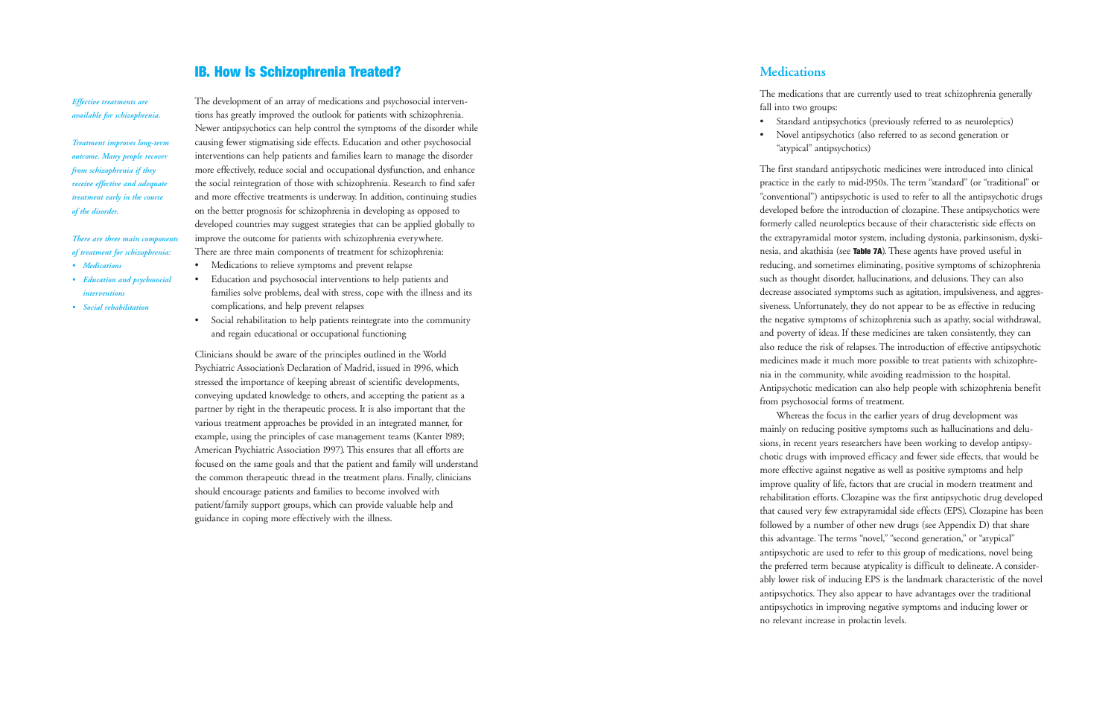# **Medications**

fall into two groups:

- 
- 
- The medications that are currently used to treat schizophrenia generally
- Standard antipsychotics (previously referred to as neuroleptics) • Novel antipsychotics (also referred to as second generation or "atypical" antipsychotics)

The first standard antipsychotic medicines were introduced into clinical practice in the early to mid-1950s. The term "standard" (or "traditional" or "conventional") antipsychotic is used to refer to all the antipsychotic drugs developed before the introduction of clozapine. These antipsychotics were formerly called neuroleptics because of their characteristic side effects on the extrapyramidal motor system, including dystonia, parkinsonism, dyskinesia, and akathisia (see **Table 7A**). These agents have proved useful in reducing, and sometimes eliminating, positive symptoms of schizophrenia such as thought disorder, hallucinations, and delusions. They can also decrease associated symptoms such as agitation, impulsiveness, and aggressiveness. Unfortunately, they do not appear to be as effective in reducing the negative symptoms of schizophrenia such as apathy, social withdrawal, and poverty of ideas. If these medicines are taken consistently, they can also reduce the risk of relapses. The introduction of effective antipsychotic medicines made it much more possible to treat patients with schizophrenia in the community, while avoiding readmission to the hospital. Antipsychotic medication can also help people with schizophrenia benefit from psychosocial forms of treatment.

Whereas the focus in the earlier years of drug development was mainly on reducing positive symptoms such as hallucinations and delusions, in recent years researchers have been working to develop antipsychotic drugs with improved efficacy and fewer side effects, that would be more effective against negative as well as positive symptoms and help improve quality of life, factors that are crucial in modern treatment and rehabilitation efforts. Clozapine was the first antipsychotic drug developed that caused very few extrapyramidal side effects (EPS). Clozapine has been followed by a number of other new drugs (see Appendix D) that share this advantage. The terms "novel," "second generation," or "atypical" antipsychotic are used to refer to this group of medications, novel being the preferred term because atypicality is difficult to delineate. <sup>A</sup> considerably lower risk of inducing EPS is the landmark characteristic of the novel antipsychotics. They also appear to have advantages over the traditional antipsychotics in improving negative symptoms and inducing lower or no relevant increase in prolactin levels.

# **IB. How Is Schizophrenia Treated?**

The development of an array of medications and psychosocial interventions has greatly improved the outlook for patients with schizophrenia. Newer antipsychotics can help control the symptoms of the disorder while causing fewer stigmatising side effects. Education and other psychosocial interventions can help patients and families learn to manage the disorder more effectively, reduce social and occupational dysfunction, and enhance the social reintegration of those with schizophrenia. Research to find safer and more effective treatments is underway. In addition, continuing studies on the better prognosis for schizophrenia in developing as opposed to developed countries may suggest strategies that can be applied globally to improve the outcome for patients with schizophrenia everywhere. There are three main components of treatment for schizophrenia:

- Medications to relieve symptoms and prevent relapse
- Education and psychosocial interventions to help patients and families solve problems, deal with stress, cope with the illness and its complications, and help prevent relapses
- Social rehabilitation to help patients reintegrate into the community and regain educational or occupational functioning

Clinicians should be aware of the principles outlined in the World Psychiatric Association's Declaration of Madrid, issued in 1996, which stressed the importance of keeping abreast of scientific developments, conveying updated knowledge to others, and accepting the patient as a partner by right in the therapeutic process. It is also important that the various treatment approaches be provided in an integrated manner, for example, using the principles of case management teams (Kanter 1989; American Psychiatric Association 1997). This ensures that all efforts are focused on the same goals and that the patient and family will understand the common therapeutic thread in the treatment plans. Finally, clinicians should encourage patients and families to become involved with patient/family support groups, which can provide valuable help and guidance in coping more effectively with the illness.

## *Effective treatments are available for schizophrenia.*

*Treatment improves long-term outcome. Many people recover from schizophrenia if they receive effective and adequate treatment early in the course of the disorder.*

## *There are three main components of treatment for schizophrenia:*

- *• Medications*
- *• Education and psychosocial interventions*
- *• Social rehabilitation*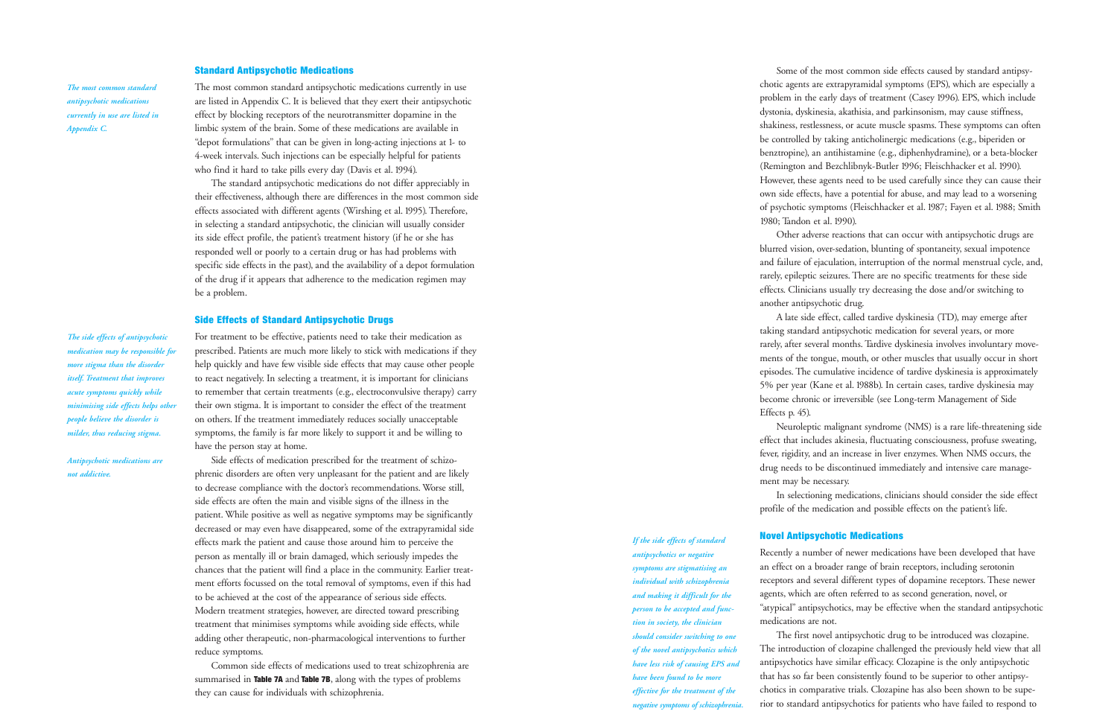Some of the most common side effects caused by standard antipsychotic agents are extrapyramidal symptoms (EPS), which are especially a problem in the early days of treatment (Casey 1996). EPS, which include dystonia, dyskinesia, akathisia, and parkinsonism, may cause stiffness, shakiness, restlessness, or acute muscle spasms. These symptoms can often be controlled by taking anticholinergic medications (e.g., biperiden or benztropine), an antihistamine (e.g., diphenhydramine), or a beta-blocker (Remington and Bezchlibnyk-Butler 1996; Fleischhacker et al. 1990). However, these agents need to be used carefully since they can cause their own side effects, have a potential for abuse, and may lead to a worsening of psychotic symptoms (Fleischhacker et al. 1987; Fayen et al. 1988; Smith 1980; Tandon et al. 1990).

Other adverse reactions that can occur with antipsychotic drugs are blurred vision, over-sedation, blunting of spontaneity, sexual impotence and failure of ejaculation, interruption of the normal menstrual cycle, and, rarely, epileptic seizures. There are no specific treatments for these side effects. Clinicians usually try decreasing the dose and/or switching to

another antipsychotic drug.

<sup>A</sup> late side effect, called tardive dyskinesia (TD), may emerge after taking standard antipsychotic medication for several years, or more rarely, after several months. Tardive dyskinesia involves involuntary movements of the tongue, mouth, or other muscles that usually occur in short episodes. The cumulative incidence of tardive dyskinesia is approximately 5% per year (Kane et al. 1988b). In certain cases, tardive dyskinesia may become chronic or irreversible (see Long-term Management of Side

Effects p. 45).

Neuroleptic malignant syndrome (NMS) is a rare life-threatening side effect that includes akinesia, fluctuating consciousness, profuse sweating, fever, rigidity, and an increase in liver enzymes. When NMS occurs, the drug needs to be discontinued immediately and intensive care management may be necessary. In selectioning medications, clinicians should consider the side effect profile of the medication and possible effects on the patient's life.

# **Novel Antipsychotic Medications**

Recently a number of newer medications have been developed that have an effect on a broader range of brain receptors, including serotonin receptors and several different types of dopamine receptors. These newer agents, which are often referred to as second generation, novel, or "atypical" antipsychotics, may be effective when the standard antipsychotic medications are not.

The first novel antipsychotic drug to be introduced was clozapine. The introduction of clozapine challenged the previously held view that all antipsychotics have similar efficacy. Clozapine is the only antipsychotic that has so far been consistently found to be superior to other antipsychotics in comparative trials. Clozapine has also been shown to be superior to standard antipsychotics for patients who have failed to respond to

## **Standard Antipsychotic Medications**

The most common standard antipsychotic medications currently in use are listed in Appendix C. It is believed that they exert their antipsychotic effect by blocking receptors of the neurotransmitter dopamine in the limbic system of the brain. Some of these medications are available in "depot formulations" that can be given in long-acting injections at 1- to 4-week intervals. Such injections can be especially helpful for patients who find it hard to take pills every day (Davis et al. 1994).

The standard antipsychotic medications do not differ appreciably in their effectiveness, although there are differences in the most common side effects associated with different agents (Wirshing et al. 1995). Therefore, in selecting a standard antipsychotic, the clinician will usually consider its side effect profile, the patient's treatment history (if he or she has responded well or poorly to a certain drug or has had problems with specific side effects in the past), and the availability of a depot formulation of the drug if it appears that adherence to the medication regimen may be a problem.

### **Side Effects of Standard Antipsychotic Drugs**

For treatment to be effective, patients need to take their medication as prescribed. Patients are much more likely to stick with medications if they help quickly and have few visible side effects that may cause other people to react negatively. In selecting a treatment, it is important for clinicians to remember that certain treatments (e.g., electroconvulsive therapy) carry their own stigma. It is important to consider the effect of the treatment on others. If the treatment immediately reduces socially unacceptable symptoms, the family is far more likely to support it and be willing to have the person stay at home.

Side effects of medication prescribed for the treatment of schizophrenic disorders are often very unpleasant for the patient and are likely to decrease compliance with the doctor's recommendations. Worse still, side effects are often the main and visible signs of the illness in the patient. While positive as well as negative symptoms may be significantly decreased or may even have disappeared, some of the extrapyramidal side effects mark the patient and cause those around him to perceive the person as mentally ill or brain damaged, which seriously impedes the chances that the patient will find a place in the community. Earlier treatment efforts focussed on the total removal of symptoms, even if this had to be achieved at the cost of the appearance of serious side effects. Modern treatment strategies, however, are directed toward prescribing treatment that minimises symptoms while avoiding side effects, while adding other therapeutic, non-pharmacological interventions to further reduce symptoms.

Common side effects of medications used to treat schizophrenia are summarised in **Table 7A** and **Table 7B**, along with the types of problems they can cause for individuals with schizophrenia.

*The side effects of antipsychotic medication may be responsible for more stigma than the disorder itself. Treatment that improves acute symptoms quickly while minimising side effects helps other people believe the disorder is milder, thus reducing stigma.*

*Antipsychotic medications are not addictive.*

*The most common standardantipsychotic medications currently in use are listed in Appendix C.*

> *If the side effects of standard antipsychotics or negative symptoms are stigmatising an individual with schizophrenia and making it difficult for the person to be accepted and function in society, the clinician should consider switching to one of the novel antipsychotics which have less risk of causing EPS and have been found to be more effective for the treatment of the negative symptoms of schizophrenia.*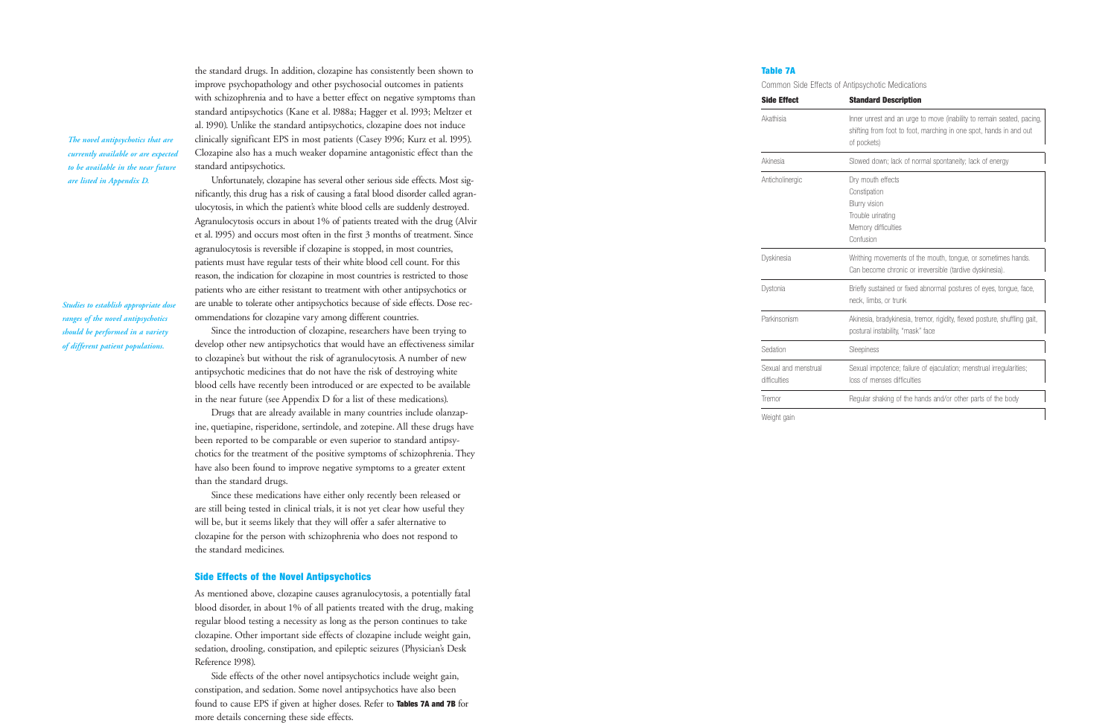the standard drugs. In addition, clozapine has consistently been shown to improve psychopathology and other psychosocial outcomes in patients with schizophrenia and to have a better effect on negative symptoms than standard antipsychotics (Kane et al. 1988a; Hagger et al. 1993; Meltzer et al. 1990). Unlike the standard antipsychotics, clozapine does not induce clinically significant EPS in most patients (Casey 1996; Kurz et al. 1995). Clozapine also has a much weaker dopamine antagonistic effect than the standard antipsychotics.

Unfortunately, clozapine has several other serious side effects. Most significantly, this drug has a risk of causing a fatal blood disorder called agranulocytosis, in which the patient's white blood cells are suddenly destroyed. Agranulocytosis occurs in about 1% of patients treated with the drug (Alvir et al. 1995) and occurs most often in the first 3 months of treatment. Since agranulocytosis is reversible if clozapine is stopped, in most countries, patients must have regular tests of their white blood cell count. For this reason, the indication for clozapine in most countries is restricted to those patients who are either resistant to treatment with other antipsychotics or are unable to tolerate other antipsychotics because of side effects. Dose recommendations for clozapine vary among different countries.

Since the introduction of clozapine, researchers have been trying to develop other new antipsychotics that would have an effectiveness similar to clozapine's but without the risk of agranulocytosis. <sup>A</sup> number of new antipsychotic medicines that do not have the risk of destroying white blood cells have recently been introduced or are expected to be available in the near future (see Appendix D for a list of these medications).

Drugs that are already available in many countries include olanzapine, quetiapine, risperidone, sertindole, and zotepine. All these drugs have been reported to be comparable or even superior to standard antipsychotics for the treatment of the positive symptoms of schizophrenia. They have also been found to improve negative symptoms to a greater extent than the standard drugs.

Since these medications have either only recently been released or are still being tested in clinical trials, it is not yet clear how useful they will be, but it seems likely that they will offer a safer alternative to clozapine for the person with schizophrenia who does not respond to the standard medicines.

### **Side Effects of the Novel Antipsychotics**

As mentioned above, clozapine causes agranulocytosis, a potentially fatal blood disorder, in about 1% of all patients treated with the drug, making regular blood testing a necessity as long as the person continues to take clozapine. Other important side effects of clozapine include weight gain, sedation, drooling, constipation, and epileptic seizures (Physician's Desk Reference 1998).

Side effects of the other novel antipsychotics include weight gain, constipation, and sedation. Some novel antipsychotics have also been found to cause EPS if given at higher doses. Refer to **Tables 7A and 7B** for more details concerning these side effects.

*The novel antipsychotics that are currently available or are expected to be available in the near future are listed in Appendix D.*

*Studies to establish appropriate dose ranges of the novel antipsychotics should be performed in a variety of different patient populations.*

#### **Table 7A**

#### **Side Effect**

Anticholinergic

Parkinsonism

Sexual and menstrua

### Common Side Effects of Antipsychotic Medications

| Side Effect                          | <b>Standard Description</b>                                                                                                                                |  |
|--------------------------------------|------------------------------------------------------------------------------------------------------------------------------------------------------------|--|
| Akathisia                            | Inner unrest and an urge to move (inability to remain seated, pacing,<br>shifting from foot to foot, marching in one spot, hands in and out<br>of pockets) |  |
| Akinesia                             | Slowed down; lack of normal spontaneity; lack of energy                                                                                                    |  |
| Anticholinergic                      | Dry mouth effects<br>Constipation<br>Blurry vision<br>Trouble urinating<br>Memory difficulties<br>Confusion                                                |  |
| Dyskinesia                           | Writhing movements of the mouth, tongue, or sometimes hands.<br>Can become chronic or irreversible (tardive dyskinesia).                                   |  |
| Dystonia                             | Briefly sustained or fixed abnormal postures of eyes, tongue, face,<br>neck, limbs, or trunk                                                               |  |
| Parkinsonism                         | Akinesia, bradykinesia, tremor, rigidity, flexed posture, shuffling gait,<br>postural instability, "mask" face                                             |  |
| Sedation                             | Sleepiness                                                                                                                                                 |  |
| Sexual and menstrual<br>difficulties | Sexual impotence; failure of ejaculation; menstrual irregularities;<br>loss of menses difficulties                                                         |  |
| Tremor                               | Regular shaking of the hands and/or other parts of the body                                                                                                |  |
|                                      |                                                                                                                                                            |  |

Weight gain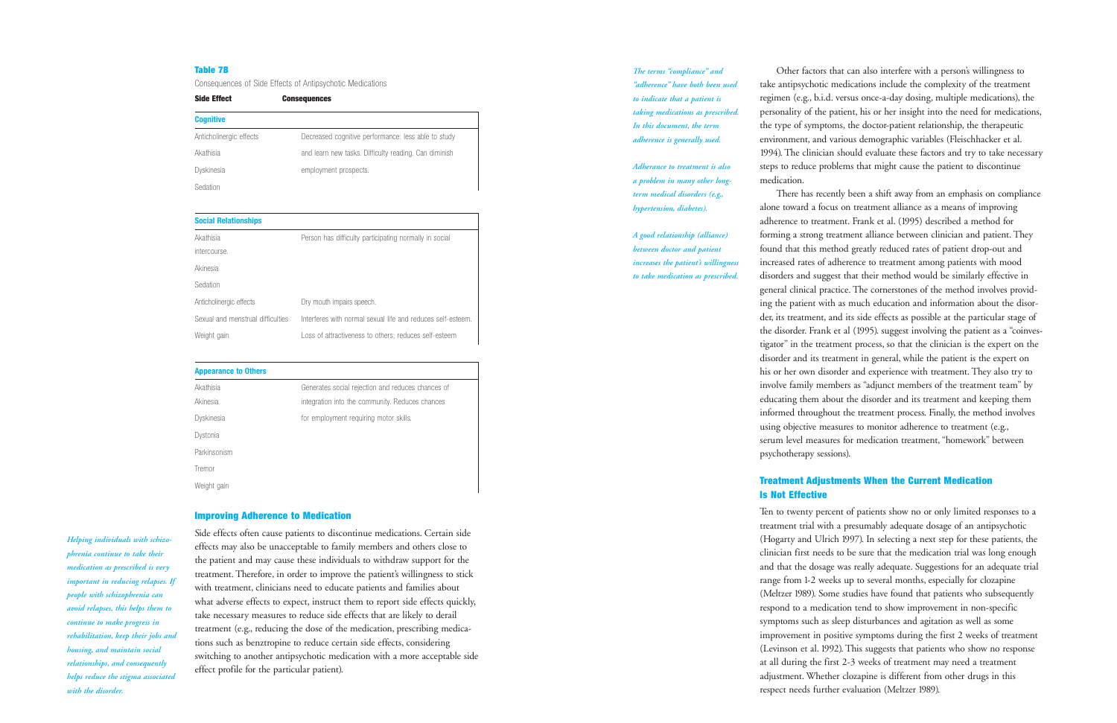## **Table 7B**

Consequences of Side Effects of Antipsychotic Medications

| <b>Side Effect</b>      | <b>Consequences</b>                                   |  |
|-------------------------|-------------------------------------------------------|--|
| <b>Cognitive</b>        |                                                       |  |
| Anticholinergic effects | Decreased cognitive performance: less able to study   |  |
| Akathisia               | and learn new tasks. Difficulty reading. Can diminish |  |
| Dyskinesia              | employment prospects.                                 |  |
| Sedation                |                                                       |  |

| <b>Social Relationships</b>                                 |  |  |  |
|-------------------------------------------------------------|--|--|--|
| Person has difficulty participating normally in social      |  |  |  |
|                                                             |  |  |  |
|                                                             |  |  |  |
|                                                             |  |  |  |
| Dry mouth impairs speech.                                   |  |  |  |
| Interferes with normal sexual life and reduces self-esteem. |  |  |  |
| Loss of attractiveness to others; reduces self-esteem       |  |  |  |
|                                                             |  |  |  |

| <b>Appearance to Others</b> |                                                   |  |  |
|-----------------------------|---------------------------------------------------|--|--|
| Akathisia                   | Generates social rejection and reduces chances of |  |  |
| Akinesia                    | integration into the community. Reduces chances   |  |  |
| Dyskinesia                  | for employment requiring motor skills.            |  |  |
| Dystonia                    |                                                   |  |  |
| Parkinsonism                |                                                   |  |  |
| Tremor                      |                                                   |  |  |
| Weight gain                 |                                                   |  |  |

### **Improving Adherence to Medication**

Side effects often cause patients to discontinue medications. Certain side effects may also be unacceptable to family members and others close to the patient and may cause these individuals to withdraw support for the treatment. Therefore, in order to improve the patient's willingness to stick with treatment, clinicians need to educate patients and families about what adverse effects to expect, instruct them to report side effects quickly, take necessary measures to reduce side effects that are likely to derail treatment (e.g., reducing the dose of the medication, prescribing medications such as benztropine to reduce certain side effects, considering switching to another antipsychotic medication with a more acceptable side effect profile for the particular patient).

Other factors that can also interfere with a person's willingness to take antipsychotic medications include the complexity of the treatment regimen (e.g., b.i.d. versus once-a-day dosing, multiple medications), the personality of the patient, his or her insight into the need for medications, the type of symptoms, the doctor-patient relationship, the therapeutic environment, and various demographic variables (Fleischhacker et al. 1994). The clinician should evaluate these factors and try to take necessary steps to reduce problems that might cause the patient to discontinue

medication. There has recently been a shift away from an emphasis on compliance alone toward a focus on treatment alliance as a means of improving adherence to treatment. Frank et al. (1995) described a method for forming a strong treatment alliance between clinician and patient. They found that this method greatly reduced rates of patient drop-out and increased rates of adherence to treatment among patients with mood disorders and suggest that their method would be similarly effective in general clinical practice. The cornerstones of the method involves providing the patient with as much education and information about the disorder, its treatment, and its side effects as possible at the particular stage of the disorder. Frank et al (1995). suggest involving the patient as a "coinvestigator" in the treatment process, so that the clinician is the expert on the disorder and its treatment in general, while the patient is the expert on his or her own disorder and experience with treatment. They also try to involve family members as "adjunct members of the treatment team" by educating them about the disorder and its treatment and keeping them informed throughout the treatment process. Finally, the method involves using objective measures to monitor adherence to treatment (e.g., serum level measures for medication treatment, "homework" between psychotherapy sessions).

# **Treatment Adjustments When the Current Medication Is Not Effective**

Ten to twenty percent of patients show no or only limited responses to a treatment trial with a presumably adequate dosage of an antipsychotic (Hogarty and Ulrich 1997). In selecting a next step for these patients, the clinician first needs to be sure that the medication trial was long enough and that the dosage was really adequate. Suggestions for an adequate trial range from 1-2 weeks up to several months, especially for clozapine (Meltzer 1989). Some studies have found that patients who subsequently respond to a medication tend to show improvement in non-specific symptoms such as sleep disturbances and agitation as well as some improvement in positive symptoms during the first 2 weeks of treatment (Levinson et al. 1992). This suggests that patients who show no response at all during the first 2-3 weeks of treatment may need a treatment adjustment. Whether clozapine is different from other drugs in this respect needs further evaluation (Meltzer 1989).

*Helping individuals with schizophrenia continue to take their medication as prescribed is very important in reducing relapses. If people with schizophrenia can avoid relapses, this helps them to continue to make progress in rehabilitation, keep their jobs and housing, and maintain social relationships, and consequently helps reduce the stigma associated with the disorder.*

*The terms "compliance" and "adherence" have both been usedto indicate that a patient is taking medications as prescribed. In this document, the term adherence is generally used.*

*Adherance to treatment is also a problem in many other longterm medical disorders (e.g., hypertension, diabetes).*

*<sup>A</sup> good relationship (alliance) between doctor and patient increases the patient's willingness to take medication as prescribed.*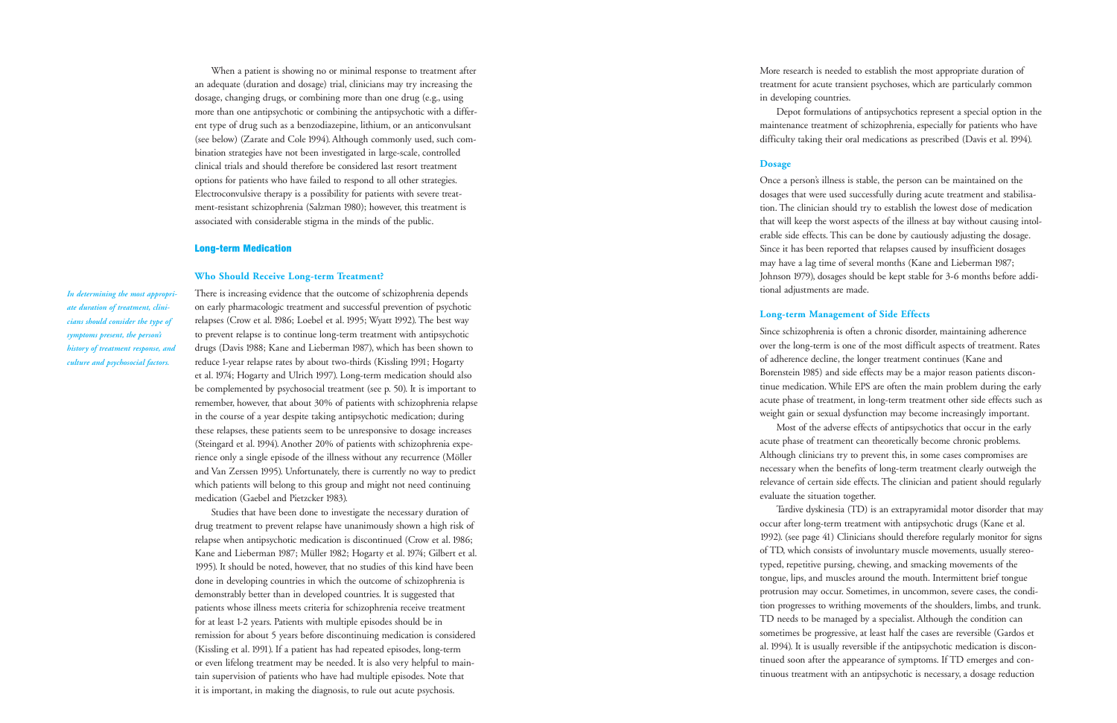When a patient is showing no or minimal response to treatment after an adequate (duration and dosage) trial, clinicians may try increasing the dosage, changing drugs, or combining more than one drug (e.g., using more than one antipsychotic or combining the antipsychotic with a different type of drug such as a benzodiazepine, lithium, or an anticonvulsant (see below) (Zarate and Cole 1994). Although commonly used, such combination strategies have not been investigated in large-scale, controlled clinical trials and should therefore be considered last resort treatment options for patients who have failed to respond to all other strategies. Electroconvulsive therapy is a possibility for patients with severe treatment-resistant schizophrenia (Salzman 1980); however, this treatment is associated with considerable stigma in the minds of the public.

### **Long-term Medication**

#### **Who Should Receive Long-term Treatment?**

There is increasing evidence that the outcome of schizophrenia depends on early pharmacologic treatment and successful prevention of psychotic relapses (Crow et al. 1986; Loebel et al. 1995; Wyatt 1992). The best way to prevent relapse is to continue long-term treatment with antipsychotic drugs (Davis 1988; Kane and Lieberman 1987), which has been shown to reduce 1-year relapse rates by about two-thirds (Kissling 1991; Hogarty et al. 1974; Hogarty and Ulrich 1997). Long-term medication should also be complemented by psychosocial treatment (see p. 50). It is important to remember, however, that about 30% of patients with schizophrenia relapse in the course of a year despite taking antipsychotic medication; during these relapses, these patients seem to be unresponsive to dosage increases (Steingard et al. 1994). Another 20% of patients with schizophrenia experience only a single episode of the illness without any recurrence (Möller and Van Zerssen 1995). Unfortunately, there is currently no way to predict which patients will belong to this group and might not need continuing medication (Gaebel and Pietzcker 1983).

Studies that have been done to investigate the necessary duration of drug treatment to prevent relapse have unanimously shown a high risk of relapse when antipsychotic medication is discontinued (Crow et al. 1986; Kane and Lieberman 1987; Müller 1982; Hogarty et al. 1974; Gilbert et al. 1995). It should be noted, however, that no studies of this kind have been done in developing countries in which the outcome of schizophrenia is demonstrably better than in developed countries. It is suggested that patients whose illness meets criteria for schizophrenia receive treatment for at least 1-2 years. Patients with multiple episodes should be in remission for about 5 years before discontinuing medication is considered (Kissling et al. 1991). If a patient has had repeated episodes, long-term or even lifelong treatment may be needed. It is also very helpful to maintain supervision of patients who have had multiple episodes. Note that it is important, in making the diagnosis, to rule out acute psychosis.

More research is needed to establish the most appropriate duration of treatment for acute transient psychoses, which are particularly common

in developing countries.

Depot formulations of antipsychotics represent a special option in the maintenance treatment of schizophrenia, especially for patients who have difficulty taking their oral medications as prescribed (Davis et al. 1994).

### **Dosage**

Once a person's illness is stable, the person can be maintained on the dosages that were used successfully during acute treatment and stabilisation. The clinician should try to establish the lowest dose of medication that will keep the worst aspects of the illness at bay without causing intolerable side effects. This can be done by cautiously adjusting the dosage. Since it has been reported that relapses caused by insufficient dosages may have a lag time of several months (Kane and Lieberman 1987; Johnson 1979), dosages should be kept stable for 3-6 months before additional adjustments are made.

### **Long-term Management of Side Effects**

Since schizophrenia is often a chronic disorder, maintaining adherence over the long-term is one of the most difficult aspects of treatment. Rates of adherence decline, the longer treatment continues (Kane and Borenstein 1985) and side effects may be a major reason patients discontinue medication. While EPS are often the main problem during the early acute phase of treatment, in long-term treatment other side effects such as weight gain or sexual dysfunction may become increasingly important. Most of the adverse effects of antipsychotics that occur in the early acute phase of treatment can theoretically become chronic problems. Although clinicians try to prevent this, in some cases compromises are necessary when the benefits of long-term treatment clearly outweigh the relevance of certain side effects. The clinician and patient should regularly evaluate the situation together.

Tardive dyskinesia (TD) is an extrapyramidal motor disorder that may occur after long-term treatment with antipsychotic drugs (Kane et al. 1992). (see page 41) Clinicians should therefore regularly monitor for signs of TD, which consists of involuntary muscle movements, usually stereotyped, repetitive pursing, chewing, and smacking movements of the tongue, lips, and muscles around the mouth. Intermittent brief tongue protrusion may occur. Sometimes, in uncommon, severe cases, the condition progresses to writhing movements of the shoulders, limbs, and trunk. TD needs to be managed by a specialist. Although the condition can sometimes be progressive, at least half the cases are reversible (Gardos et al. 1994). It is usually reversible if the antipsychotic medication is discontinued soon after the appearance of symptoms. If TD emerges and continuous treatment with an antipsychotic is necessary, a dosage reduction

*In determining the most appropriate duration of treatment, clinicians should consider the type of symptoms present, the person's history of treatment response, and culture and psychosocial factors.*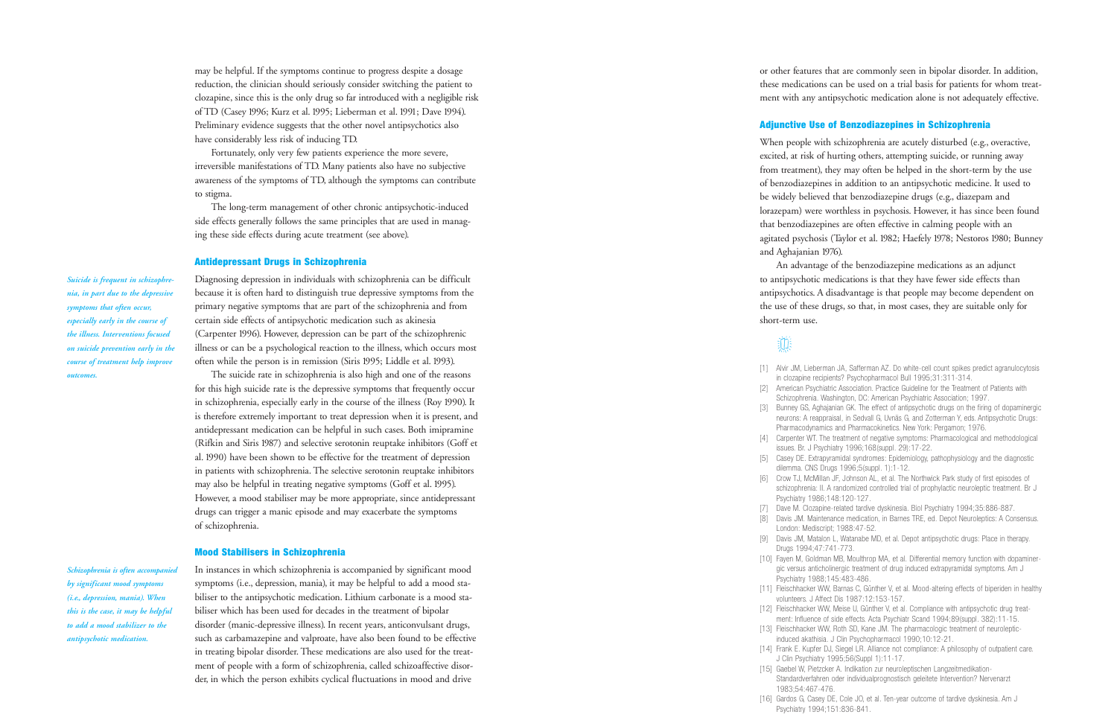or other features that are commonly seen in bipolar disorder. In addition, these medications can be used on a trial basis for patients for whom treatment with any antipsychotic medication alone is not adequately effective.

## **Adjunctive Use of Benzodiazepines in Schizophrenia**

When people with schizophrenia are acutely disturbed (e.g., overactive, excited, at risk of hurting others, attempting suicide, or running away from treatment), they may often be helped in the short-term by the use of benzodiazepines in addition to an antipsychotic medicine. It used to be widely believed that benzodiazepine drugs (e.g., diazepam and lorazepam) were worthless in psychosis. However, it has since been found that benzodiazepines are often effective in calming people with an agitated psychosis (Taylor et al. 1982; Haefely 1978; Nestoros 1980; Bunney and Aghajanian 1976).

[1] Alvir JM, Lieberman JA, Safferman AZ. Do white-cell count spikes predict agranulocytosis in clozapine recipients? Psychopharmacol Bull 1995;31:311-314.

[2] American Psychiatric Association. Practice Guideline for the Treatment of Patients with Schizophrenia. Washington, DC: American Psychiatric Association; 1997.

[3] Bunney GS, Aghajanian GK. The effect of antipsychotic drugs on the firing of dopaminergic neurons: A reappraisal, in Sedvall G, Uvnäs G, and Zotterman Y, eds. Antipsychotic Drugs: Pharmacodynamics and Pharmacokinetics. New York: Pergamon; 1976.

An advantage of the benzodiazepine medications as an adjunct to antipsychotic medications is that they have fewer side effects than antipsychotics. <sup>A</sup> disadvantage is that people may become dependent on the use of these drugs, so that, in most cases, they are suitable only for

short-term use.

# 洫

[10] Fayen M, Goldman MB, Moulthrop MA, et al. Differential memory function with dopaminergic versus anticholinergic treatment of drug induced extrapyramidal symptoms. Am J

[11] Fleischhacker WW, Barnas C, Günther V, et al. Mood-altering effects of biperiden in healthy volunteers. J Affect Dis 1987:12:153-157.

[12] Fleischhacker WW, Meise U, Günther V, et al. Compliance with antipsychotic drug treatment: Influence of side effects. Acta Psychiatr Scand 1994;89(suppl. 382):11-15. [13] Fleischhacker WW, Roth SD, Kane JM. The pharmacologic treatment of neuroleptic-

[14] Frank E. Kupfer DJ, Siegel LR. Alliance not compliance: A philosophy of outpatient care. J Clin Psychiatry 1995;56(Suppl 1):11-17.

[15] Gaebel W, Pietzcker A. Indikation zur neuroleptischen Langzeitmedikation-Standardverfahren oder individualprognostisch geleitete Intervention? Nervenarzt

[4] Carpenter WT. The treatment of negative symptoms: Pharmacological and methodological issues. Br. J Psychiatry 1996;168(suppl. 29):17-22.

[5] Casey DE. Extrapyramidal syndromes: Epidemiology, pathophysiology and the diagnostic dilemma. CNS Drugs 1996;5(suppl. 1):1-12.

[6] Crow TJ, McMillan JF, Johnson AL, et al. The Northwick Park study of first episodes of schizophrenia: II. A randomized controlled trial of prophylactic neuroleptic treatment. Br J Psychiatry 1986;148:120-127.

[7] Dave M. Clozapine-related tardive dyskinesia. Biol Psychiatry 1994;35:886-887.

[8] Davis JM. Maintenance medication, in Barnes TRE, ed. Depot Neuroleptics: A Consensus. London: Mediscript; 1988:47-52.

[9] Davis JM, Matalon L, Watanabe MD, et al. Depot antipsychotic drugs: Place in therapy.

- 
- 
- 
- 
- 
- 
- 
- 
- Drugs 1994;47:741-773.
- Psychiatry 1988;145:483-486.
- 
- 
- 
- 
- 1983;54:467-476.
- 

induced akathisia. J Clin Psychopharmacol 1990;10:12-21.

[16] Gardos G, Casey DE, Cole JO, et al. Ten-year outcome of tardive dyskinesia. Am J Psychiatry 1994;151:836-841.

may be helpful. If the symptoms continue to progress despite a dosage reduction, the clinician should seriously consider switching the patient to clozapine, since this is the only drug so far introduced with a negligible risk of TD (Casey 1996; Kurz et al. 1995; Lieberman et al. 1991; Dave 1994). Preliminary evidence suggests that the other novel antipsychotics also have considerably less risk of inducing TD.

Fortunately, only very few patients experience the more severe, irreversible manifestations of TD. Many patients also have no subjective awareness of the symptoms of TD, although the symptoms can contribute to stigma.

The long-term management of other chronic antipsychotic-induced side effects generally follows the same principles that are used in managing these side effects during acute treatment (see above).

### **Antidepressant Drugs in Schizophrenia**

Diagnosing depression in individuals with schizophrenia can be difficult because it is often hard to distinguish true depressive symptoms from the primary negative symptoms that are part of the schizophrenia and from certain side effects of antipsychotic medication such as akinesia (Carpenter 1996). However, depression can be part of the schizophrenic illness or can be a psychological reaction to the illness, which occurs most often while the person is in remission (Siris 1995; Liddle et al. 1993).

The suicide rate in schizophrenia is also high and one of the reasons for this high suicide rate is the depressive symptoms that frequently occur in schizophrenia, especially early in the course of the illness (Roy 1990). It is therefore extremely important to treat depression when it is present, and antidepressant medication can be helpful in such cases. Both imipramine (Rifkin and Siris 1987) and selective serotonin reuptake inhibitors (Goff et al. 1990) have been shown to be effective for the treatment of depression in patients with schizophrenia. The selective serotonin reuptake inhibitors may also be helpful in treating negative symptoms (Goff et al. 1995). However, a mood stabiliser may be more appropriate, since antidepressant drugs can trigger a manic episode and may exacerbate the symptoms of schizophrenia.

#### **Mood Stabilisers in Schizophrenia**

In instances in which schizophrenia is accompanied by significant mood symptoms (i.e., depression, mania), it may be helpful to add a mood stabiliser to the antipsychotic medication. Lithium carbonate is a mood stabiliser which has been used for decades in the treatment of bipolar disorder (manic-depressive illness). In recent years, anticonvulsant drugs, such as carbamazepine and valproate, have also been found to be effective in treating bipolar disorder. These medications are also used for the treatment of people with a form of schizophrenia, called schizoaffective disorder, in which the person exhibits cyclical fluctuations in mood and drive

*Schizophrenia is often accompanied by significant mood symptoms (i.e., depression, mania). When this is the case, it may be helpful to add a mood stabilizer to theantipsychotic medication.*

*Suicide is frequent in schizophrenia, in part due to the depressive symptoms that often occur, especially early in the course of the illness. Interventions focused on suicide prevention early in the course of treatment help improve outcomes.*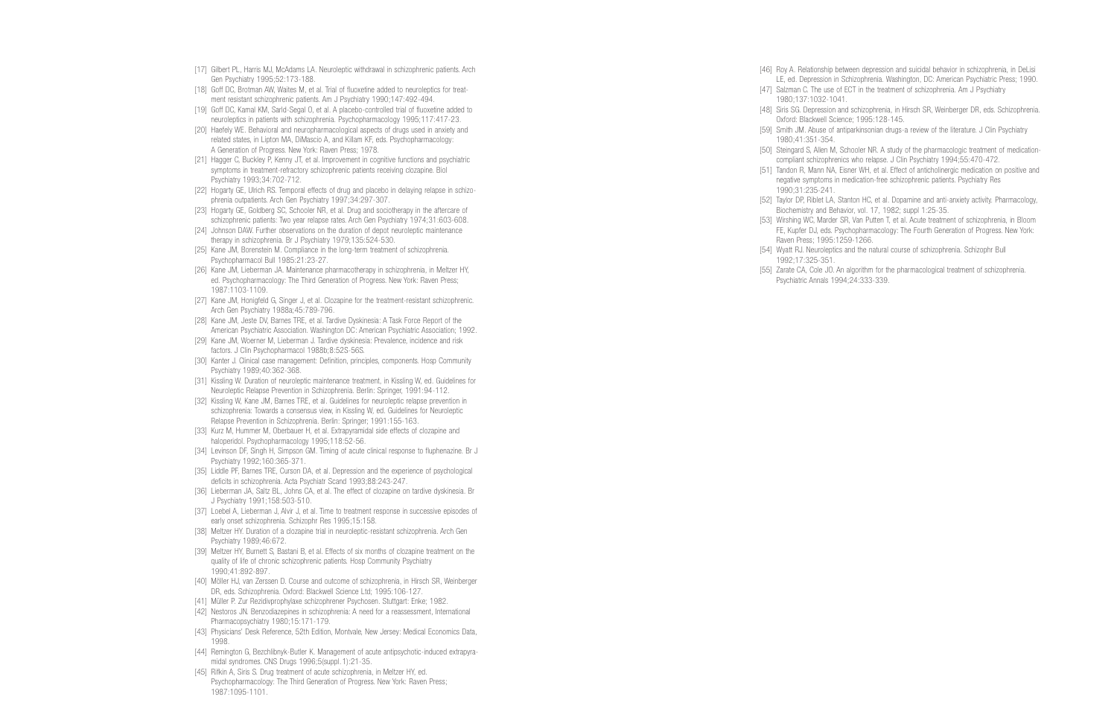[50] Steingard S, Allen M, Schooler NR. A study of the pharmacologic treatment of medicationcompliant schizophrenics who relapse. J Clin Psychiatry 1994;55:470-472.

- [46] Roy A. Relationship between depression and suicidal behavior in schizophrenia, in DeLisi LE, ed. Depression in Schizophrenia. Washington, DC: American Psychiatric Press; 1990. 1980;137:1032-1041.
- [47] Salzman C. The use of ECT in the treatment of schizophrenia. Am J Psychiatry
- [48] Siris SG. Depression and schizophrenia, in Hirsch SR, Weinberger DR, eds. Schizophrenia. Oxford: Blackwell Science; 1995:128-145.
- [59] Smith JM. Abuse of antiparkinsonian drugs-a review of the literature. J Clin Psychiatry 1980;41:351-354.
- 
- [51] Tandon R, Mann NA, Eisner WH, et al. Effect of anticholinergic medication on positive and negative symptoms in medication-free schizophrenic patients. Psychiatry Res
- 1990;31:235-241. [52] Taylor DP, Riblet LA, Stanton HC, et al. Dopamine and anti-anxiety activity. Pharmacology, Biochemistry and Behavior, vol. 17, 1982; suppl 1:25-35.
- 
- [53] Wirshing WC, Marder SR, Van Putten T, et al. Acute treatment of schizophrenia, in Bloom FE, Kupfer DJ, eds. Psychopharmacology: The Fourth Generation of Progress. New York: Raven Press; 1995:1259-1266.
- [54] Wyatt RJ. Neuroleptics and the natural course of schizophrenia. Schizophr Bull 1992;17:325-351.
- [55] Zarate CA, Cole JO. An algorithm for the pharmacological treatment of schizophrenia. Psychiatric Annals 1994;24:333-339.
- [17] Gilbert PL, Harris MJ, McAdams LA. Neuroleptic withdrawal in schizophrenic patients. Arch Gen Psychiatry 1995;52:173-188.
- [18] Goff DC, Brotman AW, Waites M, et al. Trial of fluoxetine added to neuroleptics for treatment resistant schizophrenic patients. Am J Psychiatry 1990;147:492-494.
- [19] Goff DC, Kamal KM, Sarld-Segal O, et al. A placebo-controlled trial of fluoxetine added to neuroleptics in patients with schizophrenia. Psychopharmacology 1995;117:417-23.
- [20] Haefely WE. Behavioral and neuropharmacological aspects of drugs used in anxiety and related states, in Lipton MA, DiMascio A, and Killam KF, eds. Psychopharmacology: A Generation of Progress. New York: Raven Press; 1978.
- [21] Hagger C, Buckley P, Kenny JT, et al. Improvement in cognitive functions and psychiatric symptoms in treatment-refractory schizophrenic patients receiving clozapine. Biol Psychiatry 1993;34:702-712.
- [22] Hogarty GE, Ulrich RS. Temporal effects of drug and placebo in delaying relapse in schizophrenia outpatients. Arch Gen Psychiatry 1997;34:297-307.
- [23] Hogarty GE, Goldberg SC, Schooler NR, et al. Drug and sociotherapy in the aftercare of schizophrenic patients: Two year relapse rates. Arch Gen Psychiatry 1974;31:603-608.
- [24] Johnson DAW. Further observations on the duration of depot neuroleptic maintenance therapy in schizophrenia. Br J Psychiatry 1979;135:524-530.
- [25] Kane JM, Borenstein M. Compliance in the long-term treatment of schizophrenia. Psychopharmacol Bull 1985:21:23-27.
- [26] Kane JM, Lieberman JA. Maintenance pharmacotherapy in schizophrenia, in Meltzer HY, ed. Psychopharmacology: The Third Generation of Progress. New York: Raven Press; 1987:1103-1109.
- [27] Kane JM, Honigfeld G, Singer J, et al. Clozapine for the treatment-resistant schizophrenic. Arch Gen Psychiatry 1988a;45:789-796.
- [28] Kane JM, Jeste DV, Barnes TRE, et al. Tardive Dyskinesia: A Task Force Report of the American Psychiatric Association. Washington DC: American Psychiatric Association; 1992.
- [29] Kane JM, Woerner M, Lieberman J. Tardive dyskinesia: Prevalence, incidence and risk factors. J Clin Psychopharmacol 1988b;8:52S-56S.
- [30] Kanter J. Clinical case management: Definition, principles, components. Hosp Community Psychiatry 1989;40:362-368.
- [31] Kissling W. Duration of neuroleptic maintenance treatment, in Kissling W, ed. Guidelines for Neuroleptic Relapse Prevention in Schizophrenia. Berlin: Springer, 1991:94-112.
- [32] Kissling W, Kane JM, Barnes TRE, et al. Guidelines for neuroleptic relapse prevention in schizophrenia: Towards a consensus view, in Kissling W, ed. Guidelines for Neuroleptic Relapse Prevention in Schizophrenia. Berlin: Springer; 1991:155-163.
- [33] Kurz M, Hummer M, Oberbauer H, et al. Extrapyramidal side effects of clozapine and haloperidol. Psychopharmacology 1995;118:52-56.
- [34] Levinson DF, Singh H, Simpson GM. Timing of acute clinical response to fluphenazine. Br J Psychiatry 1992;160:365-371.
- [35] Liddle PF, Barnes TRE, Curson DA, et al. Depression and the experience of psychological deficits in schizophrenia. Acta Psychiatr Scand 1993;88:243-247.
- [36] Lieberman JA, Saltz BL, Johns CA, et al. The effect of clozapine on tardive dyskinesia. Br J Psychiatry 1991;158:503-510.
- [37] Loebel A, Lieberman J, Alvir J, et al. Time to treatment response in successive episodes of early onset schizophrenia. Schizophr Res 1995;15:158.
- [38] Meltzer HY. Duration of a clozapine trial in neuroleptic-resistant schizophrenia. Arch Gen Psychiatry 1989;46:672.
- [39] Meltzer HY, Burnett S, Bastani B, et al. Effects of six months of clozapine treatment on the quality of life of chronic schizophrenic patients. Hosp Community Psychiatry 1990;41:892-897.
- [40] Möller HJ, van Zerssen D. Course and outcome of schizophrenia, in Hirsch SR, Weinberger DR, eds. Schizophrenia. Oxford: Blackwell Science Ltd; 1995:106-127.
- [41] Müller P. Zur Rezidivprophylaxe schizophrener Psychosen. Stuttgart: Enke; 1982.
- [42] Nestoros JN. Benzodiazepines in schizophrenia: A need for a reassessment, International Pharmacopsychiatry 1980;15:171-179.
- [43] Physicians' Desk Reference, 52th Edition, Montvale, New Jersey: Medical Economics Data, 1998.
- [44] Remington G, Bezchlibnyk-Butler K. Management of acute antipsychotic-induced extrapyramidal syndromes. CNS Drugs 1996;5(suppl. 1):21-35.
- [45] Rifkin A, Siris S. Drug treatment of acute schizophrenia, in Meltzer HY, ed. Psychopharmacology: The Third Generation of Progress. New York: Raven Press; 1987:1095-1101.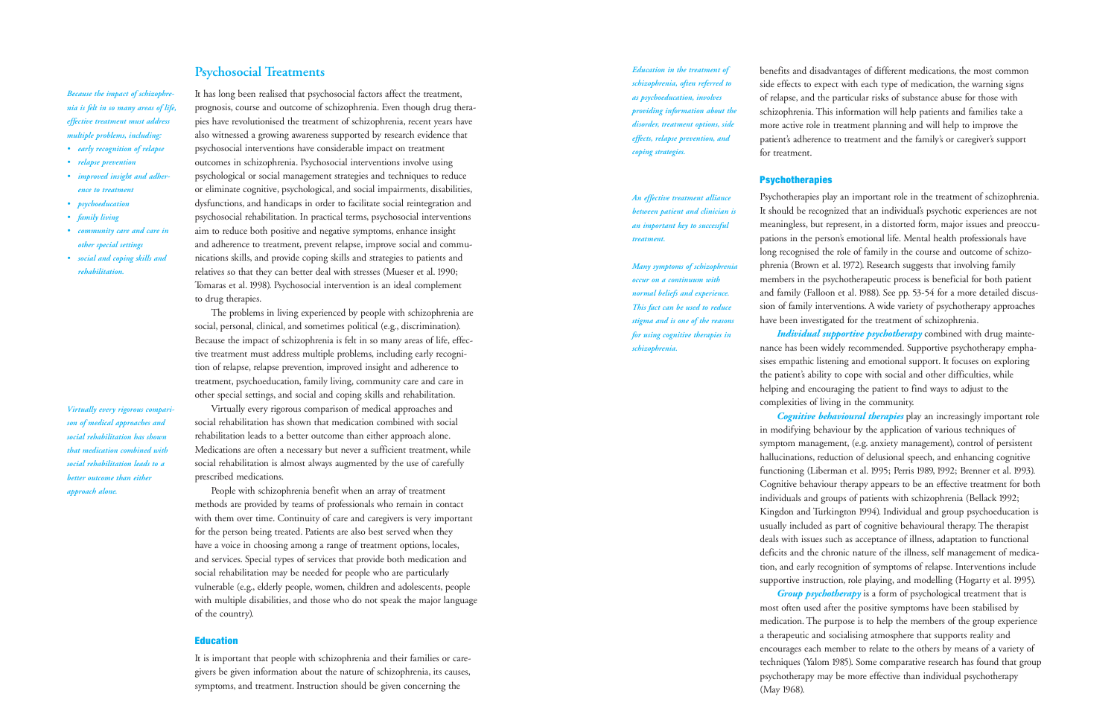benefits and disadvantages of different medications, the most common side effects to expect with each type of medication, the warning signs of relapse, and the particular risks of substance abuse for those with schizophrenia. This information will help patients and families take a more active role in treatment planning and will help to improve the patient's adherence to treatment and the family's or caregiver's support for treatment.

# **Psychotherapies**

Psychotherapies play an important role in the treatment of schizophrenia. It should be recognized that an individual's psychotic experiences are not meaningless, but represent, in a distorted form, major issues and preoccupations in the person's emotional life. Mental health professionals have long recognised the role of family in the course and outcome of schizo<sup>p</sup>hrenia (Brown et al. 1972). Research suggests that involving family members in the psychotherapeutic process is beneficial for both patient and family (Falloon et al. 1988). See pp. 53-54 for a more detailed discussion of family interventions. <sup>A</sup> wide variety of psychotherapy approaches have been investigated for the treatment of schizophrenia.

*Individual supportive psychotherapy* combined with drug maintenance has been widely recommended. Supportive psychotherapy emphasises empathic listening and emotional support. It focuses on exploring the patient's ability to cope with social and other difficulties, while helping and encouraging the patient to find ways to adjust to the complexities of living in the community.

*Cognitive behavioural therapies* <sup>p</sup>lay an increasingly important role in modifying behaviour by the application of various techniques of symptom management, (e.g. anxiety management), control of persistent hallucinations, reduction of delusional speech, and enhancing cognitive functioning (Liberman et al. 1995; Perris 1989, 1992; Brenner et al. 1993). Cognitive behaviour therapy appears to be an effective treatment for both individuals and groups of patients with schizophrenia (Bellack 1992; Kingdon and Turkington 1994). Individual and group psychoeducation is usually included as part of cognitive behavioural therapy. The therapist deals with issues such as acceptance of illness, adaptation to functional deficits and the chronic nature of the illness, self management of medication, and early recognition of symptoms of relapse. Interventions include supportive instruction, role playing, and modelling (Hogarty et al. 1995). *Group psychotherapy* is a form of psychological treatment that is most often used after the positive symptoms have been stabilised by

medication. The purpose is to help the members of the group experience a therapeutic and socialising atmosphere that supports reality and encourages each member to relate to the others by means of a variety of techniques (Yalom 1985). Some comparative research has found that group psychotherapy may be more effective than individual psychotherapy (May 1968).

# **Psychosocial Treatments**

It has long been realised that psychosocial factors affect the treatment, prognosis, course and outcome of schizophrenia. Even though drug therapies have revolutionised the treatment of schizophrenia, recent years have also witnessed a growing awareness supported by research evidence that psychosocial interventions have considerable impact on treatment outcomes in schizophrenia. Psychosocial interventions involve using psychological or social management strategies and techniques to reduce or eliminate cognitive, psychological, and social impairments, disabilities, dysfunctions, and handicaps in order to facilitate social reintegration and psychosocial rehabilitation. In practical terms, psychosocial interventions aim to reduce both positive and negative symptoms, enhance insight and adherence to treatment, prevent relapse, improve social and communications skills, and provide coping skills and strategies to patients and relatives so that they can better deal with stresses (Mueser et al. 1990; Tomaras et al. 1998). Psychosocial intervention is an ideal complement to drug therapies.

The problems in living experienced by people with schizophrenia are social, personal, clinical, and sometimes political (e.g., discrimination). Because the impact of schizophrenia is felt in so many areas of life, effective treatment must address multiple problems, including early recognition of relapse, relapse prevention, improved insight and adherence to treatment, psychoeducation, family living, community care and care in other special settings, and social and coping skills and rehabilitation.

Virtually every rigorous comparison of medical approaches and social rehabilitation has shown that medication combined with social rehabilitation leads to a better outcome than either approach alone. Medications are often a necessary but never a sufficient treatment, while social rehabilitation is almost always augmented by the use of carefully prescribed medications.

People with schizophrenia benefit when an array of treatment methods are provided by teams of professionals who remain in contact with them over time. Continuity of care and caregivers is very important for the person being treated. Patients are also best served when they have a voice in choosing among a range of treatment options, locales, and services. Special types of services that provide both medication and social rehabilitation may be needed for people who are particularly vulnerable (e.g., elderly people, women, children and adolescents, people with multiple disabilities, and those who do not speak the major language of the country).

### **Education**

It is important that people with schizophrenia and their families or care<sup>g</sup>ivers be given information about the nature of schizophrenia, its causes, symptoms, and treatment. Instruction should be given concerning the

*An effective treatment alliance between patient and clinician is an important key to successful Many symptoms of schizophrenia*

*treatment.*

*occur on a continuum with normal beliefs and experience. This fact can be used to reduce stigma and is one of the reasons for using cognitive therapies in schizophrenia.*

*Because the impact of schizophrenia is felt in so many areas of life, effective treatment must address multiple problems, including:*

- *• early recognition of relapse*
- *• relapse prevention*
- *• improved insight and adherence to treatment*
- *• psychoeducation*
- *• family living*
- *• community care and care in other special settings*
- *• social and coping skills and rehabilitation.*

*Education in the treatment of schizophrenia, often referred to as psychoeducation, involves providing information about the disorder, treatment options, side effects, relapse prevention, and coping strategies.*

*Virtually every rigorous comparison of medical approaches and social rehabilitation has shownthat medication combined with social rehabilitation leads to abetter outcome than either approach alone.*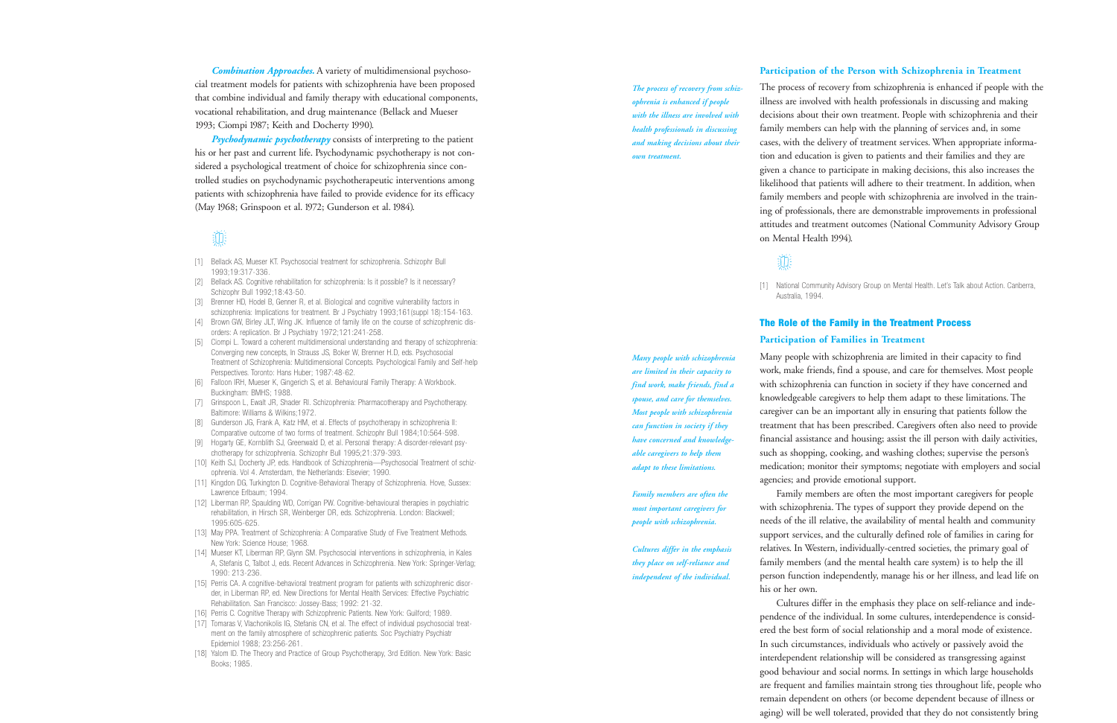## **Participation of the Person with Schizophrenia in Treatment**

The process of recovery from schizophrenia is enhanced if people with the illness are involved with health professionals in discussing and making decisions about their own treatment. People with schizophrenia and their family members can help with the planning of services and, in some cases, with the delivery of treatment services. When appropriate information and education is given to patients and their families and they are <sup>g</sup>iven a chance to participate in making decisions, this also increases the likelihood that patients will adhere to their treatment. In addition, when family members and people with schizophrenia are involved in the training of professionals, there are demonstrable improvements in professional attitudes and treatment outcomes (National Community Advisory Group on Mental Health 1994).

# 泊

[1] National Community Advisory Group on Mental Health. Let's Talk about Action. Canberra, Australia, 1994.

# **The Role of the Family in the Treatment Process Participation of Families in Treatment**

Many people with schizophrenia are limited in their capacity to find work, make friends, find a spouse, and care for themselves. Most people with schizophrenia can function in society if they have concerned and knowledgeable caregivers to help them adapt to these limitations. The caregiver can be an important ally in ensuring that patients follow the treatment that has been prescribed. Caregivers often also need to provide financial assistance and housing; assist the ill person with daily activities, such as shopping, cooking, and washing clothes; supervise the person's medication; monitor their symptoms; negotiate with employers and social agencies; and provide emotional support. Family members are often the most important caregivers for people with schizophrenia. The types of support they provide depend on the needs of the ill relative, the availability of mental health and community support services, and the culturally defined role of families in caring for relatives. In Western, individually-centred societies, the primary goal of family members (and the mental health care system) is to help the ill

**Psychodynamic psychotherapy** consists of interpreting to the patient his or her past and current life. Psychodynamic psychotherapy is not considered a psychological treatment of choice for schizophrenia since controlled studies on psychodynamic psychotherapeutic interventions among patients with schizophrenia have failed to provide evidence for its efficacy (May 1968; Grinspoon et al. 1972; Gunderson et al. 1984).

# 洫

person function independently, manage his or her illness, and lead life on his or her own.Cultures differ in the emphasis they place on self-reliance and independence of the individual. In some cultures, interdependence is considered the best form of social relationship and a moral mode of existence. In such circumstances, individuals who actively or passively avoid the interdependent relationship will be considered as transgressing against good behaviour and social norms. In settings in which large households are frequent and families maintain strong ties throughout life, people who remain dependent on others (or become dependent because of illness or aging) will be well tolerated, provided that they do not consistently bring

*Combination Approaches.* <sup>A</sup> variety of multidimensional psychosocial treatment models for patients with schizophrenia have been proposed that combine individual and family therapy with educational components, vocational rehabilitation, and drug maintenance (Bellack and Mueser 1993; Ciompi 1987; Keith and Docherty 1990).

- [1] Bellack AS, Mueser KT. Psychosocial treatment for schizophrenia. Schizophr Bull 1993;19:317-336.
- [2] Bellack AS. Cognitive rehabilitation for schizophrenia: Is it possible? Is it necessary? Schizophr Bull 1992;18:43-50.
- [3] Brenner HD, Hodel B, Genner R, et al. Biological and cognitive vulnerability factors in schizophrenia: Implications for treatment. Br J Psychiatry 1993;161(suppl 18):154-163.
- [4] Brown GW, Birley JLT, Wing JK. Influence of family life on the course of schizophrenic disorders: A replication. Br J Psychiatry 1972;121:241-258.
- [5] Ciompi L. Toward a coherent multidimensional understanding and therapy of schizophrenia: Converging new concepts, In Strauss JS, Boker W, Brenner H.D, eds. Psychosocial Treatment of Schizophrenia: Multidimensional Concepts. Psychological Family and Self-help Perspectives. Toronto: Hans Huber; 1987:48-62.
- [6] Falloon IRH, Mueser K, Gingerich S, et al. Behavioural Family Therapy: A Workbook. Buckingham: BMHS; 1988.
- [7] Grinspoon L, Ewalt JR, Shader RI. Schizophrenia: Pharmacotherapy and Psychotherapy Baltimore: Williams & Wilkins;1972.
- [8] Gunderson JG, Frank A, Katz HM, et al. Effects of psychotherapy in schizophrenia II: Comparative outcome of two forms of treatment. Schizophr Bull 1984;10:564-598.
- [9] Hogarty GE, Kornblith SJ, Greenwald D, et al. Personal therapy: A disorder-relevant psychotherapy for schizophrenia. Schizophr Bull 1995;21:379-393.
- [10] Keith SJ, Docherty JP, eds. Handbook of Schizophrenia-Psychosocial Treatment of schizophrenia. Vol 4. Amsterdam, the Netherlands: Elsevier; 1990.
- [11] Kingdon DG, Turkington D. Cognitive-Behavioral Therapy of Schizophrenia. Hove, Sussex Lawrence Erlbaum; 1994.
- [12] Liberman RP, Spaulding WD, Corrigan PW. Cognitive-behavioural therapies in psychiatric rehabilitation, in Hirsch SR, Weinberger DR, eds. Schizophrenia. London: Blackwell; 1995:605-625.
- [13] May PPA. Treatment of Schizophrenia: A Comparative Study of Five Treatment Methods. New York: Science House; 1968.
- [14] Mueser KT, Liberman RP, Glynn SM. Psychosocial interventions in schizophrenia, in Kales A, Stefanis C, Talbot J, eds. Recent Advances in Schizophrenia. New York: Springer-Verlag; 1990: 213-236.
- [15] Perris CA. A cognitive-behavioral treatment program for patients with schizophrenic disorder, in Liberman RP, ed. New Directions for Mental Health Services: Effective Psychiatric Rehabilitation. San Francisco: Jossey-Bass; 1992: 21-32.
- [16] Perris C. Cognitive Therapy with Schizophrenic Patients. New York: Guilford; 1989.
- [17] Tomaras V, Vlachonikolis IG, Stefanis CN, et al. The effect of individual psychosocial treatment on the family atmosphere of schizophrenic patients. Soc Psychiatry Psychiatr Epidemiol 1988; 23:256-261.
- [18] Yalom ID. The Theory and Practice of Group Psychotherapy, 3rd Edition. New York: Basic Books; 1985.

*The process of recovery from schizophrenia is enhanced if people with the illness are involved with health professionals in discussing and making decisions about their own treatment.*

*Many people with schizophrenia are limited in their capacity to find work, make friends, find a spouse, and care for themselves. Most people with schizophrenia can function in society if they have concerned and knowledgeable caregivers to help them adapt to these limitations.*

*Family members are often the most important caregivers for people with schizophrenia.*

*Cultures differ in the emphasis they place on self-reliance and independent of the individual.*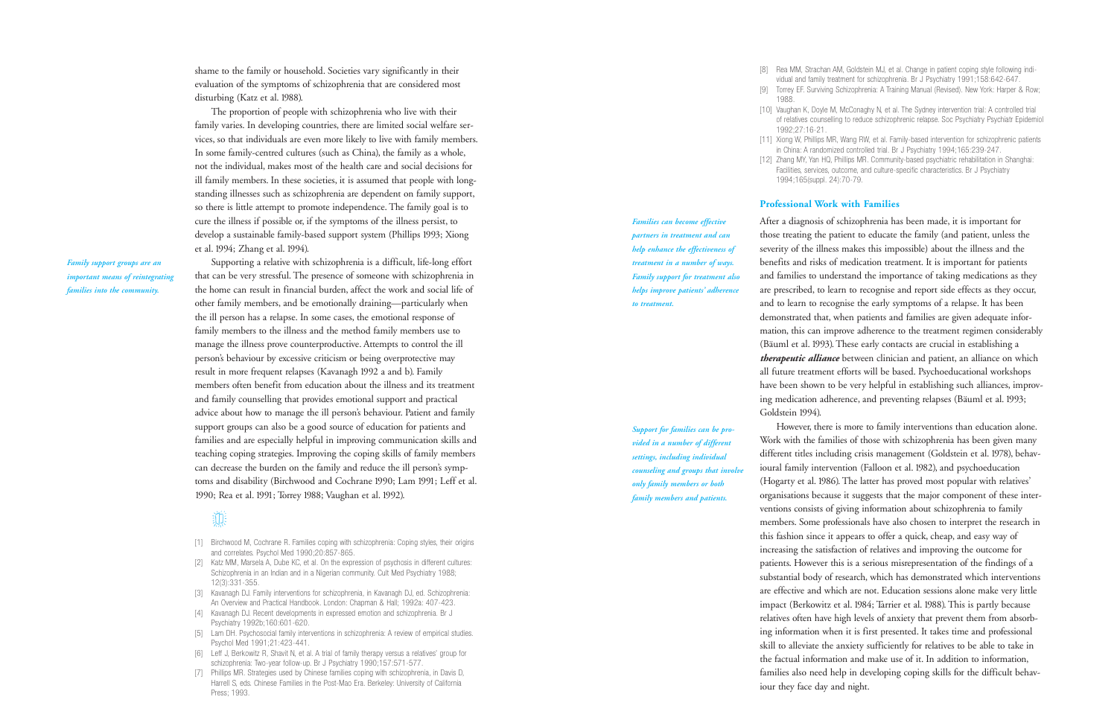[8] Rea MM, Strachan AM, Goldstein MJ, et al. Change in patient coping style following individual and family treatment for schizophrenia. Br J Psychiatry 1991;158:642-647. [9] Torrey EF. Surviving Schizophrenia: A Training Manual (Revised). New York: Harper & Row;

[10] Vaughan K, Doyle M, McConaghy N, et al. The Sydney intervention trial: A controlled trial of relatives counselling to reduce schizophrenic relapse. Soc Psychiatry Psychiatr Epidemiol

[11] Xiong W, Phillips MR, Wang RW, et al. Family-based intervention for schizophrenic patients in China: A randomized controlled trial. Br J Psychiatry 1994;165:239-247. [12] Zhang MY, Yan HQ, Phillips MR. Community-based psychiatric rehabilitation in Shanghai: Facilities, services, outcome, and culture-specific characteristics. Br J Psychiatry

- 
- 1988.
- 
- 1992;27:16-21.
- 1994;165(suppl. 24):70-79.

### **Professional Work with Families**

After a diagnosis of schizophrenia has been made, it is important for those treating the patient to educate the family (and patient, unless the severity of the illness makes this impossible) about the illness and the benefits and risks of medication treatment. It is important for patients and families to understand the importance of taking medications as they are prescribed, to learn to recognise and report side effects as they occur, and to learn to recognise the early symptoms of a relapse. It has been demonstrated that, when patients and families are given adequate information, this can improve adherence to the treatment regimen considerably (Bäuml et al. 1993). These early contacts are crucial in establishing a *therapeutic alliance* between clinician and patient, an alliance on which all future treatment efforts will be based. Psychoeducational workshops have been shown to be very helpful in establishing such alliances, improving medication adherence, and preventing relapses (Bäuml et al. 1993;

Goldstein 1994). However, there is more to family interventions than education alone. Work with the families of those with schizophrenia has been given many different titles including crisis management (Goldstein et al. 1978), behavioural family intervention (Falloon et al. 1982), and psychoeducation (Hogarty et al. 1986). The latter has proved most popular with relatives' organisations because it suggests that the major component of these interventions consists of giving information about schizophrenia to family members. Some professionals have also chosen to interpret the research in this fashion since it appears to offer a quick, cheap, and easy way of increasing the satisfaction of relatives and improving the outcome for patients. However this is a serious misrepresentation of the findings of a substantial body of research, which has demonstrated which interventions are effective and which are not. Education sessions alone make very little impact (Berkowitz et al. 1984; Tarrier et al. 1988). This is partly because relatives often have high levels of anxiety that prevent them from absorbing information when it is first presented. It takes time and professional skill to alleviate the anxiety sufficiently for relatives to be able to take in the factual information and make use of it. In addition to information, families also need help in developing coping skills for the difficult behaviour they face day and night.

- [1] Birchwood M, Cochrane R. Families coping with schizophrenia: Coping styles, their origins and correlates. Psychol Med 1990;20:857-865.
- [2] Katz MM, Marsela A, Dube KC, et al. On the expression of psychosis in different cultures: Schizophrenia in an Indian and in a Nigerian community. Cult Med Psychiatry 1988; 12(3):331-355.
- [3] Kavanagh DJ. Family interventions for schizophrenia, in Kavanagh DJ, ed. Schizophrenia: An Overview and Practical Handbook. London: Chapman & Hall; 1992a: 407-423.
- [4] Kavanagh DJ. Recent developments in expressed emotion and schizophrenia. Br J Psychiatry 1992b;160:601-620.
- [5] Lam DH. Psychosocial family interventions in schizophrenia: A review of empirical studies. Psychol Med 1991;21:423-441.
- [6] Leff J, Berkowitz R, Shavit N, et al. A trial of family therapy versus a relatives' group for schizophrenia: Two-year follow-up. Br J Psychiatry 1990;157:571-577.
- [7] Phillips MR. Strategies used by Chinese families coping with schizophrenia, in Davis D, Harrell S, eds. Chinese Families in the Post-Mao Era. Berkeley: University of California Press; 1993.

shame to the family or household. Societies vary significantly in their evaluation of the symptoms of schizophrenia that are considered most disturbing (Katz et al. 1988).

The proportion of people with schizophrenia who live with their family varies. In developing countries, there are limited social welfare services, so that individuals are even more likely to live with family members. In some family-centred cultures (such as China), the family as a whole, not the individual, makes most of the health care and social decisions for ill family members. In these societies, it is assumed that people with longstanding illnesses such as schizophrenia are dependent on family support, so there is little attempt to promote independence. The family goal is to cure the illness if possible or, if the symptoms of the illness persist, to develop a sustainable family-based support system (Phillips 1993; Xiong et al. 1994; Zhang et al. 1994).

Supporting a relative with schizophrenia is a difficult, life-long effort that can be very stressful. The presence of someone with schizophrenia in the home can result in financial burden, affect the work and social life of other family members, and be emotionally draining—particularly when the ill person has a relapse. In some cases, the emotional response of family members to the illness and the method family members use to manage the illness prove counterproductive. Attempts to control the ill person's behaviour by excessive criticism or being overprotective may result in more frequent relapses (Kavanagh 1992 a and b). Family members often benefit from education about the illness and its treatment and family counselling that provides emotional support and practical advice about how to manage the ill person's behaviour. Patient and family support groups can also be a good source of education for patients and families and are especially helpful in improving communication skills and teaching coping strategies. Improving the coping skills of family members can decrease the burden on the family and reduce the ill person's symptoms and disability (Birchwood and Cochrane 1990; Lam 1991; Leff et al. 1990; Rea et al. 1991; Torrey 1988; Vaughan et al. 1992).

# 洫

*Families can become effective partners in treatment and can help enhance the effectiveness of treatment in a number of ways. Family support for treatment also helps improve patients' adherence to treatment.*

*Support for families can be provided in a number of different settings, including individual counseling and groups that involve only family members or both family members and patients.*

*Family support groups are an important means of reintegrating families into the community.*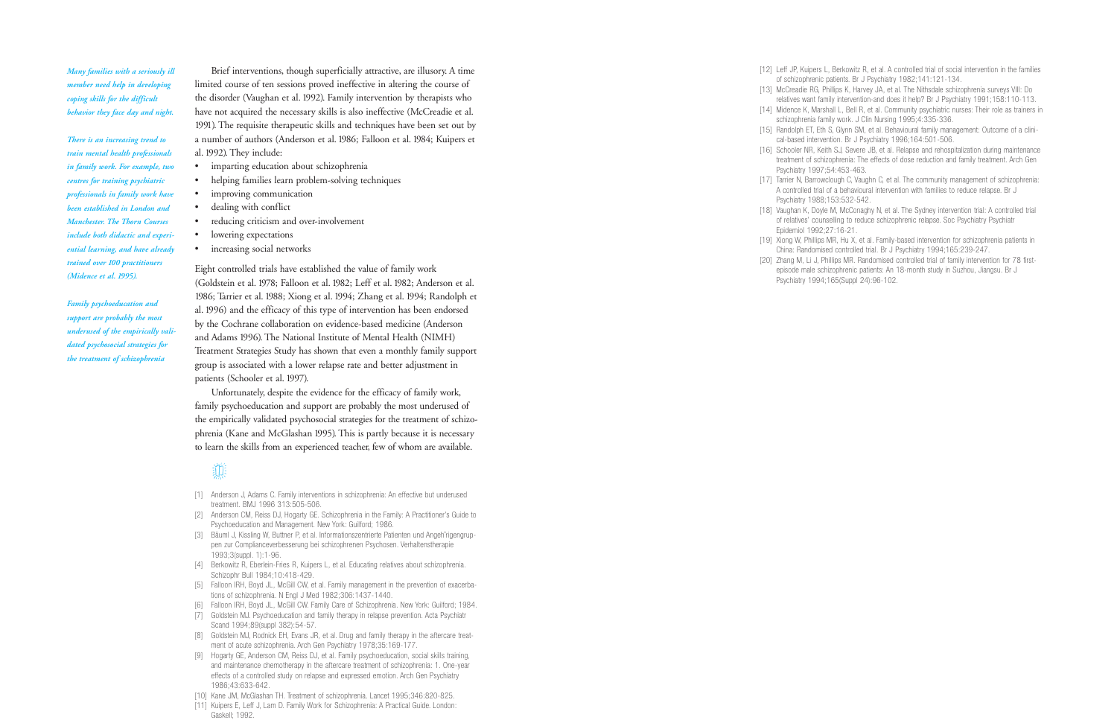- [12] Leff JP, Kuipers L, Berkowitz R, et al. A controlled trial of social intervention in the families of schizophrenic patients. Br J Psychiatry 1982;141:121-134.
- [13] McCreadie RG, Phillips K, Harvey JA, et al. The Nithsdale schizophrenia surveys VIII: Do relatives want family intervention-and does it help? Br J Psychiatry 1991;158:110-113. schizophrenia family work. J Clin Nursing 1995;4:335-336.
- [14] Midence K, Marshall L, Bell R, et al. Community psychiatric nurses: Their role as trainers in
- 
- [15] Randolph ET, Eth S, Glynn SM, et al. Behavioural family management: Outcome of a clinical-based intervention. Br J Psychiatry 1996;164:501-506.
- [16] Schooler NR, Keith SJ, Severe JB, et al. Relapse and rehospitalization during maintenance treatment of schizophrenia: The effects of dose reduction and family treatment. Arch Gen Psychiatry 1997;54:453-463.
- [17] Tarrier N, Barrowclough C, Vaughn C, et al. The community management of schizophrenia: A controlled trial of a behavioural intervention with families to reduce relapse. Br J Psychiatry 1988;153:532-542.
- [18] Vaughan K, Doyle M, McConaghy N, et al. The Sydney intervention trial: A controlled trial of relatives' counselling to reduce schizophrenic relapse. Soc Psychiatry Psychiatr Epidemiol 1992;27:16-21.
- [19] Xiong W, Phillips MR, Hu X, et al. Family-based intervention for schizophrenia patients in China: Randomised controlled trial. Br J Psychiatry 1994;165:239-247.
- [20] Zhang M, Li J, Phillips MR. Randomised controlled trial of family intervention for 78 firstepisode male schizophrenic patients: An 18-month study in Suzhou, Jiangsu. Br J Psychiatry 1994;165(Suppl 24):96-102.

Brief interventions, though superficially attractive, are illusory. <sup>A</sup> time limited course of ten sessions proved ineffective in altering the course of the disorder (Vaughan et al. 1992). Family intervention by therapists who have not acquired the necessary skills is also ineffective (McCreadie et al. 1991). The requisite therapeutic skills and techniques have been set out by a number of authors (Anderson et al. 1986; Falloon et al. 1984; Kuipers et al. 1992). They include:

- imparting education about schizophrenia
- helping families learn problem-solving techniques
- improving communication
- dealing with conflict
- •reducing criticism and over-involvement
- •lowering expectations
- increasing social networks

Eight controlled trials have established the value of family work (Goldstein et al. 1978; Falloon et al. 1982; Leff et al. 1982; Anderson et al. 1986; Tarrier et al. 1988; Xiong et al. 1994; Zhang et al. 1994; Randolph et al. 1996) and the efficacy of this type of intervention has been endorsed by the Cochrane collaboration on evidence-based medicine (Anderson and Adams 1996). The National Institute of Mental Health (NIMH) Treatment Strategies Study has shown that even a monthly family support group is associated with a lower relapse rate and better adjustment in patients (Schooler et al. 1997).

Unfortunately, despite the evidence for the efficacy of family work, family psychoeducation and support are probably the most underused of the empirically validated psychosocial strategies for the treatment of schizophrenia (Kane and McGlashan 1995). This is partly because it is necessary to learn the skills from an experienced teacher, few of whom are available.



- [1] Anderson J, Adams C. Family interventions in schizophrenia: An effective but underused treatment. BMJ 1996 313:505-506.
- [2] Anderson CM, Reiss DJ, Hogarty GE. Schizophrenia in the Family: A Practitioner's Guide to Psychoeducation and Management. New York: Guilford; 1986.
- [3] Bäuml J, Kissling W, Buttner P, et al. Informationszentrierte Patienten und Angeh^rigengruppen zur Complianceverbesserung bei schizophrenen Psychosen. Verhaltenstherapie 1993;3(suppl. 1):1-96.
- [4] Berkowitz R, Eberlein-Fries R, Kuipers L, et al. Educating relatives about schizophrenia. Schizophr Bull 1984;10:418-429.
- [5] Falloon IRH, Boyd JL, McGill CW, et al. Family management in the prevention of exacerbations of schizophrenia. N Engl J Med 1982;306:1437-1440.
- [6] Falloon IRH, Boyd JL, McGill CW. Family Care of Schizophrenia. New York: Guilford; 1984.
- [7] Goldstein MJ. Psychoeducation and family therapy in relapse prevention. Acta Psychiatr Scand 1994;89(suppl 382):54-57.
- [8] Goldstein MJ, Rodnick EH, Evans JR, et al. Drug and family therapy in the aftercare treatment of acute schizophrenia. Arch Gen Psychiatry 1978;35:169-177.
- [9] Hogarty GE, Anderson CM, Reiss DJ, et al. Family psychoeducation, social skills training, and maintenance chemotherapy in the aftercare treatment of schizophrenia: 1. One-year effects of a controlled study on relapse and expressed emotion. Arch Gen Psychiatry 1986;43:633-642.
- [10] Kane JM, McGlashan TH. Treatment of schizophrenia. Lancet 1995;346:820-825.
- [11] Kuipers E, Leff J, Lam D. Family Work for Schizophrenia: A Practical Guide. London: Gaskell; 1992.

*Many families with a seriously ill member need help in developing coping skills for the difficult behavior they face day and night.*

*There is an increasing trend to train mental health professionals in family work. For example, two centres for training psychiatric professionals in family work have been established in London andManchester. The Thorn Courses include both didactic and experiential learning, and have already trained over 100 practitioners (Midence et al. 1995).*

*Family psychoeducation and support are probably the most underused of the empirically validated psychosocial strategies for the treatment of schizophrenia*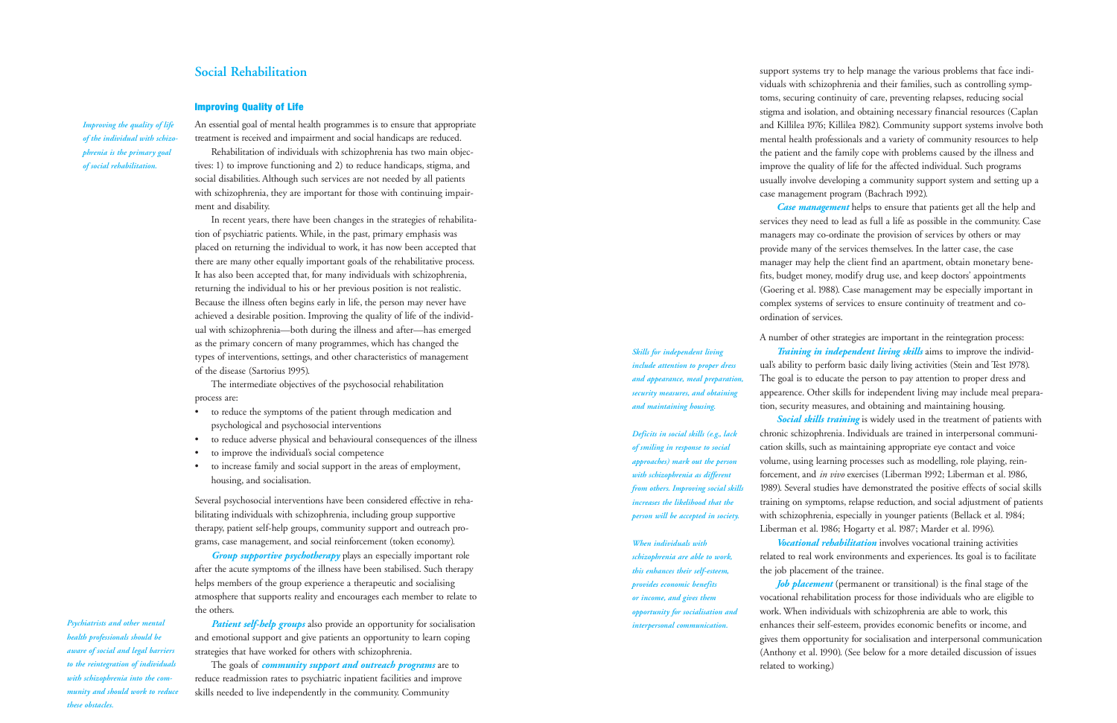support systems try to help manage the various problems that face individuals with schizophrenia and their families, such as controlling symptoms, securing continuity of care, preventing relapses, reducing social stigma and isolation, and obtaining necessary financial resources (Caplan and Killilea 1976; Killilea 1982). Community support systems involve both mental health professionals and a variety of community resources to help the patient and the family cope with problems caused by the illness and improve the quality of life for the affected individual. Such programs usually involve developing a community support system and setting up a case management program (Bachrach 1992).

*Case management* helps to ensure that patients get all the help and services they need to lead as full a life as possible in the community. Case managers may co-ordinate the provision of services by others or may provide many of the services themselves. In the latter case, the case manager may help the client find an apartment, obtain monetary benefits, budget money, modify drug use, and keep doctors' appointments (Goering et al. 1988). Case management may be especially important in complex systems of services to ensure continuity of treatment and coordination of services.

<sup>A</sup> number of other strategies are important in the reintegration process: *Training in independent living skills* aims to improve the individual's ability to perform basic daily living activities (Stein and Test 1978). The goal is to educate the person to pay attention to proper dress and appearence. Other skills for independent living may include meal preparation, security measures, and obtaining and maintaining housing. *Social skills training* is widely used in the treatment of patients with chronic schizophrenia. Individuals are trained in interpersonal communication skills, such as maintaining appropriate eye contact and voice volume, using learning processes such as modelling, role playing, reinforcement, and *in vivo* exercises (Liberman 1992; Liberman et al. 1986, 1989). Several studies have demonstrated the positive effects of social skills training on symptoms, relapse reduction, and social adjustment of patients with schizophrenia, especially in younger patients (Bellack et al. 1984; Liberman et al. 1986; Hogarty et al. 1987; Marder et al. 1996).

*Vocational rehabilitation* involves vocational training activities related to real work environments and experiences. Its goal is to facilitate

the job placement of the trainee. *Job placement* (permanent or transitional) is the final stage of the

*Patient self-help groups* also provide an opportunity for socialisation and emotional support and give patients an opportunity to learn coping strategies that have worked for others with schizophrenia.

vocational rehabilitation process for those individuals who are eligible to work. When individuals with schizophrenia are able to work, this enhances their self-esteem, provides economic benefits or income, and <sup>g</sup>ives them opportunity for socialisation and interpersonal communication (Anthony et al. 1990). (See below for a more detailed discussion of issues related to working.)

# **Social Rehabilitation**

**Improving Quality of Life**

An essential goal of mental health programmes is to ensure that appropriate treatment is received and impairment and social handicaps are reduced.

Rehabilitation of individuals with schizophrenia has two main objectives: 1) to improve functioning and 2) to reduce handicaps, stigma, and social disabilities. Although such services are not needed by all patients with schizophrenia, they are important for those with continuing impairment and disability.

In recent years, there have been changes in the strategies of rehabilitation of psychiatric patients. While, in the past, primary emphasis was <sup>p</sup>laced on returning the individual to work, it has now been accepted that there are many other equally important goals of the rehabilitative process. It has also been accepted that, for many individuals with schizophrenia, returning the individual to his or her previous position is not realistic. Because the illness often begins early in life, the person may never have achieved a desirable position. Improving the quality of life of the individual with schizophrenia—both during the illness and after—has emerged as the primary concern of many programmes, which has changed the types of interventions, settings, and other characteristics of management of the disease (Sartorius 1995).

The intermediate objectives of the psychosocial rehabilitation process are:

- • to reduce the symptoms of the patient through medication and psychological and psychosocial interventions
- to reduce adverse physical and behavioural consequences of the illness
- •to improve the individual's social competence
- to increase family and social support in the areas of employment, housing, and socialisation.

Several psychosocial interventions have been considered effective in rehabilitating individuals with schizophrenia, including group supportive therapy, patient self-help groups, community support and outreach programs, case management, and social reinforcement (token economy).

*Group supportive psychotherapy* <sup>p</sup>lays an especially important role after the acute symptoms of the illness have been stabilised. Such therapy helps members of the group experience a therapeutic and socialising atmosphere that supports reality and encourages each member to relate to the others.

The goals of *community support and outreach programs* are to reduce readmission rates to psychiatric inpatient facilities and improve skills needed to live independently in the community. Community

*Skills for independent living include attention to proper dress and appearance, meal preparation, security measures, and obtaining and maintaining housing.*

*Deficits in social skills (e.g., lack of smiling in response to social approaches) mark out the person with schizophrenia as different from others. Improving social skills increases the likelihood that the person will be accepted in society.*

*When individuals with schizophrenia are able to work, this enhances their self-esteem, provides economic benefits or income, and gives them opportunity for socialisation and interpersonal communication.*

*Improving the quality of life of the individual with schizophrenia is the primary goal of social rehabilitation.*

*Psychiatrists and other mental health professionals should be aware of social and legal barriers to the reintegration of individuals with schizophrenia into the community and should work to reduce these obstacles.*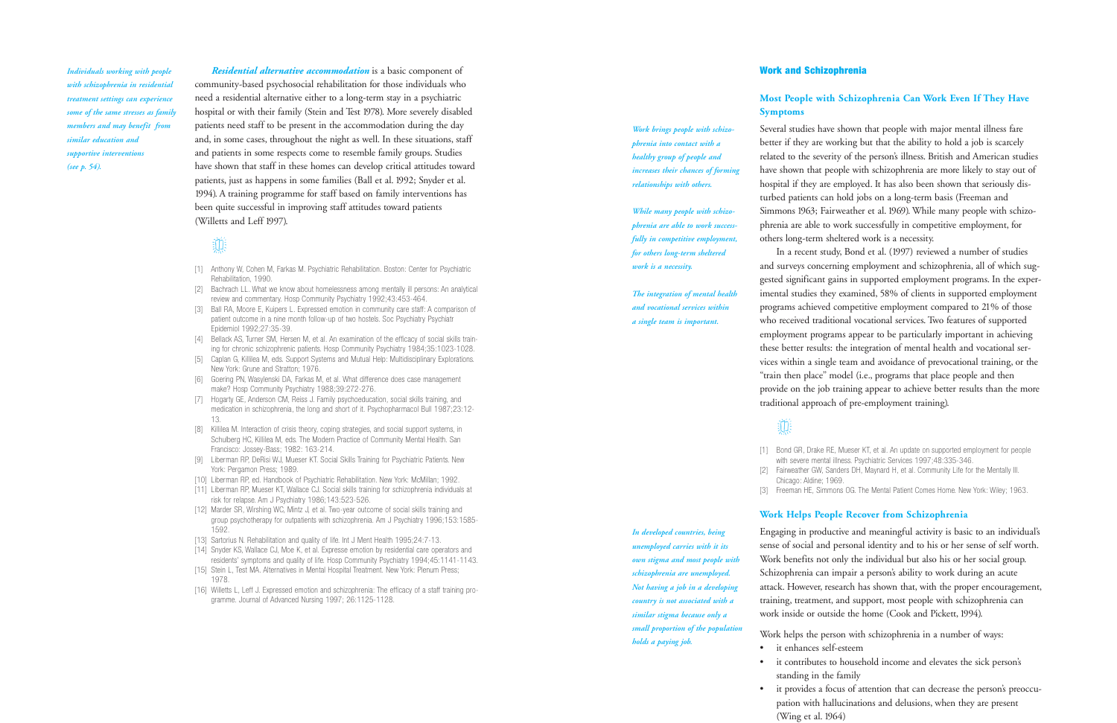### **Work and Schizophrenia**

### **Most People with Schizophrenia Can Work Even If They Have**

**Symptoms** 

Several studies have shown that people with major mental illness fare better if they are working but that the ability to hold a job is scarcely related to the severity of the person's illness. British and American studies have shown that people with schizophrenia are more likely to stay out of hospital if they are employed. It has also been shown that seriously disturbed patients can hold jobs on a long-term basis (Freeman and Simmons 1963; Fairweather et al. 1969). While many people with schizophrenia are able to work successfully in competitive employment, for others long-term sheltered work is a necessity.

[1] Bond GR, Drake RE, Mueser KT, et al. An update on supported employment for people with severe mental illness. Psychiatric Services 1997;48:335-346. [2] Fairweather GW, Sanders DH, Maynard H, et al. Community Life for the Mentally III.

[3] Freeman HE, Simmons OG. The Mental Patient Comes Home. New York: Wiley; 1963.

In a recent study, Bond et al. (1997) reviewed a number of studies and surveys concerning employment and schizophrenia, all of which suggested significant gains in supported employment programs. In the experimental studies they examined, 58% of clients in supported employment programs achieved competitive employment compared to 21% of those who received traditional vocational services. Two features of supported employment programs appear to be particularly important in achieving these better results: the integration of mental health and vocational services within a single team and avoidance of prevocational training, or the "train then place" model (i.e., programs that place people and then provide on the job training appear to achieve better results than the more traditional approach of pre-employment training).

# 洫

- 
- 
- Chicago: Aldine; 1969.
- 

### **Work Helps People Recover from Schizophrenia**

Engaging in productive and meaningful activity is basic to an individual's sense of social and personal identity and to his or her sense of self worth. Work benefits not only the individual but also his or her social group. Schizophrenia can impair a person's ability to work during an acute attack. However, research has shown that, with the proper encouragement, training, treatment, and support, most people with schizophrenia can work inside or outside the home (Cook and Pickett, 1994).

Work helps the person with schizophrenia in a number of ways: • it enhances self-esteem

• it contributes to household income and elevates the sick person's

- 
- standing in the family
- (Wing et al. 1964)

• it provides a focus of attention that can decrease the person's preoccupation with hallucinations and delusions, when they are present

*Residential alternative accommodation* is a basic component of community-based psychosocial rehabilitation for those individuals who need a residential alternative either to a long-term stay in a psychiatric hospital or with their family (Stein and Test 1978). More severely disabled patients need staff to be present in the accommodation during the day and, in some cases, throughout the night as well. In these situations, staff and patients in some respects come to resemble family groups. Studies have shown that staff in these homes can develop critical attitudes toward patients, just as happens in some families (Ball et al. 1992; Snyder et al. 1994). <sup>A</sup> training programme for staff based on family interventions has been quite successful in improving staff attitudes toward patients (Willetts and Leff 1997).

# 洫

- [1] Anthony W, Cohen M, Farkas M. Psychiatric Rehabilitation. Boston: Center for Psychiatric Rehabilitation, 1990.
- [2] Bachrach LL. What we know about homelessness among mentally ill persons: An analytical review and commentary. Hosp Community Psychiatry 1992;43:453-464.
- [3] Ball RA, Moore E, Kuipers L. Expressed emotion in community care staff: A comparison of patient outcome in a nine month follow-up of two hostels. Soc Psychiatry Psychiatr Epidemiol 1992;27:35-39.
- [4] Bellack AS, Turner SM, Hersen M, et al. An examination of the efficacy of social skills training for chronic schizophrenic patients. Hosp Community Psychiatry 1984;35:1023-1028.
- [5] Caplan G, Killilea M, eds. Support Systems and Mutual Help: Multidisciplinary Explorations. New York: Grune and Stratton; 1976.
- [6] Goering PN, Wasylenski DA, Farkas M, et al. What difference does case management make? Hosp Community Psychiatry 1988;39:272-276.
- [7] Hogarty GE, Anderson CM, Reiss J. Family psychoeducation, social skills training, and medication in schizophrenia, the long and short of it. Psychopharmacol Bull 1987;23:12- 13.
- [8] Killilea M. Interaction of crisis theory, coping strategies, and social support systems, in Schulberg HC, Killilea M, eds. The Modern Practice of Community Mental Health. San Francisco: Jossey-Bass; 1982: 163-214.
- [9] Liberman RP, DeRisi WJ, Mueser KT. Social Skills Training for Psychiatric Patients. New York: Pergamon Press; 1989.
- [10] Liberman RP, ed. Handbook of Psychiatric Rehabilitation. New York: McMillan; 1992.
- [11] Liberman RP, Mueser KT, Wallace CJ. Social skills training for schizophrenia individuals at risk for relapse. Am J Psychiatry 1986;143:523-526.
- [12] Marder SR, Wirshing WC, Mintz J, et al. Two-year outcome of social skills training and group psychotherapy for outpatients with schizophrenia. Am J Psychiatry 1996;153:1585- 1592.
- [13] Sartorius N. Rehabilitation and quality of life. Int J Ment Health 1995;24:7-13.
- [14] Snyder KS, Wallace CJ, Moe K, et al. Expresse emotion by residential care operators and residents' symptoms and quality of life. Hosp Community Psychiatry 1994;45:1141-1143.
- [15] Stein L, Test MA. Alternatives in Mental Hospital Treatment. New York: Plenum Press; 1978.
- [16] Willetts L, Leff J. Expressed emotion and schizophrenia: The efficacy of a staff training programme. Journal of Advanced Nursing 1997; 26:1125-1128.

*In developed countries, being unemployed carries with it its own stigma and most people with schizophrenia are unemployed. Not having a job in a developing country is not associated with a similar stigma because only a small proportion of the population*

*holds a paying job.*

*Work brings people with schizophrenia into contact with a healthy group of people and increases their chances of forming relationships with others.*

*While many people with schizophrenia are able to work successfully in competitive employment, for others long-term sheltered work is a necessity.*

*The integration of mental health and vocational services within a single team is important.*

*Individuals working with people with schizophrenia in residential treatment settings can experience some of the same stresses as family members and may benefit from similar education and supportive interventions (see p. 54).*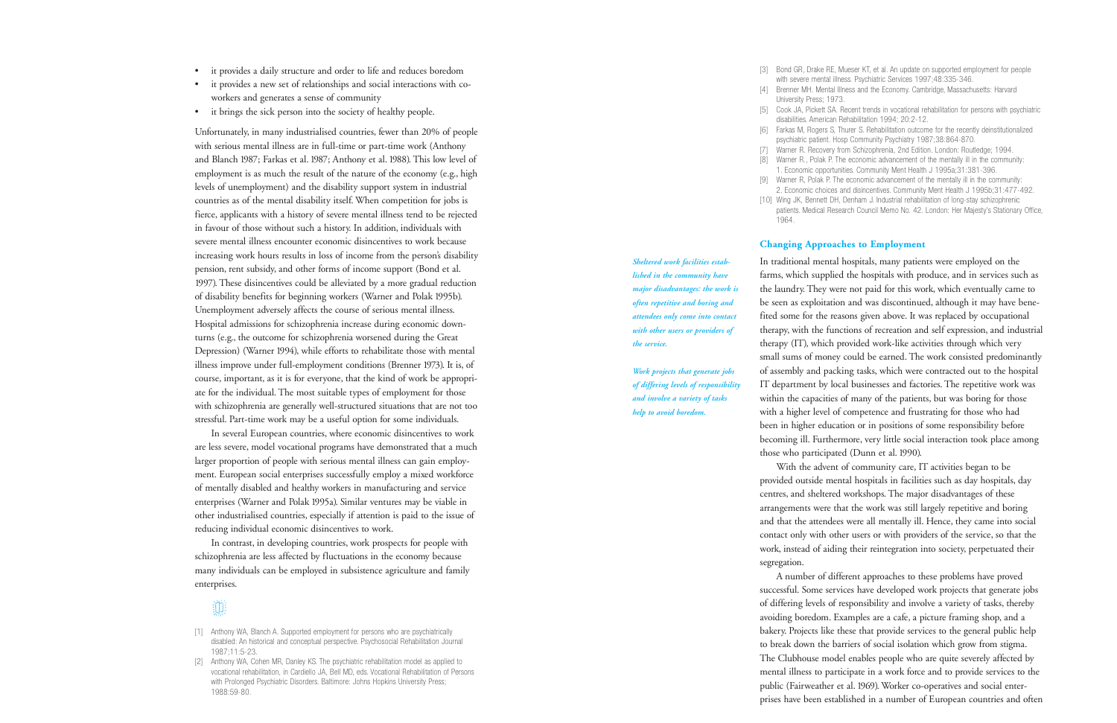[3] Bond GR, Drake RE, Mueser KT, et al. An update on supported employment for people with severe mental illness. Psychiatric Services 1997;48:335-346.

[4] Brenner MH. Mental Illness and the Economy. Cambridge, Massachusetts: Harvard

- 
- University Press; 1973.
- 
- 
- 
- 
- 

[5] Cook JA, Pickett SA. Recent trends in vocational rehabilitation for persons with psychiatric disabilities. American Rehabilitation 1994; 20:2-12.

[7] Warner R. Recovery from Schizophrenia, 2nd Edition. London: Routledge; 1994. [8] Warner R., Polak P. The economic advancement of the mentally ill in the community: 1. Economic opportunities. Community Ment Health J 1995a;31:381-396.

[6] Farkas M, Rogers S, Thurer S. Rehabilitation outcome for the recently deinstitutionalized psychiatric patient. Hosp Community Psychiatry 1987;38:864-870.

[9] Warner R, Polak P. The economic advancement of the mentally ill in the community:

2. Economic choices and disincentives. Community Ment Health J 1995b;31:477-492.

[10] Wing JK, Bennett DH, Denham J. Industrial rehabilitation of long-stay schizophrenic

patients. Medical Research Council Memo No. 42. London: Her Majesty's Stationary Office,

1964.

### **Changing Approaches to Employment**

In traditional mental hospitals, many patients were employed on the farms, which supplied the hospitals with produce, and in services such as the laundry. They were not paid for this work, which eventually came to be seen as exploitation and was discontinued, although it may have benefited some for the reasons given above. It was replaced by occupational therapy, with the functions of recreation and self expression, and industrial therapy (IT), which provided work-like activities through which very small sums of money could be earned. The work consisted predominantly of assembly and packing tasks, which were contracted out to the hospital IT department by local businesses and factories. The repetitive work was within the capacities of many of the patients, but was boring for those with a higher level of competence and frustrating for those who had been in higher education or in positions of some responsibility before becoming ill. Furthermore, very little social interaction took place among those who participated (Dunn et al. 1990).

With the advent of community care, IT activities began to be provided outside mental hospitals in facilities such as day hospitals, day centres, and sheltered workshops. The major disadvantages of these arrangements were that the work was still largely repetitive and boring and that the attendees were all mentally ill. Hence, they came into social contact only with other users or with providers of the service, so that the work, instead of aiding their reintegration into society, perpetuated their segregation.

<sup>A</sup> number of different approaches to these problems have proved successful. Some services have developed work projects that generate jobs of differing levels of responsibility and involve a variety of tasks, thereby avoiding boredom. Examples are a cafe, a picture framing shop, and a bakery. Projects like these that provide services to the general public help to break down the barriers of social isolation which grow from stigma. The Clubhouse model enables people who are quite severely affected by mental illness to participate in a work force and to provide services to the public (Fairweather et al. 1969). Worker co-operatives and social enterprises have been established in a number of European countries and often

- [1] Anthony WA, Blanch A. Supported employment for persons who are psychiatrically disabled: An historical and conceptual perspective. Psychosocial Rehabilitation Journal 1987;11:5-23.
- [2] Anthony WA, Cohen MR, Danley KS. The psychiatric rehabilitation model as applied to vocational rehabilitation, in Cardiello JA, Bell MD, eds. Vocational Rehabilitation of Persons with Prolonged Psychiatric Disorders. Baltimore: Johns Hopkins University Press; 1988:59-80.
- it provides a daily structure and order to life and reduces boredom
- • it provides a new set of relationships and social interactions with coworkers and generates a sense of community
- it brings the sick person into the society of healthy people.

Unfortunately, in many industrialised countries, fewer than 20% of people with serious mental illness are in full-time or part-time work (Anthony and Blanch 1987; Farkas et al. 1987; Anthony et al. 1988). This low level of employment is as much the result of the nature of the economy (e.g., high levels of unemployment) and the disability support system in industrial countries as of the mental disability itself. When competition for jobs is fierce, applicants with a history of severe mental illness tend to be rejected in favour of those without such a history. In addition, individuals with severe mental illness encounter economic disincentives to work because increasing work hours results in loss of income from the person's disability pension, rent subsidy, and other forms of income support (Bond et al. 1997). These disincentives could be alleviated by a more gradual reduction of disability benefits for beginning workers (Warner and Polak 1995b). Unemployment adversely affects the course of serious mental illness. Hospital admissions for schizophrenia increase during economic downturns (e.g., the outcome for schizophrenia worsened during the Great Depression) (Warner 1994), while efforts to rehabilitate those with mental illness improve under full-employment conditions (Brenner 1973). It is, of course, important, as it is for everyone, that the kind of work be appropriate for the individual. The most suitable types of employment for those with schizophrenia are generally well-structured situations that are not too stressful. Part-time work may be a useful option for some individuals.

In several European countries, where economic disincentives to work are less severe, model vocational programs have demonstrated that a much larger proportion of people with serious mental illness can gain employment. European social enterprises successfully employ a mixed workforce of mentally disabled and healthy workers in manufacturing and service enterprises (Warner and Polak 1995a). Similar ventures may be viable in other industrialised countries, especially if attention is paid to the issue of reducing individual economic disincentives to work.

In contrast, in developing countries, work prospects for people with schizophrenia are less affected by fluctuations in the economy because many individuals can be employed in subsistence agriculture and family enterprises.

# 瀧

*Sheltered work facilities established in the community have major disadvantages: the work is often repetitive and boring and attendees only come into contact with other users or providers of*

*the service.*

*Work projects that generate jobs of differing levels of responsibility and involve a variety of tasks help to avoid boredom.*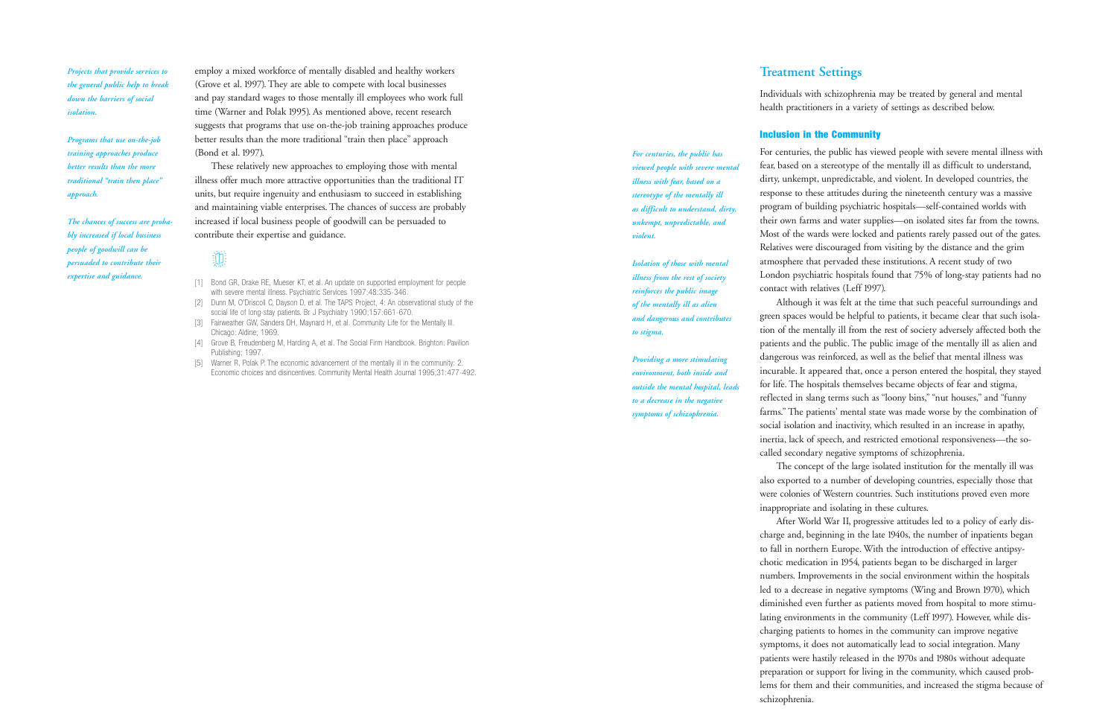# **Treatment Settings**

Individuals with schizophrenia may be treated by general and mental health practitioners in a variety of settings as described below.

# **Inclusion in the Community**

For centuries, the public has viewed people with severe mental illness with fear, based on a stereotype of the mentally ill as difficult to understand, dirty, unkempt, unpredictable, and violent. In developed countries, the response to these attitudes during the nineteenth century was a massive program of building psychiatric hospitals—self-contained worlds with their own farms and water supplies—on isolated sites far from the towns. Most of the wards were locked and patients rarely passed out of the gates. Relatives were discouraged from visiting by the distance and the grim atmosphere that pervaded these institutions. <sup>A</sup> recent study of two London psychiatric hospitals found that 75% of long-stay patients had no contact with relatives (Leff 1997).

Although it was felt at the time that such peaceful surroundings and green spaces would be helpful to patients, it became clear that such isolation of the mentally ill from the rest of society adversely affected both the patients and the public. The public image of the mentally ill as alien and dangerous was reinforced, as well as the belief that mental illness was incurable. It appeared that, once a person entered the hospital, they stayed for life. The hospitals themselves became objects of fear and stigma, reflected in slang terms such as "loony bins," "nut houses," and "funny farms." The patients' mental state was made worse by the combination of social isolation and inactivity, which resulted in an increase in apathy, inertia, lack of speech, and restricted emotional responsiveness—the socalled secondary negative symptoms of schizophrenia.

The concept of the large isolated institution for the mentally ill was also exported to a number of developing countries, especially those that were colonies of Western countries. Such institutions proved even more inappropriate and isolating in these cultures.

- [1] Bond GR, Drake RE, Mueser KT, et al. An update on supported employment for people with severe mental illness. Psychiatric Services 1997;48:335-346.
- [2] Dunn M, O'Driscoll C, Dayson D, et al. The TAPS Project, 4: An observational study of the social life of long-stay patients. Br J Psychiatry 1990;157:661-670.
- [3] Fairweather GW, Sanders DH, Maynard H, et al. Community Life for the Mentally III. Chicago: Aldine; 1969.
- [4] Grove B, Freudenberg M, Harding A, et al. The Social Firm Handbook. Brighton: Pavilion Publishing; 1997.
- [5] Warner R, Polak P. The economic advancement of the mentally ill in the community: 2. Economic choices and disincentives. Community Mental Health Journal 1995;31:477-492.

After World War II, progressive attitudes led to a policy of early discharge and, beginning in the late 1940s, the number of inpatients began to fall in northern Europe. With the introduction of effective antipsychotic medication in 1954, patients began to be discharged in larger numbers. Improvements in the social environment within the hospitals led to a decrease in negative symptoms (Wing and Brown 1970), which diminished even further as patients moved from hospital to more stimulating environments in the community (Leff 1997). However, while discharging patients to homes in the community can improve negative symptoms, it does not automatically lead to social integration. Many patients were hastily released in the 1970s and 1980s without adequate preparation or support for living in the community, which caused problems for them and their communities, and increased the stigma because of

schizophrenia.

employ a mixed workforce of mentally disabled and healthy workers (Grove et al. 1997). They are able to compete with local businesses and pay standard wages to those mentally ill employees who work full time (Warner and Polak 1995). As mentioned above, recent research suggests that programs that use on-the-job training approaches produce better results than the more traditional "train then place" approach (Bond et al. 1997).

These relatively new approaches to employing those with mental illness offer much more attractive opportunities than the traditional IT units, but require ingenuity and enthusiasm to succeed in establishing and maintaining viable enterprises. The chances of success are probably increased if local business people of goodwill can be persuaded to contribute their expertise and guidance.

# 狐

*For centuries, the public has viewed people with severe mental illness with fear, based on a stereotype of the mentally ill as difficult to understand, dirty, unkempt, unpredictable, and violent.*

*Isolation of those with mental illness from the rest of society reinforces the public image of the mentally ill as alien and dangerous and contributes to stigma.*

*Providing a more stimulating environment, both inside and outside the mental hospital, leads to a decrease in the negative symptoms of schizophrenia.*

*Projects that provide services to the general public help to break down the barriers of social isolation.*

*Programs that use on-the-job training approaches produce better results than the more traditional "train then place" approach.*

*The chances of success are probably increased if local business people of goodwill can be persuaded to contribute their expertise and guidance.*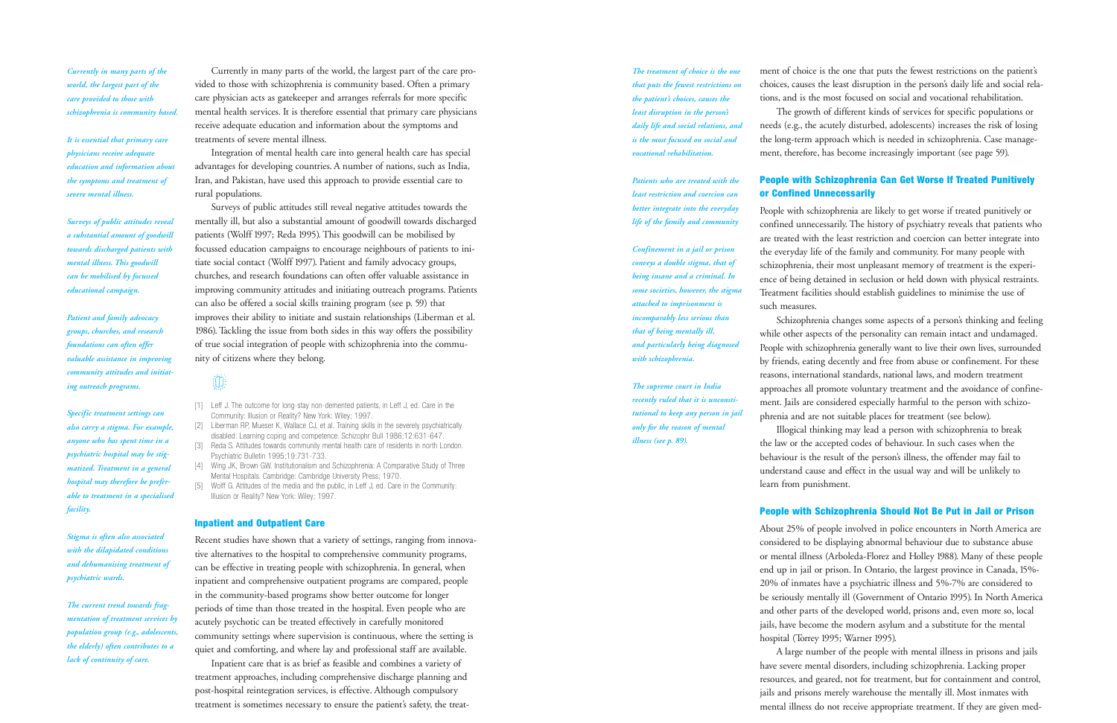ment of choice is the one that puts the fewest restrictions on the patient's The growth of different kinds of services for specific populations or

choices, causes the least disruption in the person's daily life and social relations, and is the most focused on social and vocational rehabilitation. needs (e.g., the acutely disturbed, adolescents) increases the risk of losing the long-term approach which is needed in schizophrenia. Case management, therefore, has become increasingly important (see page 59).

# **People with Schizophrenia Can Get Worse If Treated Punitively or Confined Unnecessarily**

People with schizophrenia are likely to get worse if treated punitively or confined unnecessarily. The history of psychiatry reveals that patients who are treated with the least restriction and coercion can better integrate into the everyday life of the family and community. For many people with schizophrenia, their most unpleasant memory of treatment is the experience of being detained in seclusion or held down with physical restraints. Treatment facilities should establish guidelines to minimise the use of such measures.

while other aspects of the personality can remain intact and undamaged. People with schizophrenia generally want to live their own lives, surrounded by friends, eating decently and free from abuse or confinement. For these reasons, international standards, national laws, and modern treatment approaches all promote voluntary treatment and the avoidance of confinement. Jails are considered especially harmful to the person with schizophrenia and are not suitable places for treatment (see below). the law or the accepted codes of behaviour. In such cases when the behaviour is the result of the person's illness, the offender may fail to

Schizophrenia changes some aspects of a person's thinking and feeling Illogical thinking may lead a person with schizophrenia to break understand cause and effect in the usual way and will be unlikely to learn from punishment.

Surveys of public attitudes still reveal negative attitudes towards the mentally ill, but also a substantial amount of goodwill towards discharged patients (Wolff 1997; Reda 1995). This goodwill can be mobilised by focussed education campaigns to encourage neighbours of patients to ini tiate social contact (Wolff 1997). Patient and family advocacy groups, churches, and research foundations can often offer valuable assistance in improving community attitudes and initiating outreach programs. Patients can also be offered a social skills training program (see p. 59) that improves their ability to initiate and sustain relationships (Liberman et al. 1986). Tackling the issue from both sides in this way offers the possibility of true social integration of people with schizophrenia into the commu nity of citizens where they belong. Are the source of the source of the source of the solicity and the solicity of the solicity of the solicity of the solicity of the solicity of the solicity of the solicity of the solicity of the solicity of the solicity o

# **People with Schizophrenia Should Not Be Put in Jail or Prison**

About 25% of people involved in police encounters in North America are considered to be displaying abnormal behaviour due to substance abuse or mental illness (Arboleda-Florez and Holley 1988). Many of these people end up in jail or prison. In Ontario, the largest province in Canada, 15%- 20% of inmates have a psychiatric illness and 5%-7% are considered to be seriously mentally ill (Government of Ontario 1995). In North America and other parts of the developed world, prisons and, even more so, local jails, have become the modern asylum and a substitute for the mental hospital (Torrey 1995; Warner 1995).

- [1] Leff J. The outcome for long-stay non-demented patients, in Leff J, ed. Care in the Community: Illusion or Reality? New York: Wiley; 1997.
- [2] Liberman RP, Mueser K, Wallace CJ, et al. Training skills in the severely psychiatrically disabled: Learning coping and competence. Schizophr Bull 1986;12:631-647.
- [3] Reda S. Attitudes towards community mental health care of residents in north London. Psychiatric Bulletin 1995;19:731-733.
- [4] Wing JK, Brown GW. Institutionalism and Schizophrenia: A Comparative Study of Three Mental Hospitals. Cambridge: Cambridge University Press; 1970.
- [5] Wolff G. Attitudes of the media and the public, in Leff J, ed. Care in the Community: Illusion or Reality? New York: Wiley; 1997.

<sup>A</sup> large number of the people with mental illness in prisons and jails have severe mental disorders, including schizophrenia. Lacking proper resources, and geared, not for treatment, but for containment and control, jails and prisons merely warehouse the mentally ill. Most inmates with mental illness do not receive appropriate treatment. If they are given med-

Currently in many parts of the world, the largest part of the care pro vided to those with schizophrenia is community based. Often a primary care physician acts as gatekeeper and arranges referrals for more specific mental health services. It is therefore essential that primary care physicians receive adequate education and information about the symptoms and treatments of severe mental illness.

Integration of mental health care into general health care has special advantages for developing countries. <sup>A</sup> number of nations, such as India, Iran, and Pakistan, have used this approach to provide essential care to rural populations.

### **Inpatient and Outpatient Care**

Recent studies have shown that a variety of settings, ranging from innova tive alternatives to the hospital to comprehensive community programs, can be effective in treating people with schizophrenia. In general, when inpatient and comprehensive outpatient programs are compared, people in the community-based programs show better outcome for longer periods of time than those treated in the hospital. Even people who are acutely psychotic can be treated effectively in carefully monitored community settings where supervision is continuous, where the setting is quiet and comforting, and where lay and professional staff are available.

Inpatient care that is as brief as feasible and combines a variety of treatment approaches, including comprehensive discharge planning and post-hospital reintegration services, is effective. Although compulsory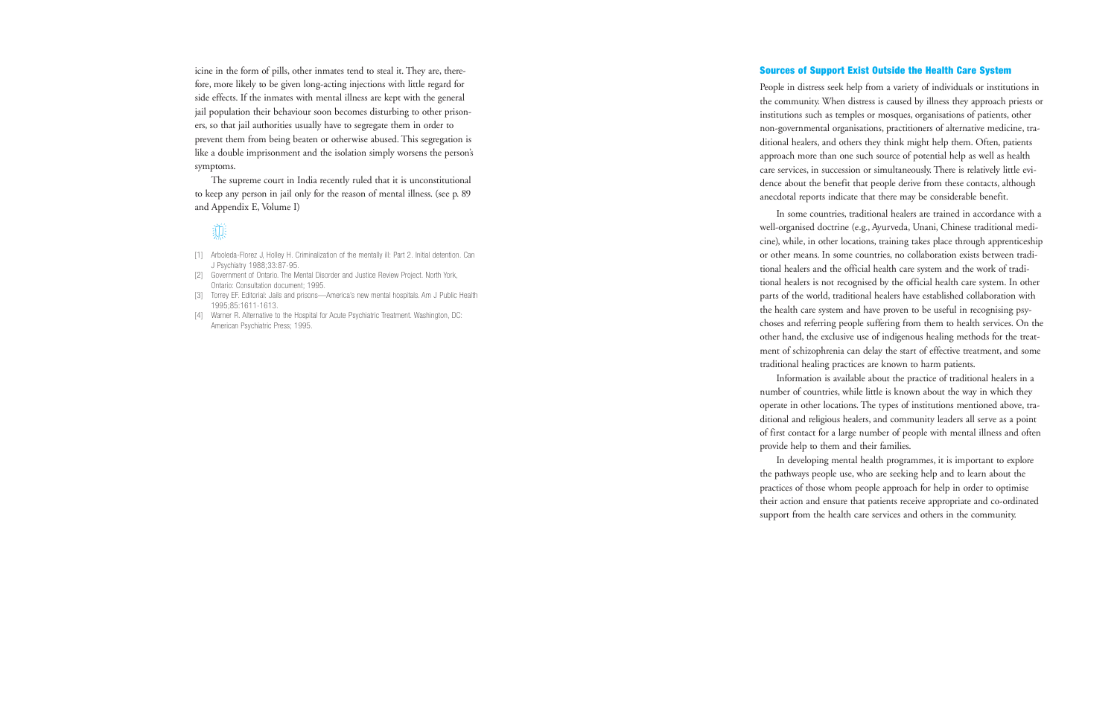### **Sources of Support Exist Outside the Health Care System**

People in distress seek help from a variety of individuals or institutions in the community. When distress is caused by illness they approach priests or institutions such as temples or mosques, organisations of patients, other non-governmental organisations, practitioners of alternative medicine, traditional healers, and others they think might help them. Often, patients approach more than one such source of potential help as well as health care services, in succession or simultaneously. There is relatively little evidence about the benefit that people derive from these contacts, although anecdotal reports indicate that there may be considerable benefit.

In some countries, traditional healers are trained in accordance with a well-organised doctrine (e.g., Ayurveda, Unani, Chinese traditional medicine), while, in other locations, training takes place through apprenticeship or other means. In some countries, no collaboration exists between traditional healers and the official health care system and the work of traditional healers is not recognised by the official health care system. In other parts of the world, traditional healers have established collaboration with the health care system and have proven to be useful in recognising psychoses and referring people suffering from them to health services. On the other hand, the exclusive use of indigenous healing methods for the treatment of schizophrenia can delay the start of effective treatment, and some traditional healing practices are known to harm patients.

- [1] Arboleda-Florez J, Holley H. Criminalization of the mentally ill: Part 2. Initial detention. Can J Psychiatry 1988;33:87-95.
- [2] Government of Ontario. The Mental Disorder and Justice Review Project. North York, Ontario: Consultation document; 1995.
- [3] Torrey EF. Editorial: Jails and prisons—America's new mental hospitals. Am J Public Health 1995;85:1611-1613.
- [4] Warner R. Alternative to the Hospital for Acute Psychiatric Treatment. Washington, DC: American Psychiatric Press; 1995.

Information is available about the practice of traditional healers in a number of countries, while little is known about the way in which they operate in other locations. The types of institutions mentioned above, traditional and religious healers, and community leaders all serve as a point of first contact for a large number of people with mental illness and often provide help to them and their families.

In developing mental health programmes, it is important to explore the pathways people use, who are seeking help and to learn about the practices of those whom people approach for help in order to optimise their action and ensure that patients receive appropriate and co-ordinated support from the health care services and others in the community.

icine in the form of pills, other inmates tend to steal it. They are, therefore, more likely to be given long-acting injections with little regard for side effects. If the inmates with mental illness are kept with the general jail population their behaviour soon becomes disturbing to other prisoners, so that jail authorities usually have to segregate them in order to prevent them from being beaten or otherwise abused. This segregation is like a double imprisonment and the isolation simply worsens the person's symptoms.

The supreme court in India recently ruled that it is unconstitutional to keep any person in jail only for the reason of mental illness. (see p. 89 and Appendix E, Volume I)

# 洫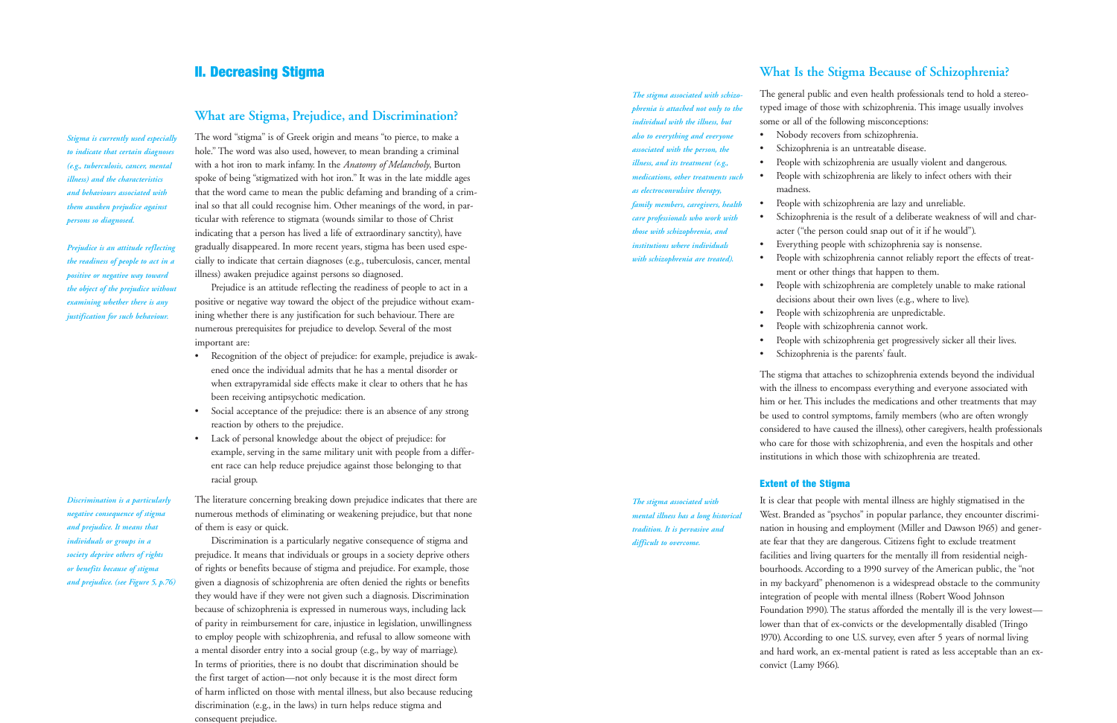# **What Is the Stigma Because of Schizophrenia?**

The general public and even health professionals tend to hold a stereotyped image of those with schizophrenia. This image usually involves some or all of the following misconceptions:

• Nobody recovers from schizophrenia.

- Schizophrenia is an untreatable disease.
- People with schizophrenia are usually violent and dangerous.
- People with schizophrenia are likely to infect others with their

•

madness.

•

People with schizophrenia are lazy and unreliable.

- Schizophrenia is the result of a deliberate weakness of will and character ("the person could snap out of it if he would").
- Everything people with schizophrenia say is nonsense.
- People with schizophrenia cannot reliably report the effects of treatment or other things that happen to them.
- People with schizophrenia are completely unable to make rational decisions about their own lives (e.g., where to live).
- People with schizophrenia are unpredictable.
	- People with schizophrenia cannot work.
- People with schizophrenia get progressively sicker all their lives. • Schizophrenia is the parents' fault.
- 
- •
- •

The stigma that attaches to schizophrenia extends beyond the individual with the illness to encompass everything and everyone associated with him or her. This includes the medications and other treatments that may be used to control symptoms, family members (who are often wrongly considered to have caused the illness), other caregivers, health professionals who care for those with schizophrenia, and even the hospitals and other institutions in which those with schizophrenia are treated.

# **Extent of the Stigma**

It is clear that people with mental illness are highly stigmatised in the West. Branded as "psychos" in popular parlance, they encounter discrimination in housing and employment (Miller and Dawson 1965) and generate fear that they are dangerous. Citizens fight to exclude treatment facilities and living quarters for the mentally ill from residential neighbourhoods. According to a 1990 survey of the American public, the "not in my backyard" phenomenon is a widespread obstacle to the community integration of people with mental illness (Robert Wood Johnson Foundation 1990). The status afforded the mentally ill is the very lowest lower than that of ex-convicts or the developmentally disabled (Tringo 1970). According to one U.S. survey, even after 5 years of normal living and hard work, an ex-mental patient is rated as less acceptable than an exconvict (Lamy 1966).

# **II. Decreasing Stigma**

**What are Stigma, Prejudice, and Discrimination?**

The word "stigma" is of Greek origin and means "to pierce, to make a hole." The word was also used, however, to mean branding a criminal with a hot iron to mark infamy. In the *Anatomy of Melancholy*, Burton spoke of being "stigmatized with hot iron." It was in the late middle ages that the word came to mean the public defaming and branding of a criminal so that all could recognise him. Other meanings of the word, in particular with reference to stigmata (wounds similar to those of Christ indicating that a person has lived a life of extraordinary sanctity), have gradually disappeared. In more recent years, stigma has been used especially to indicate that certain diagnoses (e.g., tuberculosis, cancer, mental illness) awaken prejudice against persons so diagnosed.

Prejudice is an attitude reflecting the readiness of people to act in a positive or negative way toward the object of the prejudice without examining whether there is any justification for such behaviour. There are numerous prerequisites for prejudice to develop. Several of the most important are:

- Recognition of the object of prejudice: for example, prejudice is awakened once the individual admits that he has a mental disorder or when extrapyramidal side effects make it clear to others that he has been receiving antipsychotic medication.
- Social acceptance of the prejudice: there is an absence of any strong reaction by others to the prejudice.
- Lack of personal knowledge about the object of prejudice: for example, serving in the same military unit with people from a different race can help reduce prejudice against those belonging to that racial group.

The literature concerning breaking down prejudice indicates that there are numerous methods of eliminating or weakening prejudice, but that none of them is easy or quick.

Discrimination is a particularly negative consequence of stigma and prejudice. It means that individuals or groups in a society deprive others of rights or benefits because of stigma and prejudice. For example, those <sup>g</sup>iven a diagnosis of schizophrenia are often denied the rights or benefits they would have if they were not given such a diagnosis. Discrimination because of schizophrenia is expressed in numerous ways, including lack of parity in reimbursement for care, injustice in legislation, unwillingness to employ people with schizophrenia, and refusal to allow someone with a mental disorder entry into a social group (e.g., by way of marriage). In terms of priorities, there is no doubt that discrimination should be the first target of action—not only because it is the most direct form of harm inflicted on those with mental illness, but also because reducing discrimination (e.g., in the laws) in turn helps reduce stigma and consequent prejudice.

*The stigma associated with mental illness has a long historical tradition. It is pervasive and difficult to overcome.*

*The stigma associated with schizophrenia is attached not only to the individual with the illness, but also to everything and everyone associated with the person, the illness, and its treatment (e.g., medications, other treatments such as electroconvulsive therapy, family members, caregivers, health care professionals who work with those with schizophrenia, and*

*institutions where individuals with schizophrenia are treated).*

*Stigma is currently used especially to indicate that certain diagnoses (e.g., tuberculosis, cancer, mental illness) and the characteristics and behaviours associated withthem awaken prejudice against persons so diagnosed.*

*Prejudice is an attitude reflecting the readiness of people to act in a positive or negative way toward the object of the prejudice without examining whether there is any justification for such behaviour.*

*Discrimination is a particularly negative consequence of stigma and prejudice. It means that individuals or groups in a society deprive others of rights or benefits because of stigma and prejudice. (see Figure 5, p.76)*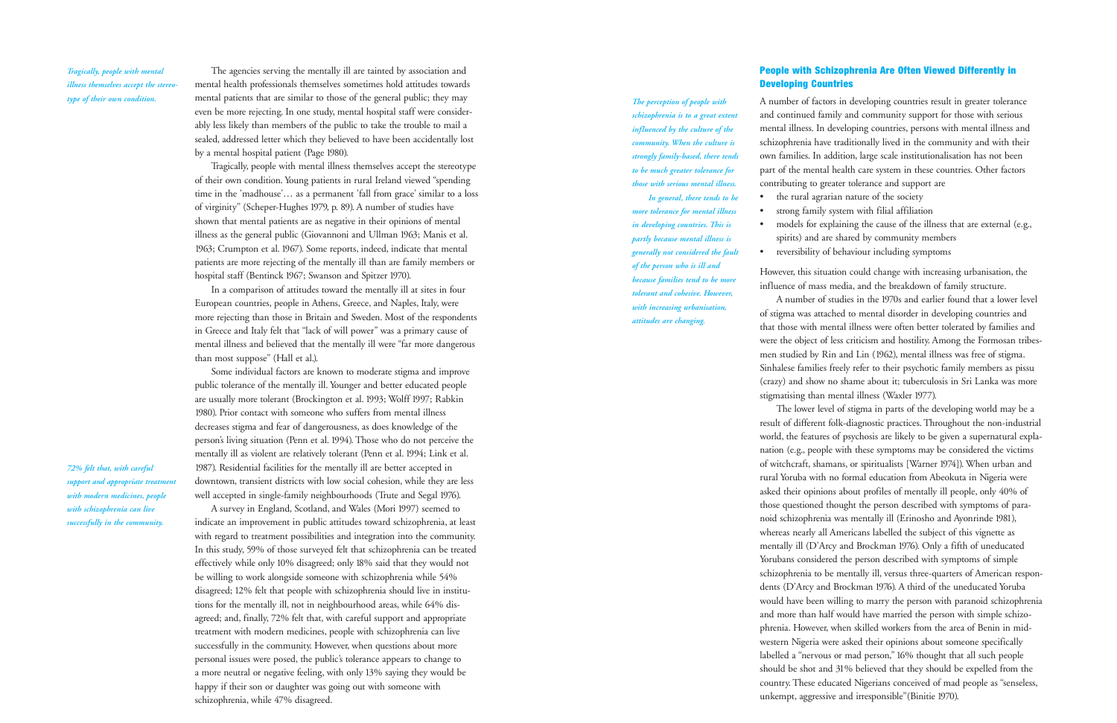# **People with Schizophrenia Are Often Viewed Differently in Developing Countries**

<sup>A</sup> number of factors in developing countries result in greater tolerance and continued family and community support for those with serious mental illness. In developing countries, persons with mental illness and schizophrenia have traditionally lived in the community and with their own families. In addition, large scale institutionalisation has not been part of the mental health care system in these countries. Other factors contributing to greater tolerance and support are • the rural agrarian nature of the society • strong family system with filial affiliation

• models for explaining the cause of the illness that are external (e.g., spirits) and are shared by community members

• reversibility of behaviour including symptoms

However, this situation could change with increasing urbanisation, the influence of mass media, and the breakdown of family structure. A number of studies in the 1970s and earlier found that a lower level of stigma was attached to mental disorder in developing countries and that those with mental illness were often better tolerated by families and were the object of less criticism and hostility. Among the Formosan tribesmen studied by Rin and Lin (1962), mental illness was free of stigma. Sinhalese families freely refer to their psychotic family members as pissu (crazy) and show no shame about it; tuberculosis in Sri Lanka was more stigmatising than mental illness (Waxler 1977).

The lower level of stigma in parts of the developing world may be a result of different folk-diagnostic practices. Throughout the non-industrial world, the features of psychosis are likely to be given a supernatural explanation (e.g., people with these symptoms may be considered the victims of witchcraft, shamans, or spiritualists [Warner 1974]). When urban and rural Yoruba with no formal education from Abeokuta in Nigeria were asked their opinions about profiles of mentally ill people, only 40% of those questioned thought the person described with symptoms of paranoid schizophrenia was mentally ill (Erinosho and Ayonrinde 1981), whereas nearly all Americans labelled the subject of this vignette as mentally ill (D'Arcy and Brockman 1976). Only a fifth of uneducated Yorubans considered the person described with symptoms of simple schizophrenia to be mentally ill, versus three-quarters of American respondents (D'Arcy and Brockman 1976). A third of the uneducated Yoruba would have been willing to marry the person with paranoid schizophrenia and more than half would have married the person with simple schizophrenia. However, when skilled workers from the area of Benin in midwestern Nigeria were asked their opinions about someone specifically labelled a "nervous or mad person," 16% thought that all such people should be shot and 31% believed that they should be expelled from the country. These educated Nigerians conceived of mad people as "senseless, unkempt, aggressive and irresponsible"(Binitie 1970).

The agencies serving the mentally ill are tainted by association and mental health professionals themselves sometimes hold attitudes towards mental patients that are similar to those of the general public; they may even be more rejecting. In one study, mental hospital staff were considerably less likely than members of the public to take the trouble to mail a sealed, addressed letter which they believed to have been accidentally lost by a mental hospital patient (Page 1980).

Tragically, people with mental illness themselves accept the stereotype of their own condition. Young patients in rural Ireland viewed "spending time in the 'madhouse'… as a permanent 'fall from grace' similar to a loss of virginity" (Scheper-Hughes 1979, p. 89). <sup>A</sup> number of studies have shown that mental patients are as negative in their opinions of mental illness as the general public (Giovannoni and Ullman 1963; Manis et al. 1963; Crumpton et al. 1967). Some reports, indeed, indicate that mental patients are more rejecting of the mentally ill than are family members or hospital staff (Bentinck 1967; Swanson and Spitzer 1970).

In a comparison of attitudes toward the mentally ill at sites in four European countries, people in Athens, Greece, and Naples, Italy, were more rejecting than those in Britain and Sweden. Most of the respondents in Greece and Italy felt that "lack of will power" was a primary cause of mental illness and believed that the mentally ill were "far more dangerous than most suppose" (Hall et al.).

Some individual factors are known to moderate stigma and improve public tolerance of the mentally ill. Younger and better educated people are usually more tolerant (Brockington et al. 1993; Wolff 1997; Rabkin 1980). Prior contact with someone who suffers from mental illness decreases stigma and fear of dangerousness, as does knowledge of the person's living situation (Penn et al. 1994). Those who do not perceive the mentally ill as violent are relatively tolerant (Penn et al. 1994; Link et al. 1987). Residential facilities for the mentally ill are better accepted in downtown, transient districts with low social cohesion, while they are less well accepted in single-family neighbourhoods (Trute and Segal 1976).

<sup>A</sup> survey in England, Scotland, and Wales (Mori 1997) seemed to indicate an improvement in public attitudes toward schizophrenia, at least with regard to treatment possibilities and integration into the community. In this study, 59% of those surveyed felt that schizophrenia can be treated effectively while only 10% disagreed; only 18% said that they would not be willing to work alongside someone with schizophrenia while 54% disagreed; 12% felt that people with schizophrenia should live in institutions for the mentally ill, not in neighbourhood areas, while 64% disagreed; and, finally, 72% felt that, with careful support and appropriate treatment with modern medicines, people with schizophrenia can live successfully in the community. However, when questions about more personal issues were posed, the public's tolerance appears to change to a more neutral or negative feeling, with only 13% saying they would be happy if their son or daughter was going out with someone with schizophrenia, while 47% disagreed.

*The perception of people with schizophrenia is to a great extent influenced by the culture of the community. When the culture is strongly family-based, there tends to be much greater tolerance for those with serious mental illness.*

*In general, there tends to be more tolerance for mental illness in developing countries. This is partly because mental illness is generally not considered the fault of the person who is ill and because families tend to be more tolerant and cohesive. However, with increasing urbanisation, attitudes are changing.*

*Tragically, people with mental illness themselves accept the stereotype of their own condition.*

*72% felt that, with careful support and appropriate treatment with modern medicines, people with schizophrenia can live successfully in the community.*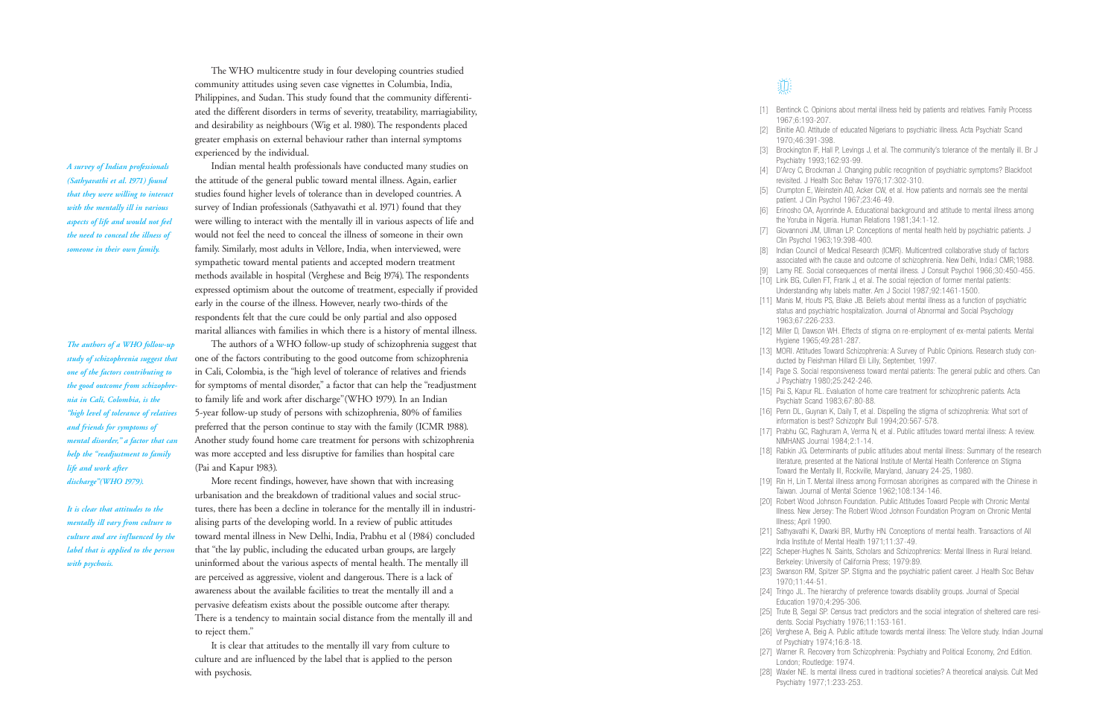[4] D'Arcy C, Brockman J. Changing public recognition of psychiatric symptoms? Blackfoot revisited. J Health Soc Behav 1976;17:302-310.

[3] Brockington IF, Hall P, Levings J, et al. The community's tolerance of the mentally ill. Br J

[7] Giovannoni JM, Ullman LP. Conceptions of mental health held by psychiatric patients. J Clin Psychol 1963;19:398-400.

[8] Indian Council of Medical Research (ICMR). Multicentredl collaborative study of factors associated with the cause and outcome of schizophrenia. New Delhi, India: CMR:1988 [9] Lamy RE. Social consequences of mental illness. J Consult Psychol 1966;30:450-455. [10] Link BG, Cullen FT, Frank J, et al. The social rejection of former mental patients:

[5] Crumpton E, Weinstein AD, Acker CW, et al. How patients and normals see the mental patient. J Clin Psychol 1967;23:46-49.

[6] Erinosho OA, Ayonrinde A. Educational background and attitude to mental illness among the Yoruba in Nigeria. Human Relations 1981;34:1-12.

[11] Manis M, Houts PS, Blake JB. Beliefs about mental illness as a function of psychiatric status and psychiatric hospitalization. Journal of Abnormal and Social Psychology

[13] MORI. Attitudes Toward Schizophrenia: A Survey of Public Opinions. Research study conducted by Fleishman Hillard Eli Lilly, September, 1997.

[14] Page S. Social responsiveness toward mental patients: The general public and others. Can J Psychiatry 1980;25:242-246.

[17] Prabhu GC, Raghuram A, Verma N, et al. Public attitudes toward mental illness: A review. NIMHANS Journal 1984;2:1-14.

[18] Rabkin JG. Determinants of public attitudes about mental illness: Summary of the research literature, presented at the National Institute of Mental Health Conference on Stigma Toward the Mentally Ill, Rockville, Maryland, January 24-25, 1980.

Understanding why labels matter. Am J Sociol 1987;92:1461-1500.

[20] Robert Wood Johnson Foundation. Public Attitudes Toward People with Chronic Mental Illness. New Jersey: The Robert Wood Johnson Foundation Program on Chronic Mental

[21] Sathyavathi K, Dwarki BR, Murthy HN. Conceptions of mental health. Transactions of All India Institute of Mental Health 1971;11:37-49.

[12] Miller D, Dawson WH. Effects of stigma on re-employment of ex-mental patients. Mental Hygiene 1965;49:281-287.

[22] Scheper-Hughes N. Saints, Scholars and Schizophrenics: Mental Illness in Rural Ireland. Berkeley: University of California Press; 1979:89.

[25] Trute B, Segal SP. Census tract predictors and the social integration of sheltered care residents. Social Psychiatry 1976;11:153-161.

[26] Verghese A, Beig A. Public attitude towards mental illness: The Vellore study. Indian Journal

[27] Warner R. Recovery from Schizophrenia: Psychiatry and Political Economy, 2nd Edition.

[28] Waxler NE. Is mental illness cured in traditional societies? A theoretical analysis. Cult Med

[15] Pai S, Kapur RL. Evaluation of home care treatment for schizophrenic patients. Acta Psychiatr Scand 1983;67:80-88.

- 1967;6:193-207.
- 1970;46:391-398.
- Psychiatry 1993;162:93-99.
- 
- 
- 
- 
- 
- 
- 1963;67:226-233.
- 
- 
- 
- 
- 
- 
- 
- Illness; April 1990.
- 
- 
- 1970;11:44-51.
- Education 1970;4:295-306.
- 
- of Psychiatry 1974;16:8-18.
- London; Routledge: 1974.
- Psychiatry 1977;1:233-253.

[1] Bentinck C. Opinions about mental illness held by patients and relatives. Family Process

[2] Binitie AO. Attitude of educated Nigerians to psychiatric illness. Acta Psychiatr Scand

[16] Penn DL, Guynan K, Daily T, et al. Dispelling the stigma of schizophrenia: What sort of information is best? Schizophr Bull 1994;20:567-578.

[19] Rin H, Lin T. Mental illness among Formosan aborigines as compared with the Chinese in Taiwan. Journal of Mental Science 1962;108:134-146.

[23] Swanson RM, Spitzer SP. Stigma and the psychiatric patient career. J Health Soc Behav

[24] Tringo JL. The hierarchy of preference towards disability groups. Journal of Special

The WHO multicentre study in four developing countries studied community attitudes using seven case vignettes in Columbia, India, Philippines, and Sudan. This study found that the community differentiated the different disorders in terms of severity, treatability, marriagiability, and desirability as neighbours (Wig et al. 1980). The respondents placed greater emphasis on external behaviour rather than internal symptoms experienced by the individual.

Indian mental health professionals have conducted many studies on the attitude of the general public toward mental illness. Again, earlier studies found higher levels of tolerance than in developed countries. <sup>A</sup> survey of Indian professionals (Sathyavathi et al. 1971) found that they were willing to interact with the mentally ill in various aspects of life and would not feel the need to conceal the illness of someone in their own family. Similarly, most adults in Vellore, India, when interviewed, were sympathetic toward mental patients and accepted modern treatment methods available in hospital (Verghese and Beig 1974). The respondents expressed optimism about the outcome of treatment, especially if provided early in the course of the illness. However, nearly two-thirds of the respondents felt that the cure could be only partial and also opposed marital alliances with families in which there is a history of mental illness.

The authors of a WHO follow-up study of schizophrenia suggest that one of the factors contributing to the good outcome from schizophrenia in Cali, Colombia, is the "high level of tolerance of relatives and friends for symptoms of mental disorder," a factor that can help the "readjustment to family life and work after discharge"(WHO 1979). In an Indian 5-year follow-up study of persons with schizophrenia, 80% of families preferred that the person continue to stay with the family (ICMR 1988). Another study found home care treatment for persons with schizophrenia was more accepted and less disruptive for families than hospital care (Pai and Kapur 1983).

More recent findings, however, have shown that with increasing urbanisation and the breakdown of traditional values and social structures, there has been a decline in tolerance for the mentally ill in industrialising parts of the developing world. In a review of public attitudes toward mental illness in New Delhi, India, Prabhu et al (1984) concluded that "the lay public, including the educated urban groups, are largely uninformed about the various aspects of mental health. The mentally ill are perceived as aggressive, violent and dangerous. There is a lack of awareness about the available facilities to treat the mentally ill and a pervasive defeatism exists about the possible outcome after therapy. There is a tendency to maintain social distance from the mentally ill and to reject them."

It is clear that attitudes to the mentally ill vary from culture to culture and are influenced by the label that is applied to the person with psychosis.

# 瓣

*<sup>A</sup> survey of Indian professionals (Sathyavathi et al. 1971) found that they were willing to interact with the mentally ill in various aspects of life and would not feel the need to conceal the illness of someone in their own family.*

*The authors of a WHO follow-up study of schizophrenia suggest that one of the factors contributing to the good outcome from schizophrenia in Cali, Colombia, is the "high level of tolerance of relatives and friends for symptoms of mental disorder," a factor that can help the "readjustment to family life and work after discharge"(WHO 1979).*

*It is clear that attitudes to thementally ill vary from culture to culture and are influenced by the label that is applied to the person with psychosis.*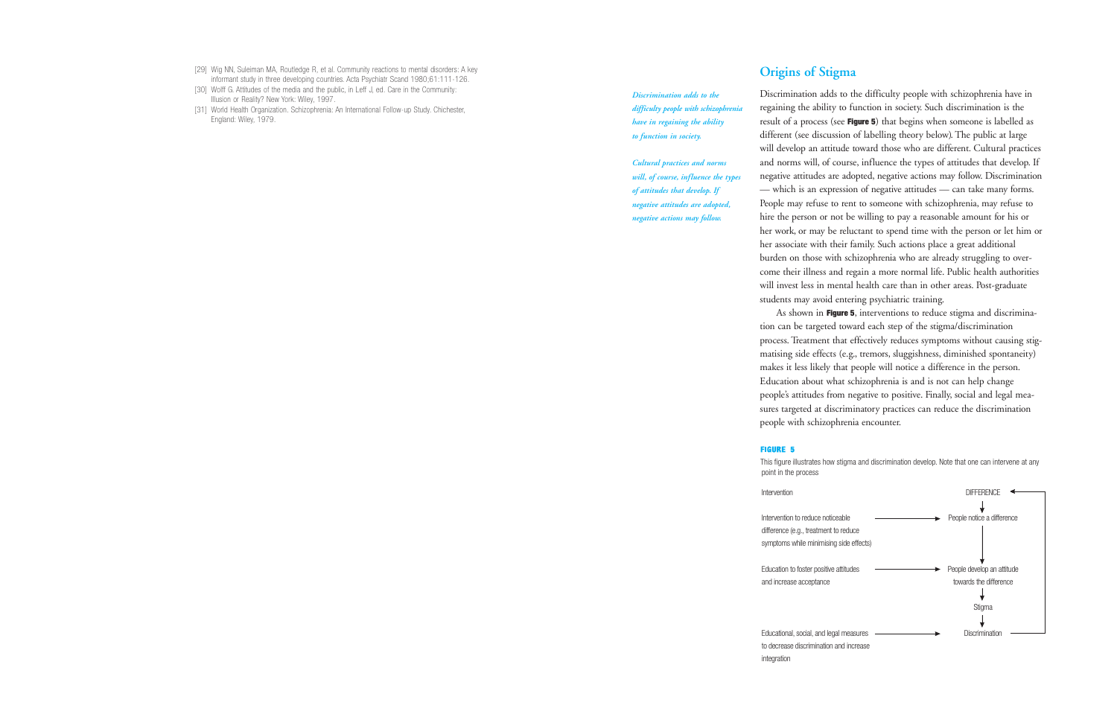# **Origins of Stigma**

Discrimination adds to the difficulty people with schizophrenia have in regaining the ability to function in society. Such discrimination is the result of a process (see **Figure 5**) that begins when someone is labelled as different (see discussion of labelling theory below). The public at large will develop an attitude toward those who are different. Cultural practices and norms will, of course, influence the types of attitudes that develop. If negative attitudes are adopted, negative actions may follow. Discrimination — which is an expression of negative attitudes — can take many forms. People may refuse to rent to someone with schizophrenia, may refuse to hire the person or not be willing to pay a reasonable amount for his or her work, or may be reluctant to spend time with the person or let him or her associate with their family. Such actions place a great additional burden on those with schizophrenia who are already struggling to overcome their illness and regain a more normal life. Public health authorities will invest less in mental health care than in other areas. Post-graduate students may avoid entering psychiatric training.

- [29] Wig NN, Suleiman MA, Routledge R, et al. Community reactions to mental disorders: A key informant study in three developing countries. Acta Psychiatr Scand 1980;61:111-126.
- [30] Wolff G. Attitudes of the media and the public, in Leff J, ed. Care in the Community: Illusion or Reality? New York: Wiley, 1997.
- [31] World Health Organization. Schizophrenia: An International Follow-up Study. Chichester, England: Wiley, 1979.

As shown in **Figure 5**, interventions to reduce stigma and discrimination can be targeted toward each step of the stigma/discrimination process. Treatment that effectively reduces symptoms without causing stigmatising side effects (e.g., tremors, sluggishness, diminished spontaneity) makes it less likely that people will notice a difference in the person. Education about what schizophrenia is and is not can help change people's attitudes from negative to positive. Finally, social and legal measures targeted at discriminatory practices can reduce the discrimination people with schizophrenia encounter.

## **FIGURE 5**

This figure illustrates how stigma and discrimination develop. Note that one can intervene at any

point in the process

Intervention

Intervention to reduce noticeable difference (e.g., treatment to reduce symptoms while minimising side effects)

Education to foster positive attitudes and increase acceptance

Educational, social, and legal measures to decrease discrimination and increase integration



*Discrimination adds to the difficulty people with schizophrenia have in regaining the ability to function in society.*

*Cultural practices and norms will, of course, influence the types of attitudes that develop. If negative attitudes are adopted, negative actions may follow.*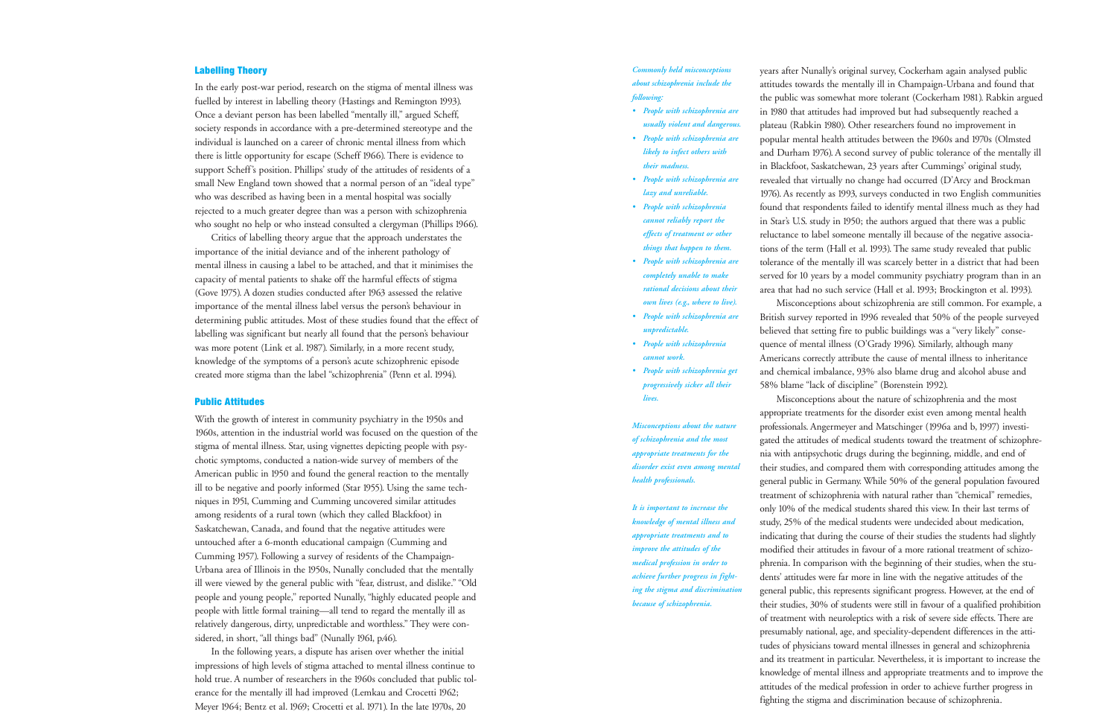years after Nunally's original survey, Cockerham again analysed public attitudes towards the mentally ill in Champaign-Urbana and found that the public was somewhat more tolerant (Cockerham 1981). Rabkin argued in 1980 that attitudes had improved but had subsequently reached a plateau (Rabkin 1980). Other researchers found no improvement in popular mental health attitudes between the 1960s and 1970s (Olmsted and Durham 1976). <sup>A</sup> second survey of public tolerance of the mentally ill in Blackfoot, Saskatchewan, 23 years after Cummings' original study, revealed that virtually no change had occurred (D'Arcy and Brockman 1976). As recently as 1993, surveys conducted in two English communities found that respondents failed to identify mental illness much as they had in Star's U.S. study in 1950; the authors argued that there was a public reluctance to label someone mentally ill because of the negative associations of the term (Hall et al. 1993). The same study revealed that public tolerance of the mentally ill was scarcely better in a district that had been served for 10 years by a model community psychiatry program than in an area that had no such service (Hall et al. 1993; Brockington et al. 1993). Misconceptions about schizophrenia are still common. For example, <sup>a</sup> British survey reported in 1996 revealed that 50% of the people surveyed believed that setting fire to public buildings was a "very likely" consequence of mental illness (O'Grady 1996). Similarly, although many Americans correctly attribute the cause of mental illness to inheritance and chemical imbalance, 93% also blame drug and alcohol abuse and

58% blame "lack of discipline" (Borenstein 1992).

Misconceptions about the nature of schizophrenia and the most appropriate treatments for the disorder exist even among mental health professionals. Angermeyer and Matschinger (1996a and b, 1997) investigated the attitudes of medical students toward the treatment of schizophrenia with antipsychotic drugs during the beginning, middle, and end of their studies, and compared them with corresponding attitudes among the general public in Germany. While 50% of the general population favoured treatment of schizophrenia with natural rather than "chemical" remedies, only 10% of the medical students shared this view. In their last terms of study, 25% of the medical students were undecided about medication, indicating that during the course of their studies the students had slightly modified their attitudes in favour of a more rational treatment of schizo<sup>p</sup>hrenia. In comparison with the beginning of their studies, when the students' attitudes were far more in line with the negative attitudes of the general public, this represents significant progress. However, at the end of their studies, 30% of students were still in favour of a qualified prohibition of treatment with neuroleptics with a risk of severe side effects. There are presumably national, age, and speciality-dependent differences in the attitudes of physicians toward mental illnesses in general and schizophrenia and its treatment in particular. Nevertheless, it is important to increase the knowledge of mental illness and appropriate treatments and to improve the attitudes of the medical profession in order to achieve further progress in fighting the stigma and discrimination because of schizophrenia.

### **Labelling Theory**

In the early post-war period, research on the stigma of mental illness was fuelled by interest in labelling theory (Hastings and Remington 1993). Once a deviant person has been labelled "mentally ill," argued Scheff, society responds in accordance with a pre-determined stereotype and the individual is launched on a career of chronic mental illness from whichthere is little opportunity for escape (Scheff 1966). There is evidence to support Scheff's position. Phillips' study of the attitudes of residents of a small New England town showed that a normal person of an "ideal type" who was described as having been in a mental hospital was socially rejected to a much greater degree than was a person with schizophrenia who sought no help or who instead consulted a clergyman (Phillips 1966).

Critics of labelling theory argue that the approach understates the importance of the initial deviance and of the inherent pathology of mental illness in causing a label to be attached, and that it minimises the capacity of mental patients to shake off the harmful effects of stigma (Gove 1975). A dozen studies conducted after 1963 assessed the relative importance of the mental illness label versus the person's behaviour in determining public attitudes. Most of these studies found that the effect of labelling was significant but nearly all found that the person's behaviour was more potent (Link et al. 1987). Similarly, in a more recent study, knowledge of the symptoms of a person's acute schizophrenic episode created more stigma than the label "schizophrenia" (Penn et al. 1994).

### **Public Attitudes**

With the growth of interest in community psychiatry in the 1950s and 1960s, attention in the industrial world was focused on the question of the stigma of mental illness. Star, using vignettes depicting people with psychotic symptoms, conducted a nation-wide survey of members of the American public in 1950 and found the general reaction to the mentally ill to be negative and poorly informed (Star 1955). Using the same techniques in 1951, Cumming and Cumming uncovered similar attitudes among residents of a rural town (which they called Blackfoot) in Saskatchewan, Canada, and found that the negative attitudes were untouched after a 6-month educational campaign (Cumming and Cumming 1957). Following a survey of residents of the Champaign-Urbana area of Illinois in the 1950s, Nunally concluded that the mentally ill were viewed by the general public with "fear, distrust, and dislike." "Old people and young people," reported Nunally, "highly educated people and people with little formal training—all tend to regard the mentally ill as relatively dangerous, dirty, unpredictable and worthless." They were considered, in short, "all things bad" (Nunally 1961, p.46).

In the following years, a dispute has arisen over whether the initial impressions of high levels of stigma attached to mental illness continue to hold true. <sup>A</sup> number of researchers in the 1960s concluded that public tolerance for the mentally ill had improved (Lemkau and Crocetti 1962; Meyer 1964; Bentz et al. 1969; Crocetti et al. 1971). In the late 1970s, <sup>20</sup>

*Commonly held misconceptions about schizophrenia include the following:*

- *• People with schizophrenia are usually violent and dangerous.*
- *• People with schizophrenia are likely to infect others with their madness.*
- *• People with schizophrenia are lazy and unreliable.*
- *• People with schizophrenia cannot reliably report the effects of treatment or other things that happen to them.*
- *• People with schizophrenia are completely unable to make rational decisions about their own lives (e.g., where to live).*
- *• People with schizophrenia are unpredictable.*
- *• People with schizophrenia cannot work.*
- *• People with schizophrenia get progressively sicker all their lives.*

*Misconceptions about the nature of schizophrenia and the most appropriate treatments for the disorder exist even among mental health professionals.*

*It is important to increase the knowledge of mental illness and appropriate treatments and to improve the attitudes of the medical profession in order to achieve further progress in fighting the stigma and discrimination because of schizophrenia.*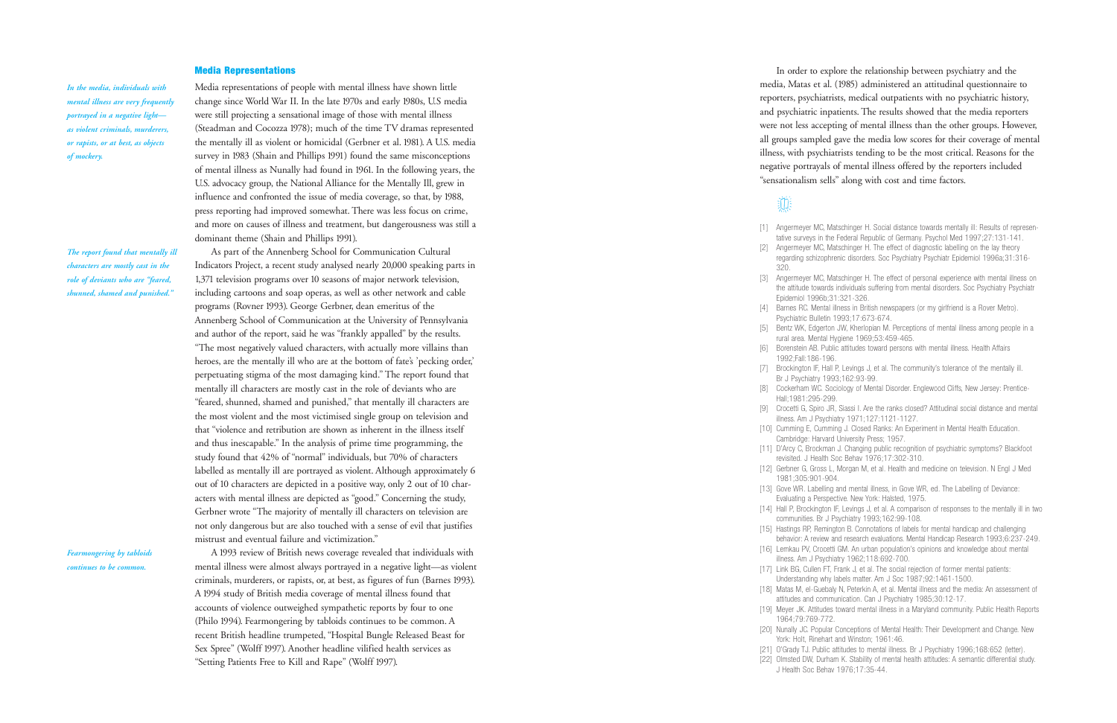In order to explore the relationship between psychiatry and the media, Matas et al. (1985) administered an attitudinal questionnaire to reporters, psychiatrists, medical outpatients with no psychiatric history, and psychiatric inpatients. The results showed that the media reporters were not less accepting of mental illness than the other groups. However, all groups sampled gave the media low scores for their coverage of mental illness, with psychiatrists tending to be the most critical. Reasons for the negative portrayals of mental illness offered by the reporters included "sensationalism sells" along with cost and time factors.

# 道

[4] Barnes RC. Mental illness in British newspapers (or my girlfriend is a Rover Metro). Psychiatric Bulletin 1993;17:673-674.

[1] Angermeyer MC, Matschinger H. Social distance towards mentally ill: Results of representative surveys in the Federal Republic of Germany. Psychol Med 1997;27:131-141. [2] Angermeyer MC, Matschinger H. The effect of diagnostic labelling on the lay theory regarding schizophrenic disorders. Soc Psychiatry Psychiatr Epidemiol 1996a;31:316-

[7] Brockington IF, Hall P, Levings J, et al. The community's tolerance of the mentally ill. Br J Psychiatry 1993;162:93-99.

[8] Cockerham WC. Sociology of Mental Disorder. Englewood Cliffs, New Jersey: Prentice-

[3] Angermeyer MC, Matschinger H. The effect of personal experience with mental illness on the attitude towards individuals suffering from mental disorders. Soc Psychiatry Psychiatr Epidemiol 1996b;31:321-326.

[13] Gove WR. Labelling and mental illness, in Gove WR, ed. The Labelling of Deviance: Evaluating a Perspective. New York: Halsted, 1975.

[14] Hall P, Brockington IF, Levings J, et al. A comparison of responses to the mentally ill in two communities. Br J Psychiatry 1993;162:99-108.

[5] Bentz WK, Edgerton JW, Kherlopian M. Perceptions of mental illness among people in a rural area. Mental Hygiene 1969;53:459-465.

[6] Borenstein AB. Public attitudes toward persons with mental illness. Health Affairs

[17] Link BG, Cullen FT, Frank J, et al. The social rejection of former mental patients: Understanding why labels matter. Am J Soc 1987;92:1461-1500.

[20] Nunally JC. Popular Conceptions of Mental Health: Their Development and Change. New York: Holt, Rinehart and Winston; 1961:46.

[21] O'Grady TJ. Public attitudes to mental illness. Br J Psychiatry 1996;168:652 (letter). [22] Olmsted DW, Durham K. Stability of mental health attitudes: A semantic differential study. J Health Soc Behav 1976;17:35-44.

[9] Crocetti G, Spiro JR, Siassi I. Are the ranks closed? Attitudinal social distance and mental illness. Am J Psychiatry 1971;127:1121-1127.

[10] Cumming E, Cumming J. Closed Ranks: An Experiment in Mental Health Education. Cambridge: Harvard University Press; 1957.

[11] D'Arcy C, Brockman J. Changing public recognition of psychiatric symptoms? Blackfoot revisited. J Health Soc Behav 1976;17:302-310.

- 
- 320.
- 
- 
- 1992;Fall:186-196.
- 
- Hall;1981:295-299.
- 
- 
- 1981;305:901-904.
- 
- 
- 
- 
- 
- 
- 1964;79:769-772.
- 
- 
- -

[12] Gerbner G, Gross L, Morgan M, et al. Health and medicine on television. N Engl J Med

[15] Hastings RP, Remington B. Connotations of labels for mental handicap and challenging behavior: A review and research evaluations. Mental Handicap Research 1993;6:237-249. [16] Lemkau PV, Crocetti GM. An urban population's opinions and knowledge about mental illness. Am J Psychiatry 1962;118:692-700.

[18] Matas M, el-Guebaly N, Peterkin A, et al. Mental illness and the media: An assessment of attitudes and communication. Can J Psychiatry 1985;30:12-17.

[19] Meyer JK. Attitudes toward mental illness in a Maryland community. Public Health Reports

## **Media Representations**

Media representations of people with mental illness have shown little change since World War II. In the late 1970s and early 1980s, U.S media were still projecting a sensational image of those with mental illness (Steadman and Cocozza 1978); much of the time TV dramas represented the mentally ill as violent or homicidal (Gerbner et al. 1981). A U.S. media survey in 1983 (Shain and Phillips 1991) found the same misconceptions of mental illness as Nunally had found in 1961. In the following years, the U.S. advocacy group, the National Alliance for the Mentally Ill, grew in influence and confronted the issue of media coverage, so that, by 1988, press reporting had improved somewhat. There was less focus on crime, and more on causes of illness and treatment, but dangerousness was still a dominant theme (Shain and Phillips 1991).

As part of the Annenberg School for Communication Cultural Indicators Project, a recent study analysed nearly 20,000 speaking parts in 1,371 television programs over 10 seasons of major network television, including cartoons and soap operas, as well as other network and cable programs (Rovner 1993). George Gerbner, dean emeritus of the Annenberg School of Communication at the University of Pennsylvania and author of the report, said he was "frankly appalled" by the results. "The most negatively valued characters, with actually more villains than heroes, are the mentally ill who are at the bottom of fate's 'pecking order,' perpetuating stigma of the most damaging kind." The report found that mentally ill characters are mostly cast in the role of deviants who are "feared, shunned, shamed and punished," that mentally ill characters are the most violent and the most victimised single group on television and that "violence and retribution are shown as inherent in the illness itself and thus inescapable." In the analysis of prime time programming, the study found that 42% of "normal" individuals, but 70% of characters labelled as mentally ill are portrayed as violent. Although approximately 6 out of 10 characters are depicted in a positive way, only 2 out of 10 characters with mental illness are depicted as "good." Concerning the study, Gerbner wrote "The majority of mentally ill characters on television are not only dangerous but are also touched with a sense of evil that justifies mistrust and eventual failure and victimization."

<sup>A</sup> 1993 review of British news coverage revealed that individuals with mental illness were almost always portrayed in a negative light—as violent criminals, murderers, or rapists, or, at best, as figures of fun (Barnes 1993). <sup>A</sup> 1994 study of British media coverage of mental illness found that accounts of violence outweighed sympathetic reports by four to one (Philo 1994). Fearmongering by tabloids continues to be common. <sup>A</sup> recent British headline trumpeted, "Hospital Bungle Released Beast for Sex Spree" (Wolff 1997). Another headline vilified health services as "Setting Patients Free to Kill and Rape" (Wolff 1997).

*The report found that mentally ill characters are mostly cast in the role of deviants who are "feared, shunned, shamed and punished."*

*Fearmongering by tabloids continues to be common.*

*In the media, individuals with mental illness are very frequently portrayed in a negative light as violent criminals, murderers, or rapists, or at best, as objects of mockery.*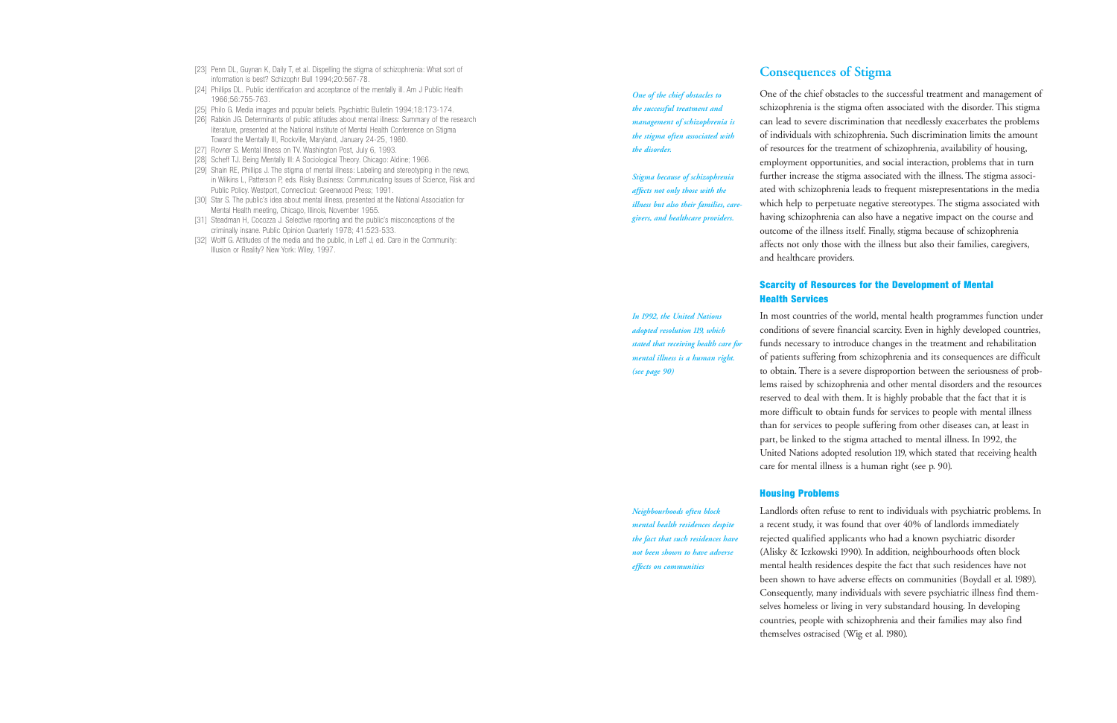- [23] Penn DL, Guynan K, Daily T, et al. Dispelling the stigma of schizophrenia: What sort of information is best? Schizophr Bull 1994;20:567-78.
- [24] Phillips DL. Public identification and acceptance of the mentally ill. Am J Public Health 1966;56:755-763.
- [25] Philo G. Media images and popular beliefs. Psychiatric Bulletin 1994;18:173-174.
- [26] Rabkin JG. Determinants of public attitudes about mental illness: Summary of the research literature, presented at the National Institute of Mental Health Conference on Stigma Toward the Mentally Ill, Rockville, Maryland, January 24-25, 1980.
- [27] Rovner S. Mental Illness on TV. Washington Post, July 6, 1993.
- [28] Scheff TJ. Being Mentally III: A Sociological Theory. Chicago: Aldine; 1966.
- [29] Shain RE, Phillips J. The stigma of mental illness: Labeling and stereotyping in the news, in Wilkins L, Patterson P, eds. Risky Business: Communicating Issues of Science, Risk and Public Policy. Westport, Connecticut: Greenwood Press; 1991.
- [30] Star S. The public's idea about mental illness, presented at the National Association for Mental Health meeting, Chicago, Illinois, November 1955.
- [31] Steadman H, Cocozza J. Selective reporting and the public's misconceptions of the criminally insane. Public Opinion Quarterly 1978; 41:523-533.
- [32] Wolff G. Attitudes of the media and the public, in Leff J, ed. Care in the Community: Illusion or Reality? New York: Wiley, 1997.

# **Consequences of Stigma**

One of the chief obstacles to the successful treatment and management of schizophrenia is the stigma often associated with the disorder. This stigma can lead to severe discrimination that needlessly exacerbates the problems of individuals with schizophrenia. Such discrimination limits the amount of resources for the treatment of schizophrenia, availability of housing, employment opportunities, and social interaction, problems that in turn further increase the stigma associated with the illness. The stigma associated with schizophrenia leads to frequent misrepresentations in the media which help to perpetuate negative stereotypes. The stigma associated with having schizophrenia can also have a negative impact on the course and outcome of the illness itself. Finally, stigma because of schizophrenia affects not only those with the illness but also their families, caregivers, and healthcare providers.

# **Scarcity of Resources for the Development of Mental Health Services**

In most countries of the world, mental health programmes function under conditions of severe financial scarcity. Even in highly developed countries, funds necessary to introduce changes in the treatment and rehabilitation of patients suffering from schizophrenia and its consequences are difficult to obtain. There is a severe disproportion between the seriousness of problems raised by schizophrenia and other mental disorders and the resources reserved to deal with them. It is highly probable that the fact that it is more difficult to obtain funds for services to people with mental illness than for services to people suffering from other diseases can, at least in part, be linked to the stigma attached to mental illness. In 1992, the United Nations adopted resolution 119, which stated that receiving health care for mental illness is a human right (see p. 90).

# **Housing Problems**

Landlords often refuse to rent to individuals with psychiatric problems. In a recent study, it was found that over 40% of landlords immediately rejected qualified applicants who had a known psychiatric disorder (Alisky & Iczkowski 1990). In addition, neighbourhoods often block mental health residences despite the fact that such residences have not been shown to have adverse effects on communities (Boydall et al. 1989). Consequently, many individuals with severe psychiatric illness find themselves homeless or living in very substandard housing. In developing countries, people with schizophrenia and their families may also find themselves ostracised (Wig et al. 1980).

*One of the chief obstacles to the successful treatment and management of schizophrenia is the stigma often associated with the disorder.*

*Stigma because of schizophrenia affects not only those with the illness but also their families, caregivers, and healthcare providers.*

*In 1992, the United Nations adopted resolution 119, which stated that receiving health care for mental illness is a human right. (see page 90)*

*Neighbourhoods often block mental health residences despite the fact that such residences have not been shown to have adverse effects on communities*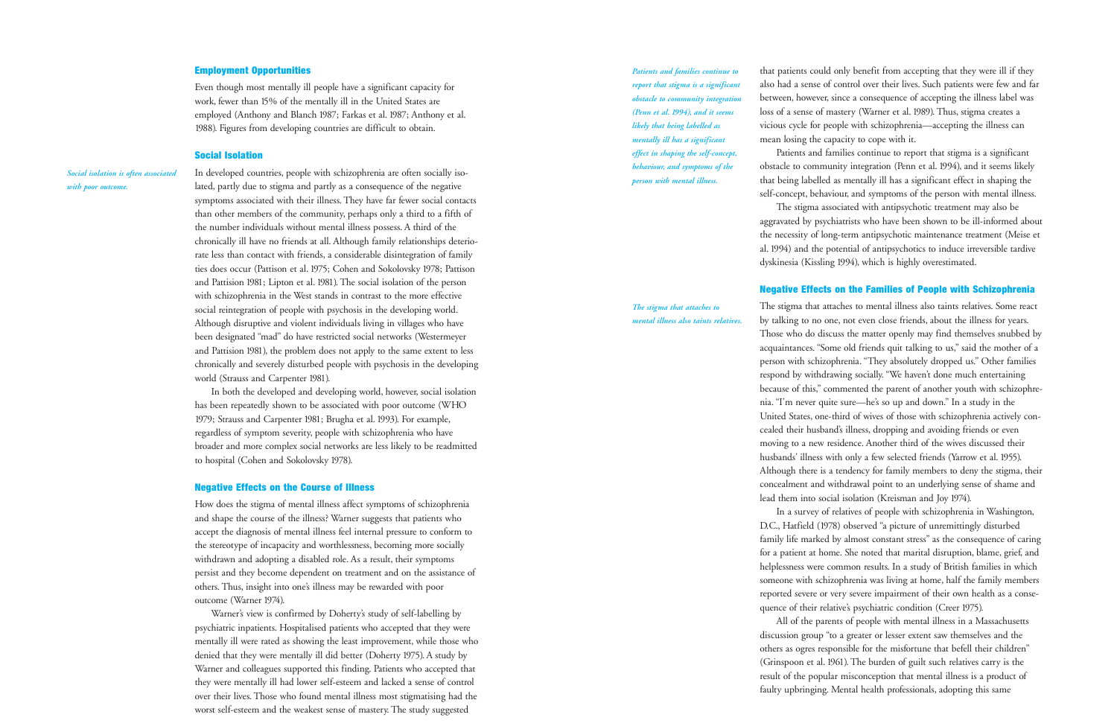that patients could only benefit from accepting that they were ill if they also had a sense of control over their lives. Such patients were few and far between, however, since a consequence of accepting the illness label was loss of a sense of mastery (Warner et al. 1989). Thus, stigma creates a vicious cycle for people with schizophrenia—accepting the illness can mean losing the capacity to cope with it.

Patients and families continue to report that stigma is a significant obstacle to community integration (Penn et al. 1994), and it seems likely that being labelled as mentally ill has a significant effect in shaping the self-concept, behaviour, and symptoms of the person with mental illness. The stigma associated with antipsychotic treatment may also be aggravated by psychiatrists who have been shown to be ill-informed about the necessity of long-term antipsychotic maintenance treatment (Meise et al. 1994) and the potential of antipsychotics to induce irreversible tardive dyskinesia (Kissling 1994), which is highly overestimated.

### **Negative Effects on the Families of People with Schizophrenia**

The stigma that attaches to mental illness also taints relatives. Some react by talking to no one, not even close friends, about the illness for years. Those who do discuss the matter openly may find themselves snubbed by acquaintances. "Some old friends quit talking to us," said the mother of a person with schizophrenia. "They absolutely dropped us." Other families respond by withdrawing socially. "We haven't done much entertaining because of this," commented the parent of another youth with schizophrenia. "I'm never quite sure—he's so up and down." In a study in the United States, one-third of wives of those with schizophrenia actively concealed their husband's illness, dropping and avoiding friends or even moving to a new residence. Another third of the wives discussed their husbands' illness with only a few selected friends (Yarrow et al. 1955). Although there is a tendency for family members to deny the stigma, their concealment and withdrawal point to an underlying sense of shame and lead them into social isolation (Kreisman and Joy 1974).

In a survey of relatives of people with schizophrenia in Washington, D.C., Hatfield (1978) observed "a picture of unremittingly disturbed family life marked by almost constant stress" as the consequence of caring for a patient at home. She noted that marital disruption, blame, grief, and helplessness were common results. In a study of British families in which someone with schizophrenia was living at home, half the family members reported severe or very severe impairment of their own health as a consequence of their relative's psychiatric condition (Creer 1975).

All of the parents of people with mental illness in a Massachusetts discussion group "to a greater or lesser extent saw themselves and the others as ogres responsible for the misfortune that befell their children" (Grinspoon et al. 1961). The burden of guilt such relatives carry is the result of the popular misconception that mental illness is a product of faulty upbringing. Mental health professionals, adopting this same

### **Employment Opportunities**

Even though most mentally ill people have a significant capacity for work, fewer than 15% of the mentally ill in the United States are employed (Anthony and Blanch 1987; Farkas et al. 1987; Anthony et al. 1988). Figures from developing countries are difficult to obtain.

### **Social Isolation**

In developed countries, people with schizophrenia are often socially isolated, partly due to stigma and partly as a consequence of the negative symptoms associated with their illness. They have far fewer social contacts than other members of the community, perhaps only a third to a fifth of the number individuals without mental illness possess. <sup>A</sup> third of the chronically ill have no friends at all. Although family relationships deteriorate less than contact with friends, a considerable disintegration of family ties does occur (Pattison et al. 1975; Cohen and Sokolovsky 1978; Pattison and Pattision 1981; Lipton et al. 1981). The social isolation of the person with schizophrenia in the West stands in contrast to the more effective social reintegration of people with psychosis in the developing world. Although disruptive and violent individuals living in villages who have been designated "mad" do have restricted social networks (Westermeyer and Pattision 1981), the problem does not apply to the same extent to less chronically and severely disturbed people with psychosis in the developing world (Strauss and Carpenter 1981).

In both the developed and developing world, however, social isolation has been repeatedly shown to be associated with poor outcome (WHO 1979; Strauss and Carpenter 1981; Brugha et al. 1993). For example, regardless of symptom severity, people with schizophrenia who have broader and more complex social networks are less likely to be readmitted to hospital (Cohen and Sokolovsky 1978).

#### **Negative Effects on the Course of Illness**

How does the stigma of mental illness affect symptoms of schizophrenia and shape the course of the illness? Warner suggests that patients who accept the diagnosis of mental illness feel internal pressure to conform to the stereotype of incapacity and worthlessness, becoming more socially withdrawn and adopting a disabled role. As a result, their symptoms persist and they become dependent on treatment and on the assistance of others. Thus, insight into one's illness may be rewarded with poor outcome (Warner 1974).

Warner's view is confirmed by Doherty's study of self-labelling by psychiatric inpatients. Hospitalised patients who accepted that they were mentally ill were rated as showing the least improvement, while those who denied that they were mentally ill did better (Doherty 1975). A study by Warner and colleagues supported this finding. Patients who accepted that they were mentally ill had lower self-esteem and lacked a sense of control over their lives. Those who found mental illness most stigmatising had the worst self-esteem and the weakest sense of mastery. The study suggested

*Patients and families continue to report that stigma is a significant obstacle to community integration (Penn et al. 1994), and it seems likely that being labelled as mentally ill has a significant effect in shaping the self-concept, behaviour, and symptoms of the person with mental illness.*

*The stigma that attaches to mental illness also taints relatives.*

*Social isolation is often associated with poor outcome.*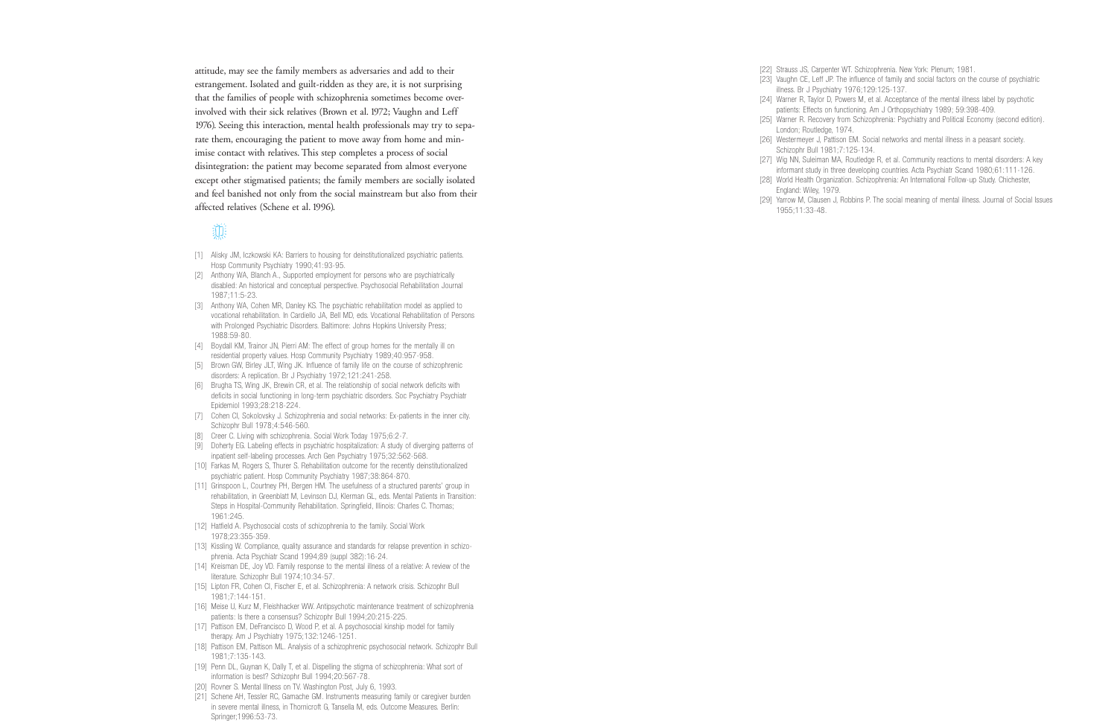- 
- [23] Vaughn CE, Leff JP. The influence of family and social factors on the course of psychiatric illness. Br J Psychiatry 1976;129:125-137.
- 
- [24] Warner R, Taylor D, Powers M, et al. Acceptance of the mental illness label by psychotic patients: Effects on functioning. Am J Orthopsychiatry 1989; 59:398-409
- [25] Warner R. Recovery from Schizophrenia: Psychiatry and Political Economy (second edition) London; Routledge, 1974.
- [26] Westermeyer J, Pattison EM. Social networks and mental illness in a peasant society. Schizophr Bull 1981;7:125-134.
- [27] Wig NN, Suleiman MA, Routledge R, et al. Community reactions to mental disorders: A key informant study in three developing countries. Acta Psychiatr Scand 1980;61:111-126. [28] World Health Organization. Schizophrenia: An International Follow-up Study. Chichester,
- England: Wiley, 1979.
- [29] Yarrow M, Clausen J, Robbins P. The social meaning of mental illness. Journal of Social Issues 1955;11:33-48.
	-

[22] Strauss JS, Carpenter WT. Schizophrenia. New York: Plenum; 1981.

attitude, may see the family members as adversaries and add to their estrangement. Isolated and guilt-ridden as they are, it is not surprising that the families of people with schizophrenia sometimes become overinvolved with their sick relatives (Brown et al. 1972; Vaughn and Leff 1976). Seeing this interaction, mental health professionals may try to separate them, encouraging the patient to move away from home and minimise contact with relatives. This step completes a process of social disintegration: the patient may become separated from almost everyone except other stigmatised patients; the family members are socially isolated and feel banished not only from the social mainstream but also from their affected relatives (Schene et al. 1996).

# 瓣

- [1] Alisky JM, Iczkowski KA: Barriers to housing for deinstitutionalized psychiatric patients. Hosp Community Psychiatry 1990;41:93-95.
- [2] Anthony WA, Blanch A., Supported employment for persons who are psychiatrically disabled: An historical and conceptual perspective. Psychosocial Rehabilitation Journal 1987;11:5-23.
- [3] Anthony WA, Cohen MR, Danley KS. The psychiatric rehabilitation model as applied to vocational rehabilitation. In Cardiello JA, Bell MD, eds. Vocational Rehabilitation of Persons with Prolonged Psychiatric Disorders. Baltimore: Johns Hopkins University Press; 1988:59-80.
- [4] Boydall KM, Trainor JN, Pierri AM: The effect of group homes for the mentally ill on residential property values. Hosp Community Psychiatry 1989;40:957-958.
- [5] Brown GW, Birley JLT, Wing JK. Influence of family life on the course of schizophrenic disorders: A replication. Br J Psychiatry 1972;121:241-258.
- [6] Brugha TS, Wing JK, Brewin CR, et al. The relationship of social network deficits with deficits in social functioning in long-term psychiatric disorders. Soc Psychiatry Psychiatr Epidemiol 1993;28:218-224.
- [7] Cohen CI, Sokolovsky J. Schizophrenia and social networks: Ex-patients in the inner city. Schizophr Bull 1978;4:546-560.
- [8] Creer C. Living with schizophrenia. Social Work Today 1975;6:2-7.
- [9] Doherty EG. Labeling effects in psychiatric hospitalization: A study of diverging patterns of inpatient self-labeling processes. Arch Gen Psychiatry 1975;32:562-568.
- [10] Farkas M, Rogers S, Thurer S. Rehabilitation outcome for the recently deinstitutionalized psychiatric patient. Hosp Community Psychiatry 1987;38:864-870.
- [11] Grinspoon L, Courtney PH, Bergen HM. The usefulness of a structured parents' group in rehabilitation, in Greenblatt M, Levinson DJ, Klerman GL, eds. Mental Patients in Transition: Steps in Hospital-Community Rehabilitation. Springfield, Illinois: Charles C. Thomas; 1961:245.
- [12] Hatfield A. Psychosocial costs of schizophrenia to the family. Social Work 1978;23:355-359.
- [13] Kissling W. Compliance, quality assurance and standards for relapse prevention in schizophrenia. Acta Psychiatr Scand 1994;89 (suppl 382):16-24.
- [14] Kreisman DE, Joy VD. Family response to the mental illness of a relative: A review of the literature. Schizophr Bull 1974;10:34-57.
- [15] Lipton FR, Cohen CI, Fischer E, et al. Schizophrenia: A network crisis. Schizophr Bull 1981;7:144-151.
- [16] Meise U, Kurz M, Fleishhacker WW. Antipsychotic maintenance treatment of schizophrenia patients: Is there a consensus? Schizophr Bull 1994;20:215-225.
- [17] Pattison EM, DeFrancisco D, Wood P, et al. A psychosocial kinship model for family therapy. Am J Psychiatry 1975;132:1246-1251.
- [18] Pattison EM, Pattison ML. Analysis of a schizophrenic psychosocial network. Schizophr Bull 1981;7:135-143.
- [19] Penn DL, Guynan K, Dally T, et al. Dispelling the stigma of schizophrenia: What sort of information is best? Schizophr Bull 1994;20:567-78.
- [20] Rovner S. Mental Illness on TV. Washington Post, July 6, 1993.
- [21] Schene AH, Tessler RC, Gamache GM. Instruments measuring family or caregiver burden in severe mental illness, in Thornicroft G, Tansella M, eds. Outcome Measures. Berlin: Springer;1996:53-73.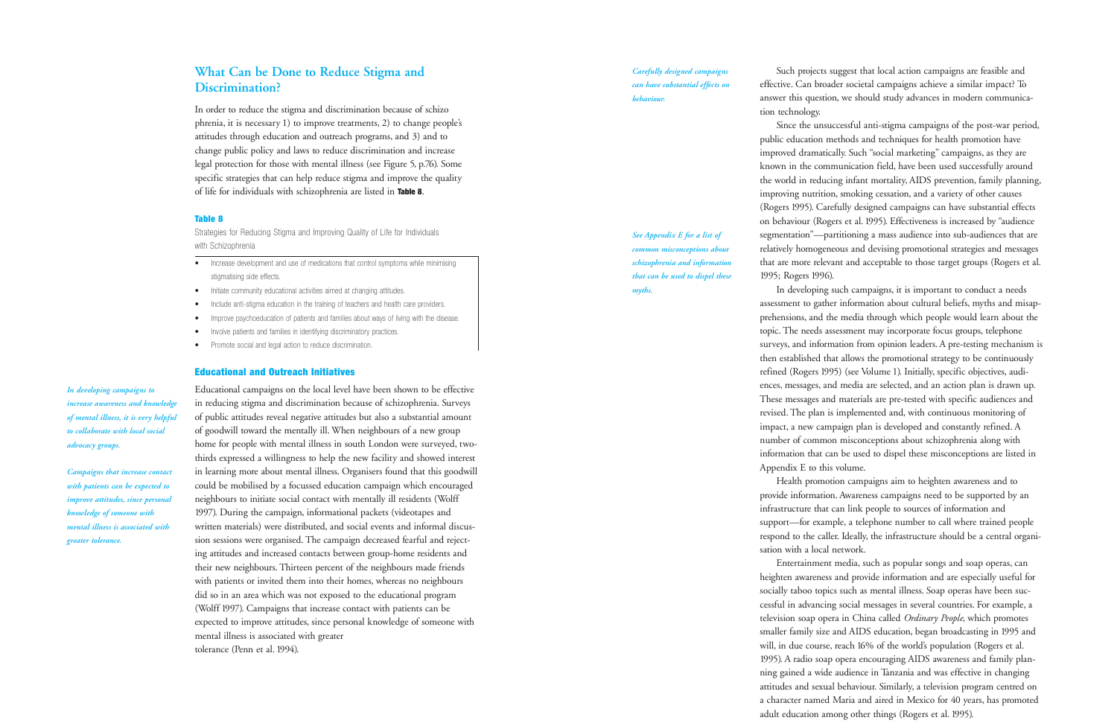Such projects suggest that local action campaigns are feasible and effective. Can broader societal campaigns achieve a similar impact? To answer this question, we should study advances in modern communica-

tion technology.

Since the unsuccessful anti-stigma campaigns of the post-war period, public education methods and techniques for health promotion have improved dramatically. Such "social marketing" campaigns, as they are known in the communication field, have been used successfully around the world in reducing infant mortality, AIDS prevention, family planning, improving nutrition, smoking cessation, and a variety of other causes (Rogers 1995). Carefully designed campaigns can have substantial effects on behaviour (Rogers et al. 1995). Effectiveness is increased by "audience segmentation"—partitioning a mass audience into sub-audiences that are relatively homogeneous and devising promotional strategies and messages that are more relevant and acceptable to those target groups (Rogers et al. 1995; Rogers 1996). In developing such campaigns, it is important to conduct a needs assessment to gather information about cultural beliefs, myths and misapprehensions, and the media through which people would learn about the

topic. The needs assessment may incorporate focus groups, telephone surveys, and information from opinion leaders. <sup>A</sup> pre-testing mechanism is then established that allows the promotional strategy to be continuously refined (Rogers 1995) (see Volume 1). Initially, specific objectives, audiences, messages, and media are selected, and an action plan is drawn up. These messages and materials are pre-tested with specific audiences and revised. The plan is implemented and, with continuous monitoring of impact, a new campaign plan is developed and constantly refined. <sup>A</sup> number of common misconceptions about schizophrenia along with information that can be used to dispel these misconceptions are listed in Appendix E to this volume.

Health promotion campaigns aim to heighten awareness and to provide information. Awareness campaigns need to be supported by an infrastructure that can link people to sources of information and support—for example, a telephone number to call where trained people respond to the caller. Ideally, the infrastructure should be a central organisation with a local network.

Entertainment media, such as popular songs and soap operas, can heighten awareness and provide information and are especially useful for socially taboo topics such as mental illness. Soap operas have been successful in advancing social messages in several countries. For example, <sup>a</sup> television soap opera in China called *Ordinary People*, which promotes smaller family size and AIDS education, began broadcasting in 1995 and will, in due course, reach 16% of the world's population (Rogers et al. 1995). <sup>A</sup> radio soap opera encouraging AIDS awareness and family planning gained a wide audience in Tanzania and was effective in changing attitudes and sexual behaviour. Similarly, a television program centred on a character named Maria and aired in Mexico for 40 years, has promoted adult education among other things (Rogers et al. 1995).

# **What Can be Done to Reduce Stigma and Discrimination?**

In order to reduce the stigma and discrimination because of schizo <sup>p</sup>hrenia, it is necessary 1) to improve treatments, 2) to change people's attitudes through education and outreach programs, and 3) and to change public policy and laws to reduce discrimination and increase legal protection for those with mental illness (see Figure 5, p.76). Some specific strategies that can help reduce stigma and improve the quality of life for individuals with schizophrenia are listed in **Table 8**.

## **Table 8**

Strategies for Reducing Stigma and Improving Quality of Life for Individuals with Schizophrenia

- Increase development and use of medications that control symptoms while minimising stigmatising side effects.
- •Initiate community educational activities aimed at changing attitudes.
- •Include anti-stigma education in the training of teachers and health care providers.
- •Improve psychoeducation of patients and families about ways of living with the disease.
- •Involve patients and families in identifying discriminatory practices.
- Promote social and legal action to reduce discrimination.

#### **Educational and Outreach Initiatives**

Educational campaigns on the local level have been shown to be effective in reducing stigma and discrimination because of schizophrenia. Surveys of public attitudes reveal negative attitudes but also a substantial amount of goodwill toward the mentally ill. When neighbours of a new group home for people with mental illness in south London were surveyed, twothirds expressed a willingness to help the new facility and showed interest in learning more about mental illness. Organisers found that this goodwill could be mobilised by a focussed education campaign which encouraged neighbours to initiate social contact with mentally ill residents (Wolff 1997). During the campaign, informational packets (videotapes and written materials) were distributed, and social events and informal discussion sessions were organised. The campaign decreased fearful and rejecting attitudes and increased contacts between group-home residents and their new neighbours. Thirteen percent of the neighbours made friends with patients or invited them into their homes, whereas no neighbours did so in an area which was not exposed to the educational program (Wolff 1997). Campaigns that increase contact with patients can be expected to improve attitudes, since personal knowledge of someone with mental illness is associated with greater tolerance (Penn et al. 1994).

*Carefully designed campaigns can have substantial effects on behaviour.*

*See Appendix E for a list of common misconceptions about schizophrenia and information that can be used to dispel these myths.*

*In developing campaigns to increase awareness and knowledge of mental illness, it is very helpful to collaborate with local social advocacy groups.*

*Campaigns that increase contact with patients can be expected to improve attitudes, since personal knowledge of someone with mental illness is associated with greater tolerance.*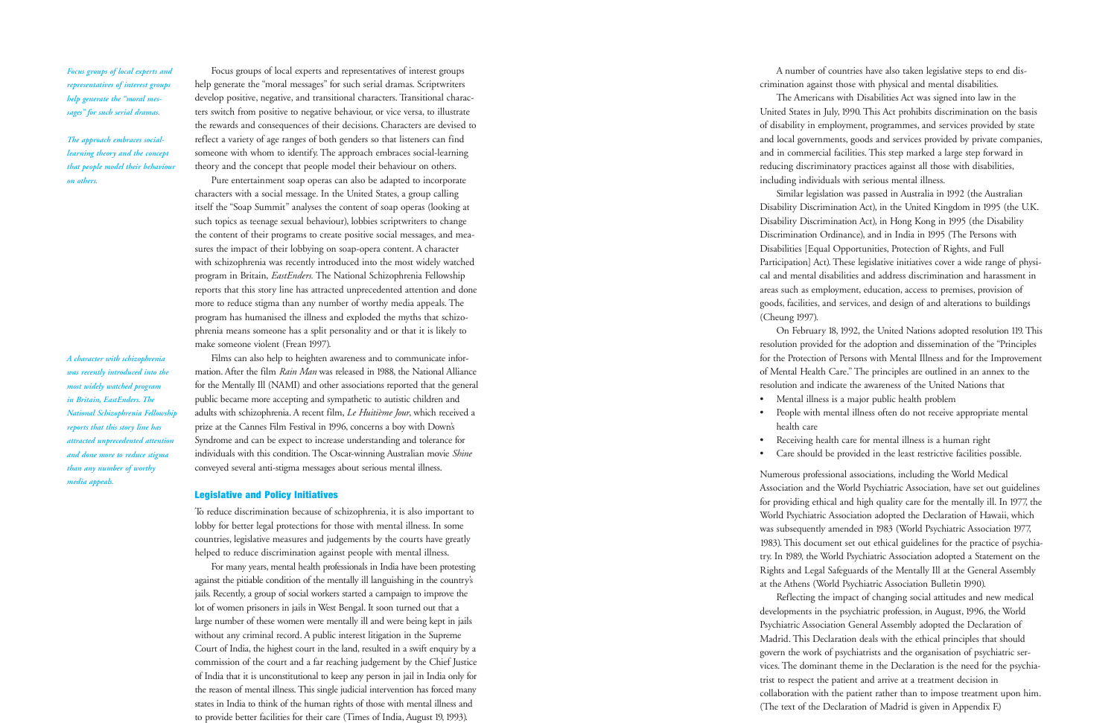<sup>A</sup> number of countries have also taken legislative steps to end discrimination against those with physical and mental disabilities. The Americans with Disabilities Act was signed into law in the United States in July, 1990. This Act prohibits discrimination on the basis of disability in employment, programmes, and services provided by state and local governments, goods and services provided by private companies, and in commercial facilities. This step marked a large step forward in reducing discriminatory practices against all those with disabilities, including individuals with serious mental illness.

Similar legislation was passed in Australia in 1992 (the Australian Disability Discrimination Act), in the United Kingdom in 1995 (the U.K. Disability Discrimination Act), in Hong Kong in 1995 (the Disability Discrimination Ordinance), and in India in 1995 (The Persons with Disabilities [Equal Opportunities, Protection of Rights, and Full Participation] Act). These legislative initiatives cover a wide range of physical and mental disabilities and address discrimination and harassment in areas such as employment, education, access to premises, provision of goods, facilities, and services, and design of and alterations to buildings

(Cheung 1997).

On February 18, 1992, the United Nations adopted resolution 119. This resolution provided for the adoption and dissemination of the "Principles for the Protection of Persons with Mental Illness and for the Improvement of Mental Health Care." The principles are outlined in an annex to the resolution and indicate the awareness of the United Nations that • Mental illness is a major public health problem • People with mental illness often do not receive appropriate mental

- 
- health care
- 
- •

• Receiving health care for mental illness is a human right Care should be provided in the least restrictive facilities possible.

Numerous professional associations, including the World Medical Association and the World Psychiatric Association, have set out guidelines for providing ethical and high quality care for the mentally ill. In 1977, the World Psychiatric Association adopted the Declaration of Hawaii, which was subsequently amended in 1983 (World Psychiatric Association 1977, 1983). This document set out ethical guidelines for the practice of psychiatry. In 1989, the World Psychiatric Association adopted a Statement on the Rights and Legal Safeguards of the Mentally Ill at the General Assembly at the Athens (World Psychiatric Association Bulletin 1990).

Reflecting the impact of changing social attitudes and new medical developments in the psychiatric profession, in August, 1996, the World Psychiatric Association General Assembly adopted the Declaration of Madrid. This Declaration deals with the ethical principles that should govern the work of psychiatrists and the organisation of psychiatric services. The dominant theme in the Declaration is the need for the psychiatrist to respect the patient and arrive at a treatment decision in collaboration with the patient rather than to impose treatment upon him. (The text of the Declaration of Madrid is given in Appendix F.)

Focus groups of local experts and representatives of interest groups help generate the "moral messages" for such serial dramas. Scriptwriters develop positive, negative, and transitional characters. Transitional characters switch from positive to negative behaviour, or vice versa, to illustrate the rewards and consequences of their decisions. Characters are devised to reflect a variety of age ranges of both genders so that listeners can find someone with whom to identify. The approach embraces social-learning theory and the concept that people model their behaviour on others.

Pure entertainment soap operas can also be adapted to incorporate characters with a social message. In the United States, a group calling itself the "Soap Summit" analyses the content of soap operas (looking at such topics as teenage sexual behaviour), lobbies scriptwriters to change the content of their programs to create positive social messages, and measures the impact of their lobbying on soap-opera content. <sup>A</sup> character with schizophrenia was recently introduced into the most widely watched program in Britain, *EastEnders.* The National Schizophrenia Fellowship reports that this story line has attracted unprecedented attention and done more to reduce stigma than any number of worthy media appeals. The program has humanised the illness and exploded the myths that schizophrenia means someone has a split personality and or that it is likely to make someone violent (Frean 1997).

Films can also help to heighten awareness and to communicate information. After the film *Rain Man* was released in 1988, the National Alliance for the Mentally Ill (NAMI) and other associations reported that the general public became more accepting and sympathetic to autistic children and adults with schizophrenia. <sup>A</sup> recent film, *Le Huitième Jour*, which received a prize at the Cannes Film Festival in 1996, concerns a boy with Down's Syndrome and can be expect to increase understanding and tolerance for individuals with this condition. The Oscar-winning Australian movie *Shine* conveyed several anti-stigma messages about serious mental illness.

#### **Legislative and Policy Initiatives**

To reduce discrimination because of schizophrenia, it is also important to lobby for better legal protections for those with mental illness. In some countries, legislative measures and judgements by the courts have greatly helped to reduce discrimination against people with mental illness.

For many years, mental health professionals in India have been protesting against the pitiable condition of the mentally ill languishing in the country's jails. Recently, a group of social workers started a campaign to improve the lot of women prisoners in jails in West Bengal. It soon turned out that a large number of these women were mentally ill and were being kept in jails without any criminal record. <sup>A</sup> public interest litigation in the Supreme Court of India, the highest court in the land, resulted in a swift enquiry by a commission of the court and a far reaching judgement by the Chief Justice of India that it is unconstitutional to keep any person in jail in India only for the reason of mental illness. This single judicial intervention has forced many states in India to think of the human rights of those with mental illness and to provide better facilities for their care (Times of India, August 19, 1993).

*Focus groups of local experts and representatives of interest groups help generate the "moral messages" for such serial dramas.*

*The approach embraces sociallearning theory and the concept that people model their behaviour on others.*

*<sup>A</sup> character with schizophrenia was recently introduced into the most widely watched program in Britain, EastEnders. The National Schizophrenia Fellowship reports that this story line has attracted unprecedented attention and done more to reduce stigma than any number of worthy media appeals.*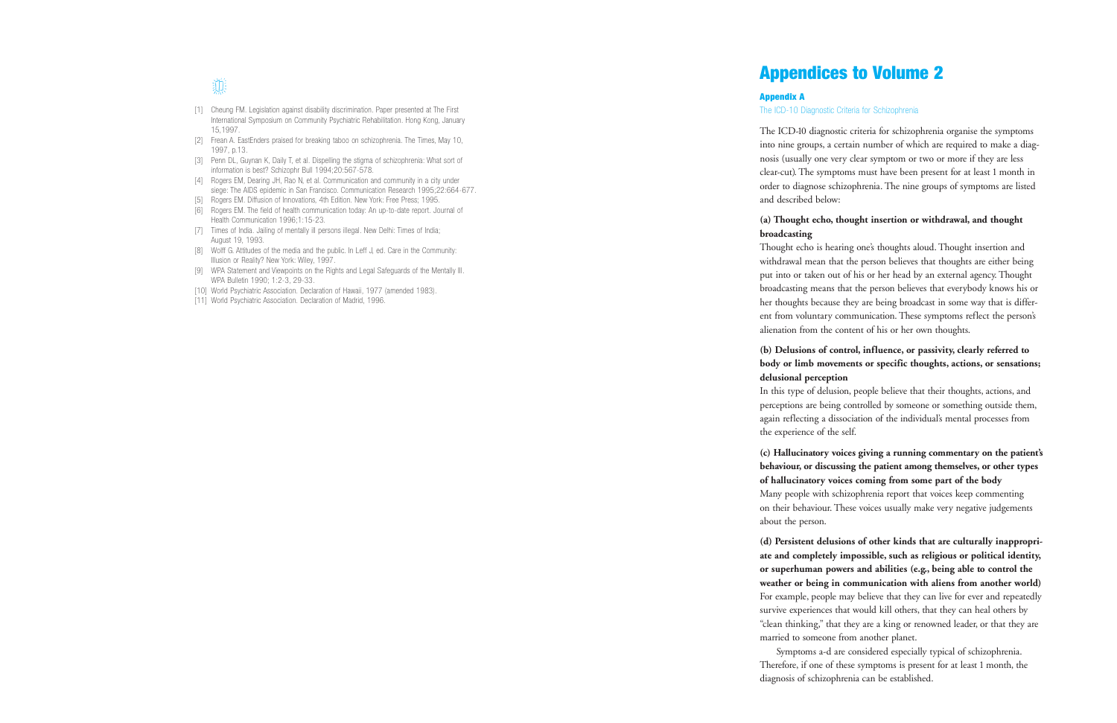# **Appendices to Volume 2**

# **Appendix A**

### The ICD-10 Diagnostic Criteria for Schizophrenia

The ICD-10 diagnostic criteria for schizophrenia organise the symptoms into nine groups, a certain number of which are required to make a diagnosis (usually one very clear symptom or two or more if they are less clear-cut). The symptoms must have been present for at least 1 month in order to diagnose schizophrenia. The nine groups of symptoms are listed and described below:

### **(a) Thought echo, thought insertion or withdrawal, and thought**

Thought echo is hearing one's thoughts aloud. Thought insertion and withdrawal mean that the person believes that thoughts are either being put into or taken out of his or her head by an external agency. Thought broadcasting means that the person believes that everybody knows his or her thoughts because they are being broadcast in some way that is different from voluntary communication. These symptoms reflect the person's alienation from the content of his or her own thoughts.

# **broadcasting**

# **(b) Delusions of control, influence, or passivity, clearly referred to body or limb movements or specific thoughts, actions, or sensations;**

- [1] Cheung FM. Legislation against disability discrimination. Paper presented at The First International Symposium on Community Psychiatric Rehabilitation. Hong Kong, January 15,1997.
- [2] Frean A. EastEnders praised for breaking taboo on schizophrenia. The Times, May 10, 1997, p.13.
- [3] Penn DL, Guynan K, Daily T, et al. Dispelling the stigma of schizophrenia: What sort of information is best? Schizophr Bull 1994;20:567-578.
- [4] Rogers EM, Dearing JH, Rao N, et al. Communication and community in a city under siege: The AIDS epidemic in San Francisco. Communication Research 1995;22:664-677.
- [5] Rogers EM. Diffusion of Innovations, 4th Edition. New York: Free Press; 1995.
- [6] Rogers EM. The field of health communication today: An up-to-date report. Journal of Health Communication 1996;1:15-23.
- [7] Times of India. Jailing of mentally ill persons illegal. New Delhi: Times of India; August 19, 1993.
- [8] Wolff G. Attitudes of the media and the public. In Leff J, ed. Care in the Community: Illusion or Reality? New York: Wiley, 1997.
- [9] WPA Statement and Viewpoints on the Rights and Legal Safeguards of the Mentally III. WPA Bulletin 1990; 1:2-3, 29-33.
- [10] World Psychiatric Association. Declaration of Hawaii, 1977 (amended 1983).
- [11] World Psychiatric Association. Declaration of Madrid, 1996.

In this type of delusion, people believe that their thoughts, actions, and perceptions are being controlled by someone or something outside them, again reflecting a dissociation of the individual's mental processes from

**delusional perception** the experience of the self.

# **(c) Hallucinatory voices giving a running commentary on the patient's behaviour, or discussing the patient among themselves, or other types of hallucinatory voices coming from some part of the body**

Many people with schizophrenia report that voices keep commenting on their behaviour. These voices usually make very negative judgements

about the person.

**(d) Persistent delusions of other kinds that are culturally inappropriate and completely impossible, such as religious or political identity, or superhuman powers and abilities (e.g., being able to control the weather or being in communication with aliens from another world)** For example, people may believe that they can live for ever and repeatedly survive experiences that would kill others, that they can heal others by "clean thinking," that they are a king or renowned leader, or that they are married to someone from another planet.

Symptoms a-d are considered especially typical of schizophrenia. Therefore, if one of these symptoms is present for at least 1 month, the diagnosis of schizophrenia can be established.

# 瓣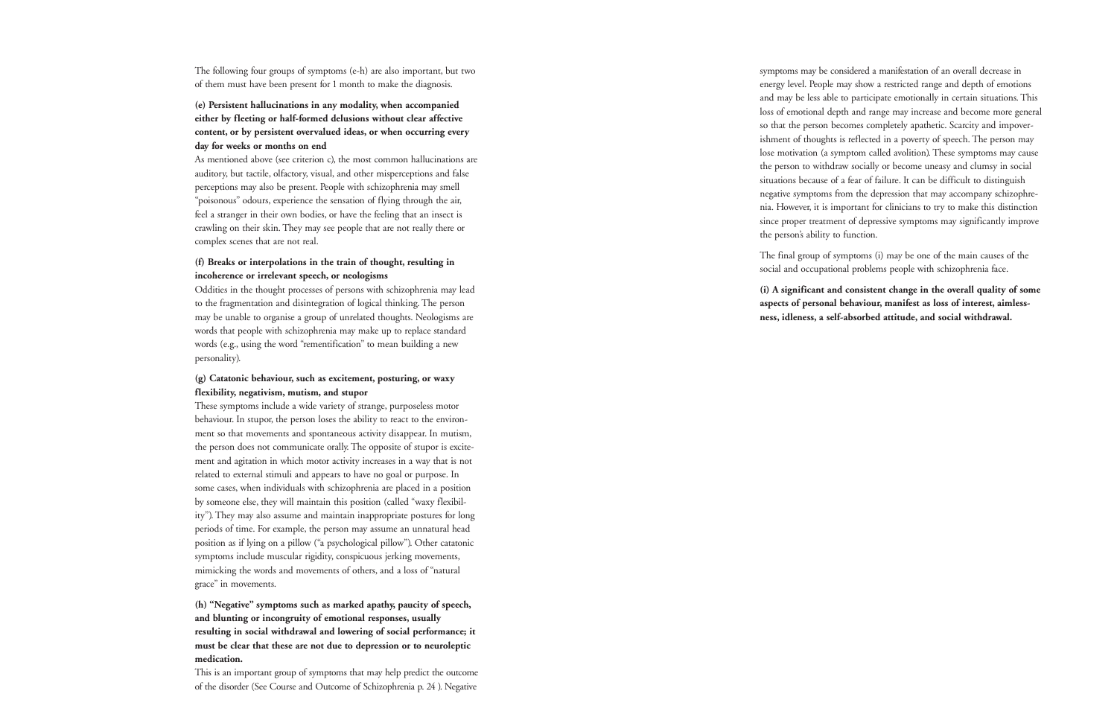symptoms may be considered a manifestation of an overall decrease in energy level. People may show a restricted range and depth of emotions and may be less able to participate emotionally in certain situations. This loss of emotional depth and range may increase and become more general so that the person becomes completely apathetic. Scarcity and impoverishment of thoughts is reflected in a poverty of speech. The person may lose motivation (a symptom called avolition). These symptoms may cause the person to withdraw socially or become uneasy and clumsy in social situations because of a fear of failure. It can be difficult to distinguish negative symptoms from the depression that may accompany schizophrenia. However, it is important for clinicians to try to make this distinction since proper treatment of depressive symptoms may significantly improve the person's ability to function.

The final group of symptoms (i) may be one of the main causes of the social and occupational problems people with schizophrenia face.

**(i) A significant and consistent change in the overall quality of some aspects of personal behaviour, manifest as loss of interest, aimlessness, idleness, a self-absorbed attitude, and social withdrawal.**

The following four groups of symptoms (e-h) are also important, but two of them must have been present for 1 month to make the diagnosis.

# **(e) Persistent hallucinations in any modality, when accompanied either by fleeting or half-formed delusions without clear affective content, or by persistent overvalued ideas, or when occurring every day for weeks or months on end**

As mentioned above (see criterion c), the most common hallucinations are auditory, but tactile, olfactory, visual, and other misperceptions and false perceptions may also be present. People with schizophrenia may smell "poisonous" odours, experience the sensation of flying through the air, feel a stranger in their own bodies, or have the feeling that an insect is crawling on their skin. They may see people that are not really there or complex scenes that are not real.

# **(f) Breaks or interpolations in the train of thought, resulting in incoherence or irrelevant speech, or neologisms**

Oddities in the thought processes of persons with schizophrenia may lead to the fragmentation and disintegration of logical thinking. The person may be unable to organise a group of unrelated thoughts. Neologisms are words that people with schizophrenia may make up to replace standard words (e.g., using the word "rementification" to mean building a new personality).

## **(g) Catatonic behaviour, such as excitement, posturing, or waxy flexibility, negativism, mutism, and stupor**

These symptoms include a wide variety of strange, purposeless motor behaviour. In stupor, the person loses the ability to react to the environment so that movements and spontaneous activity disappear. In mutism, the person does not communicate orally. The opposite of stupor is excitement and agitation in which motor activity increases in a way that is not related to external stimuli and appears to have no goal or purpose. In some cases, when individuals with schizophrenia are placed in a position by someone else, they will maintain this position (called "waxy flexibility"). They may also assume and maintain inappropriate postures for long periods of time. For example, the person may assume an unnatural head position as if lying on a pillow ("a psychological pillow"). Other catatonic symptoms include muscular rigidity, conspicuous jerking movements, mimicking the words and movements of others, and a loss of "natural grace" in movements.

**(h) "Negative" symptoms such as marked apathy, paucity of speech, and blunting or incongruity of emotional responses, usually resulting in social withdrawal and lowering of social performance; it must be clear that these are not due to depression or to neuroleptic medication.**

This is an important group of symptoms that may help predict the outcome of the disorder (See Course and Outcome of Schizophrenia p. 24 ). Negative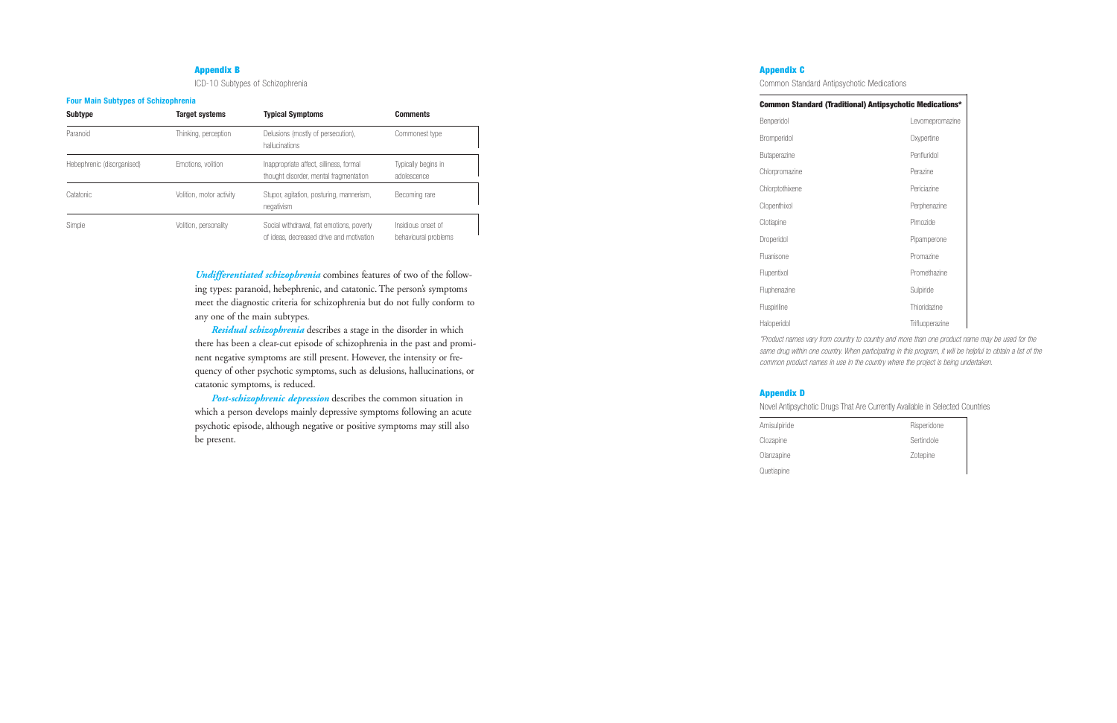# **Appendix B**

ICD-10 Subtypes of Schizophrenia

*Undifferentiated schizophrenia* combines features of two of the following types: paranoid, hebephrenic, and catatonic. The person's symptoms meet the diagnostic criteria for schizophrenia but do not fully conform to any one of the main subtypes.

# **Common Standard (Traditional) Antipsychotic Medications\*** Benperidol **Levomepromazine** Bromperidol **Districts** Oxypertine Butaperazine **Penfluridol** Chlorpromazine **Perazine** Perazine Chlorptothixene Periciazine Clopenthixol Perphenazine Clotiapine **Pimozide** Droperidol Pipamperone Fluanisone Promazine Flupentixol Promethazine Fluphenazine Sulpiride Fluspiriline Thioridazine Haloperidol Trifluoperazine

*Residual schizophrenia* describes a stage in the disorder in which there has been a clear-cut episode of schizophrenia in the past and prominent negative symptoms are still present. However, the intensity or frequency of other psychotic symptoms, such as delusions, hallucinations, or catatonic symptoms, is reduced.

*Post-schizophrenic depression* describes the common situation in which a person develops mainly depressive symptoms following an acute psychotic episode, although negative or positive symptoms may still also be present.

### **Appendix C**

### Common Standard Antipsychotic Medications

\*Product names vary from country to country and more than one product name may be used for the same drug within one country. When participating in this program, it will be helpful to obtain a list of the common product names in use in the country where the project is being undertaken.

### **Appendix D**

Clozapine Sertindole

Olanzapine Zotepine

Novel Antipsychotic Drugs That Are Currently Available in Selected Countries

Amisulpiride Risperidone

Quetiapine

#### **Four Main Subtypes of Schizophrenia**

| <b>Subtype</b>             | <b>Target systems</b>    | <b>Typical Symptoms</b>                                                               | <b>Comments</b>                            |
|----------------------------|--------------------------|---------------------------------------------------------------------------------------|--------------------------------------------|
| Paranoid                   | Thinking, perception     | Delusions (mostly of persecution),<br>hallucinations                                  | Commonest type                             |
| Hebephrenic (disorganised) | Emotions, volition       | Inappropriate affect, silliness, formal<br>thought disorder, mental fragmentation     | Typically begins in<br>adolescence         |
| Catatonic                  | Volition, motor activity | Stupor, agitation, posturing, mannerism,<br>negativism                                | Becoming rare                              |
| Simple                     | Volition, personality    | Social withdrawal, flat emotions, poverty<br>of ideas, decreased drive and motivation | Insidious onset of<br>behavioural problems |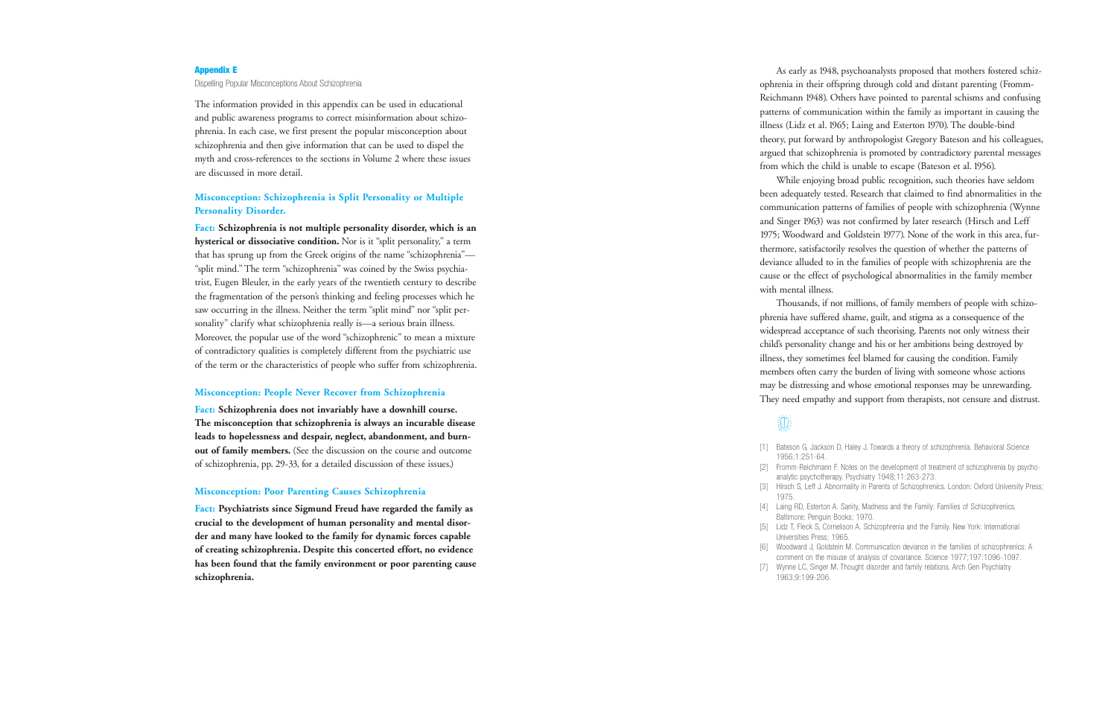As early as 1948, psychoanalysts proposed that mothers fostered schizophrenia in their offspring through cold and distant parenting (Fromm-Reichmann 1948). Others have pointed to parental schisms and confusing patterns of communication within the family as important in causing the illness (Lidz et al. 1965; Laing and Esterton 1970). The double-bind theory, put forward by anthropologist Gregory Bateson and his colleagues, argued that schizophrenia is promoted by contradictory parental messages from which the child is unable to escape (Bateson et al. 1956).

While enjoying broad public recognition, such theories have seldom been adequately tested. Research that claimed to find abnormalities in the communication patterns of families of people with schizophrenia (Wynne and Singer 1963) was not confirmed by later research (Hirsch and Leff 1975; Woodward and Goldstein 1977). None of the work in this area, furthermore, satisfactorily resolves the question of whether the patterns of deviance alluded to in the families of people with schizophrenia are the cause or the effect of psychological abnormalities in the family member with mental illness.

# 瓣

Thousands, if not millions, of family members of people with schizo<sup>p</sup>hrenia have suffered shame, guilt, and stigma as a consequence of the widespread acceptance of such theorising. Parents not only witness their child's personality change and his or her ambitions being destroyed by illness, they sometimes feel blamed for causing the condition. Family members often carry the burden of living with someone whose actions may be distressing and whose emotional responses may be unrewarding. They need empathy and support from therapists, not censure and distrust.

- [1] Bateson G, Jackson D, Haley J. Towards a theory of schizophrenia. Behavioral Science 1956;1:251-64.
- [2] Fromm-Reichmann F. Notes on the development of treatment of schizophrenia by psychoanalytic psychotherapy. Psychiatry 1948;11:263-273. [3] Hirsch S, Leff J. Abnormality in Parents of Schizophrenics. London: Oxford University Press;
- 1975.[4] Laing RD, Esterton A. Sanity, Madness and the Family: Families of Schizophrenics. Baltimore: Penguin Books; 1970.
- 
- [5] Lidz T, Fleck S, Cornelison A. Schizophrenia and the Family. New York: International Universities Press; 1965. [6] Woodward J, Goldstein M. Communication deviance in the families of schizophrenics: A
- comment on the misuse of analysis of covariance. Science 1977;197:1096-1097. 1963;9:199-206.
- [7] Wynne LC, Singer M. Thought disorder and family relations. Arch Gen Psychiatry

### **Appendix E**

Dispelling Popular Misconceptions About Schizophrenia

The information provided in this appendix can be used in educational and public awareness programs to correct misinformation about schizophrenia. In each case, we first present the popular misconception about schizophrenia and then give information that can be used to dispel the myth and cross-references to the sections in Volume 2 where these issues are discussed in more detail.

## **Misconception: Schizophrenia is Split Personality or Multiple Personality Disorder.**

**Fact: Schizophrenia is not multiple personality disorder, which is an hysterical or dissociative condition.** Nor is it "split personality," a term that has sprung up from the Greek origins of the name "schizophrenia"— "split mind." The term "schizophrenia" was coined by the Swiss psychiatrist, Eugen Bleuler, in the early years of the twentieth century to describe the fragmentation of the person's thinking and feeling processes which he saw occurring in the illness. Neither the term "split mind" nor "split personality" clarify what schizophrenia really is—a serious brain illness. Moreover, the popular use of the word "schizophrenic" to mean a mixture of contradictory qualities is completely different from the psychiatric use of the term or the characteristics of people who suffer from schizophrenia.

#### **Misconception: People Never Recover from Schizophrenia**

**Fact: Schizophrenia does not invariably have a downhill course. The misconception that schizophrenia is always an incurable disease leads to hopelessness and despair, neglect, abandonment, and burnout of family members.** (See the discussion on the course and outcome of schizophrenia, pp. 29-33, for a detailed discussion of these issues.)

### **Misconception: Poor Parenting Causes Schizophrenia**

**Fact: Psychiatrists since Sigmund Freud have regarded the family as crucial to the development of human personality and mental disorder and many have looked to the family for dynamic forces capable of creating schizophrenia. Despite this concerted effort, no evidence has been found that the family environment or poor parenting cause schizophrenia.**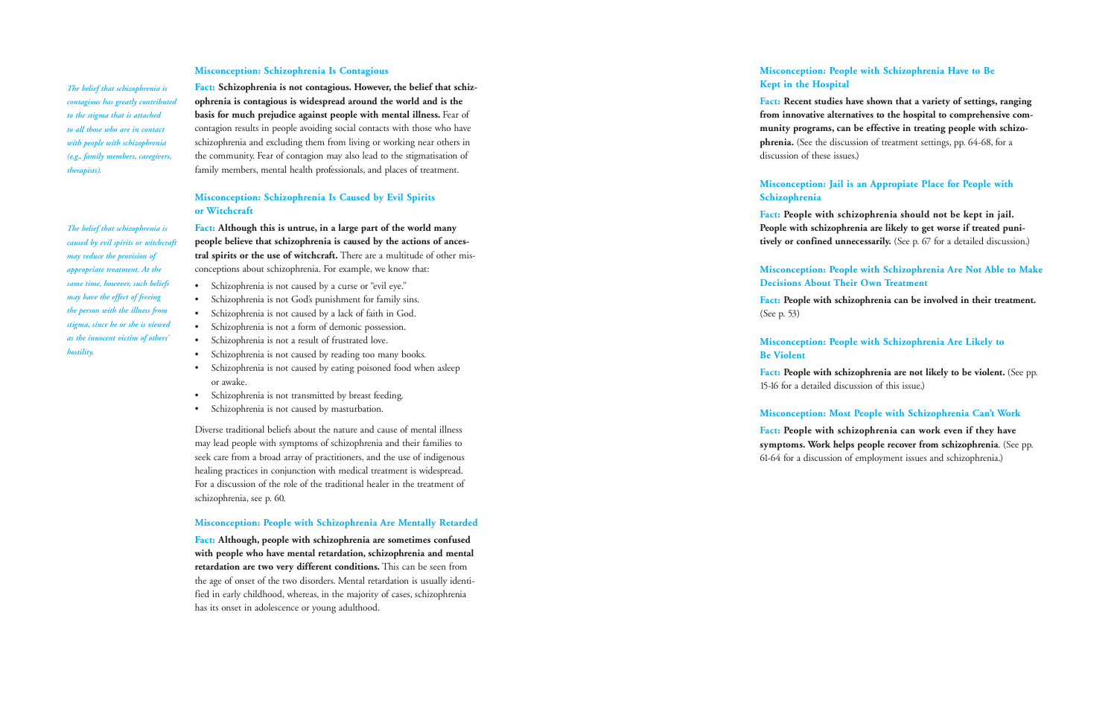# **Misconception: People with Schizophrenia Have to Be Kept in the Hospital**

**Fact: Recent studies have shown that a variety of settings, ranging from innovative alternatives to the hospital to comprehensive community programs, can be effective in treating people with schizophrenia.** (See the discussion of treatment settings, pp. 64-68, for a discussion of these issues.)

# **Misconception: Jail is an Appropiate Place for People with Schizophrenia**

**Fact: People with schizophrenia should not be kept in jail. People with schizophrenia are likely to get worse if treated punitively or confined unnecessarily.** (See p. 67 for a detailed discussion.)

# **Misconception: People with Schizophrenia Are Not Able to Make Decisions About Their Own Treatment**

**Fact: People with schizophrenia can be involved in their treatment.**

(See p. 53)

# **Misconception: People with Schizophrenia Are Likely to**

# **Be Violent**

**Fact: People with schizophrenia are not likely to be violent.** (See pp. 15-16 for a detailed discussion of this issue.)

# **Misconception: Most People with Schizophrenia Can't Work**

**Fact: People with schizophrenia can work even if they have symptoms. Work helps people recover from schizophrenia**. (See pp. 61-64 for a discussion of employment issues and schizophrenia.)

### **Misconception: Schizophrenia Is Contagious**

**Fact: Schizophrenia is not contagious. However, the belief that schizophrenia is contagious is widespread around the world and is the basis for much prejudice against people with mental illness.** Fear of contagion results in people avoiding social contacts with those who have schizophrenia and excluding them from living or working near others in the community. Fear of contagion may also lead to the stigmatisation of family members, mental health professionals, and places of treatment.

Fact: Although, people with schizophrenia are sometimes confused **with people who have mental retardation, schizophrenia and mental retardation are two very different conditions.** This can be seen from the age of onset of the two disorders. Mental retardation is usually identified in early childhood, whereas, in the majority of cases, schizophrenia has its onset in adolescence or young adulthood.

# **Misconception: Schizophrenia Is Caused by Evil Spirits or Witchcraft**

**Fact: Although this is untrue, in a large part of the world many people believe that schizophrenia is caused by the actions of ancestral spirits or the use of witchcraft.** There are a multitude of other misconceptions about schizophrenia. For example, we know that:

- Schizophrenia is not caused by a curse or "evil eye."
- Schizophrenia is not God's punishment for family sins.
- Schizophrenia is not caused by a lack of faith in God.
- Schizophrenia is not a form of demonic possession.
- •Schizophrenia is not a result of frustrated love.
- Schizophrenia is not caused by reading too many books.
- Schizophrenia is not caused by eating poisoned food when asleep or awake.
- •Schizophrenia is not transmitted by breast feeding.
- •Schizophrenia is not caused by masturbation.

•

Diverse traditional beliefs about the nature and cause of mental illness may lead people with symptoms of schizophrenia and their families to seek care from a broad array of practitioners, and the use of indigenous healing practices in conjunction with medical treatment is widespread. For a discussion of the role of the traditional healer in the treatment of schizophrenia, see p. 60.

### **Misconception: People with Schizophrenia Are Mentally Retarded**

*The belief that schizophrenia is contagious has greatly contributed to the stigma that is attached to all those who are in contact with people with schizophrenia (e.g., family members, caregivers, therapists).*

*The belief that schizophrenia is caused by evil spirits or witchcraft may reduce the provision of appropriate treatment. At the same time, however, such beliefs may have the effect of freeing the person with the illness from stigma, since he or she is viewed as the innocent victim of others' hostility.*